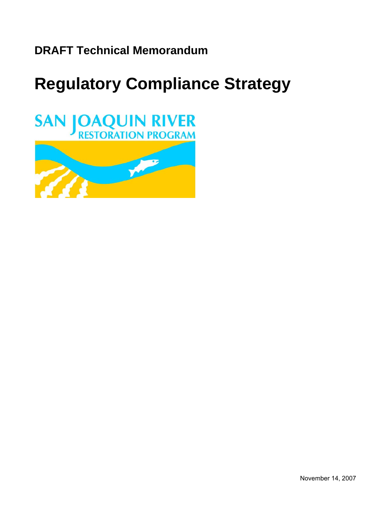**DRAFT Technical Memorandum** 

# **Regulatory Compliance Strategy**



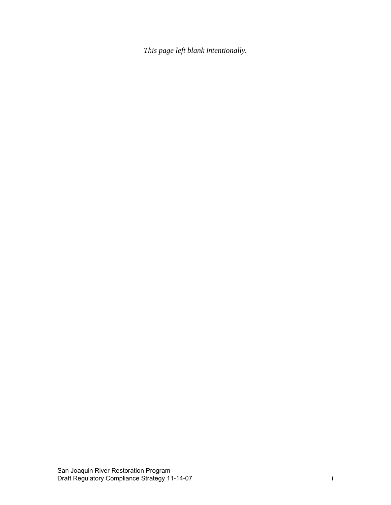*This page left blank intentionally.*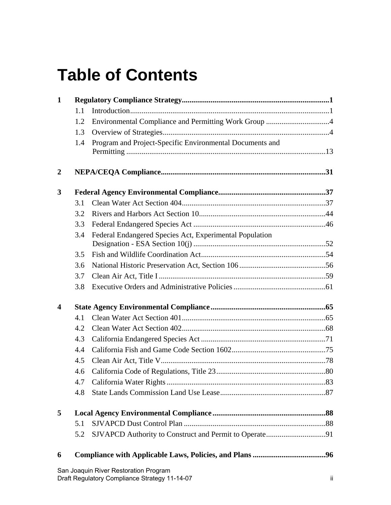## **Table of Contents**

| $\mathbf{1}$            |     |                                                          |  |  |  |  |
|-------------------------|-----|----------------------------------------------------------|--|--|--|--|
|                         | 1.1 |                                                          |  |  |  |  |
|                         | 1.2 | Environmental Compliance and Permitting Work Group 4     |  |  |  |  |
|                         | 1.3 |                                                          |  |  |  |  |
|                         | 1.4 | Program and Project-Specific Environmental Documents and |  |  |  |  |
| $\overline{2}$          |     |                                                          |  |  |  |  |
| 3                       |     |                                                          |  |  |  |  |
|                         | 3.1 |                                                          |  |  |  |  |
|                         | 3.2 |                                                          |  |  |  |  |
|                         | 3.3 |                                                          |  |  |  |  |
|                         | 3.4 | Federal Endangered Species Act, Experimental Population  |  |  |  |  |
|                         | 3.5 |                                                          |  |  |  |  |
|                         | 3.6 |                                                          |  |  |  |  |
|                         | 3.7 |                                                          |  |  |  |  |
|                         | 3.8 |                                                          |  |  |  |  |
| $\overline{\mathbf{4}}$ |     |                                                          |  |  |  |  |
|                         | 4.1 |                                                          |  |  |  |  |
|                         | 4.2 |                                                          |  |  |  |  |
|                         | 4.3 |                                                          |  |  |  |  |
|                         | 4.4 |                                                          |  |  |  |  |
|                         | 4.5 |                                                          |  |  |  |  |
|                         | 4.6 |                                                          |  |  |  |  |
|                         |     |                                                          |  |  |  |  |
|                         | 4.8 |                                                          |  |  |  |  |
| 5                       |     |                                                          |  |  |  |  |
|                         | 5.1 |                                                          |  |  |  |  |
|                         | 5.2 |                                                          |  |  |  |  |
| 6                       |     |                                                          |  |  |  |  |
|                         |     | San Joaquin River Restoration Program                    |  |  |  |  |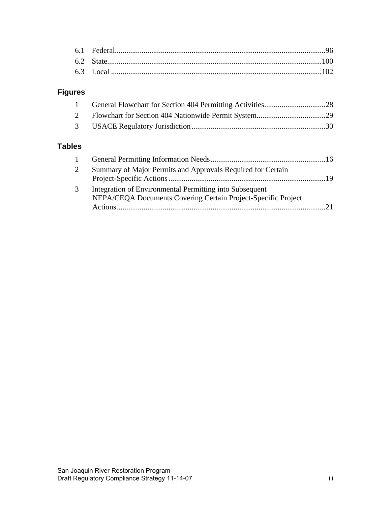#### **Figures**

| $\sim$ 1 |  |
|----------|--|
|          |  |
|          |  |

#### **Tables**

| Summary of Major Permits and Approvals Required for Certain                                                              |  |
|--------------------------------------------------------------------------------------------------------------------------|--|
| Integration of Environmental Permitting into Subsequent<br>NEPA/CEQA Documents Covering Certain Project-Specific Project |  |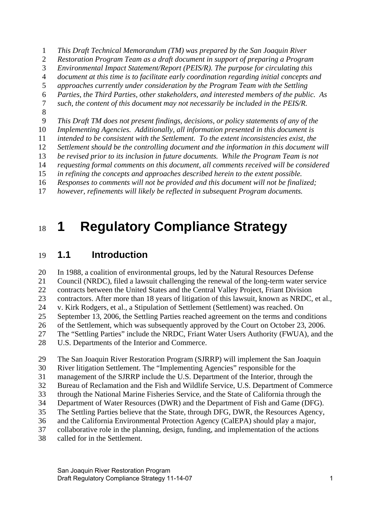1 *This Draft Technical Memorandum (TM) was prepared by the San Joaquin River* 

2 *Restoration Program Team as a draft document in support of preparing a Program* 

- 3 *Environmental Impact Statement/Report (PEIS/R). The purpose for circulating this*
- 4 *document at this time is to facilitate early coordination regarding initial concepts and*
- 5 *approaches currently under consideration by the Program Team with the Settling*
- 6 *Parties, the Third Parties, other stakeholders, and interested members of the public. As*
- 7 *such, the content of this document may not necessarily be included in the PEIS/R.*
- 8

9 *This Draft TM does not present findings, decisions, or policy statements of any of the* 

10 *Implementing Agencies. Additionally, all information presented in this document is* 

11 *intended to be consistent with the Settlement. To the extent inconsistencies exist, the* 

- 12 *Settlement should be the controlling document and the information in this document will*
- 13 *be revised prior to its inclusion in future documents. While the Program Team is not*

14 *requesting formal comments on this document, all comments received will be considered* 

- 15 *in refining the concepts and approaches described herein to the extent possible.*
- 16 *Responses to comments will not be provided and this document will not be finalized;*
- 17 *however, refinements will likely be reflected in subsequent Program documents.*

## <sup>18</sup>**1 Regulatory Compliance Strategy**

### 19 **1.1 Introduction**

20 In 1988, a coalition of environmental groups, led by the Natural Resources Defense 21 Council (NRDC), filed a lawsuit challenging the renewal of the long-term water service 22 contracts between the United States and the Central Valley Project, Friant Division 23 contractors. After more than 18 years of litigation of this lawsuit, known as NRDC, et al., 24 v. Kirk Rodgers, et al., a Stipulation of Settlement (Settlement) was reached. On 25 September 13, 2006, the Settling Parties reached agreement on the terms and conditions 26 of the Settlement, which was subsequently approved by the Court on October 23, 2006. 27 The "Settling Parties" include the NRDC, Friant Water Users Authority (FWUA), and the 28 U.S. Departments of the Interior and Commerce.

29 The San Joaquin River Restoration Program (SJRRP) will implement the San Joaquin

30 River litigation Settlement. The "Implementing Agencies" responsible for the

- 31 management of the SJRRP include the U.S. Department of the Interior, through the
- 32 Bureau of Reclamation and the Fish and Wildlife Service, U.S. Department of Commerce
- 33 through the National Marine Fisheries Service, and the State of California through the
- 34 Department of Water Resources (DWR) and the Department of Fish and Game (DFG).
- 35 The Settling Parties believe that the State, through DFG, DWR, the Resources Agency,
- 36 and the California Environmental Protection Agency (CalEPA) should play a major,
- 37 collaborative role in the planning, design, funding, and implementation of the actions
- 38 called for in the Settlement.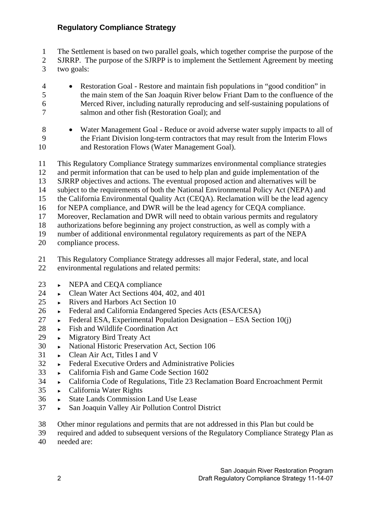1 The Settlement is based on two parallel goals, which together comprise the purpose of the

2 SJRRP. The purpose of the SJRPP is to implement the Settlement Agreement by meeting

- 3 two goals:
- 4 Restoration Goal Restore and maintain fish populations in "good condition" in 5 the main stem of the San Joaquin River below Friant Dam to the confluence of the 6 Merced River, including naturally reproducing and self-sustaining populations of 7 salmon and other fish (Restoration Goal); and
- 8 Water Management Goal Reduce or avoid adverse water supply impacts to all of 9 the Friant Division long-term contractors that may result from the Interim Flows 10 and Restoration Flows (Water Management Goal).
- 11 This Regulatory Compliance Strategy summarizes environmental compliance strategies
- 12 and permit information that can be used to help plan and guide implementation of the
- 13 SJRRP objectives and actions. The eventual proposed action and alternatives will be
- 14 subject to the requirements of both the National Environmental Policy Act (NEPA) and
- 15 the California Environmental Quality Act (CEQA). Reclamation will be the lead agency
- 16 for NEPA compliance, and DWR will be the lead agency for CEQA compliance.
- 17 Moreover, Reclamation and DWR will need to obtain various permits and regulatory
- 18 authorizations before beginning any project construction, as well as comply with a
- 19 number of additional environmental regulatory requirements as part of the NEPA
- 20 compliance process.
- 21 This Regulatory Compliance Strategy addresses all major Federal, state, and local 22 environmental regulations and related permits:
- 
- 23 ► NEPA and CEQA compliance
- 24 ► Clean Water Act Sections 404, 402, and 401
- 25 ► Rivers and Harbors Act Section 10
- 26 ► Federal and California Endangered Species Acts (ESA/CESA)
- 27  $\rightarrow$  Federal ESA, Experimental Population Designation ESA Section 10(j)
- 28 ► Fish and Wildlife Coordination Act
- 29 ► Migratory Bird Treaty Act
- 30 ► National Historic Preservation Act, Section 106
- 31 ► Clean Air Act, Titles I and V
- 32 ► Federal Executive Orders and Administrative Policies
- 33 ► California Fish and Game Code Section 1602
- 34 ► California Code of Regulations, Title 23 Reclamation Board Encroachment Permit
- 35 ► California Water Rights
- 36 ► State Lands Commission Land Use Lease
- 37 ► San Joaquin Valley Air Pollution Control District
- 38 Other minor regulations and permits that are not addressed in this Plan but could be
- 39 required and added to subsequent versions of the Regulatory Compliance Strategy Plan as 40 needed are: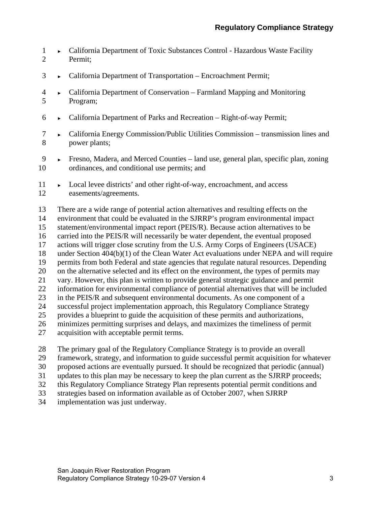- 1 ► California Department of Toxic Substances Control Hazardous Waste Facility 2 Permit;
- 3 ► California Department of Transportation Encroachment Permit;
- 4 ► California Department of Conservation Farmland Mapping and Monitoring 5 Program;
- 6 ► California Department of Parks and Recreation Right-of-way Permit;
- 7 ► California Energy Commission/Public Utilities Commission transmission lines and 8 power plants;
- 9 ► Fresno, Madera, and Merced Counties land use, general plan, specific plan, zoning 10 ordinances, and conditional use permits; and
- 11 ► Local levee districts' and other right-of-way, encroachment, and access 12 easements/agreements.
- 13 There are a wide range of potential action alternatives and resulting effects on the 14 environment that could be evaluated in the SJRRP's program environmental impact
- 15 statement/environmental impact report (PEIS/R). Because action alternatives to be
- 16 carried into the PEIS/R will necessarily be water dependent, the eventual proposed
- 17 actions will trigger close scrutiny from the U.S. Army Corps of Engineers (USACE)
- 18 under Section 404(b)(1) of the Clean Water Act evaluations under NEPA and will require
- 19 permits from both Federal and state agencies that regulate natural resources. Depending
- 20 on the alternative selected and its effect on the environment, the types of permits may
- 21 vary. However, this plan is written to provide general strategic guidance and permit
- 22 information for environmental compliance of potential alternatives that will be included
- 23 in the PEIS/R and subsequent environmental documents. As one component of a
- 24 successful project implementation approach, this Regulatory Compliance Strategy
- 25 provides a blueprint to guide the acquisition of these permits and authorizations,
- 26 minimizes permitting surprises and delays, and maximizes the timeliness of permit
- 27 acquisition with acceptable permit terms.
- 28 The primary goal of the Regulatory Compliance Strategy is to provide an overall
- 29 framework, strategy, and information to guide successful permit acquisition for whatever
- 30 proposed actions are eventually pursued. It should be recognized that periodic (annual)
- 31 updates to this plan may be necessary to keep the plan current as the SJRRP proceeds;
- 32 this Regulatory Compliance Strategy Plan represents potential permit conditions and
- 33 strategies based on information available as of October 2007, when SJRRP
- 34 implementation was just underway.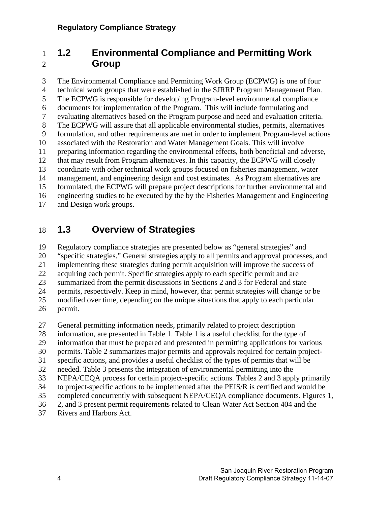### 1 **1.2 Environmental Compliance and Permitting Work**  2 **Group**

3 The Environmental Compliance and Permitting Work Group (ECPWG) is one of four 4 technical work groups that were established in the SJRRP Program Management Plan. 5 The ECPWG is responsible for developing Program-level environmental compliance 6 documents for implementation of the Program. This will include formulating and 7 evaluating alternatives based on the Program purpose and need and evaluation criteria. 8 The ECPWG will assure that all applicable environmental studies, permits, alternatives 9 formulation, and other requirements are met in order to implement Program-level actions 10 associated with the Restoration and Water Management Goals. This will involve 11 preparing information regarding the environmental effects, both beneficial and adverse, 12 that may result from Program alternatives. In this capacity, the ECPWG will closely 13 coordinate with other technical work groups focused on fisheries management, water 14 management, and engineering design and cost estimates. As Program alternatives are 15 formulated, the ECPWG will prepare project descriptions for further environmental and 16 engineering studies to be executed by the by the Fisheries Management and Engineering 17 and Design work groups.

### 18 **1.3 Overview of Strategies**

19 Regulatory compliance strategies are presented below as "general strategies" and 20 "specific strategies." General strategies apply to all permits and approval processes, and 21 implementing these strategies during permit acquisition will improve the success of 22 acquiring each permit. Specific strategies apply to each specific permit and are 23 summarized from the permit discussions in Sections 2 and 3 for Federal and state 24 permits, respectively. Keep in mind, however, that permit strategies will change or be 25 modified over time, depending on the unique situations that apply to each particular 26 permit.

27 General permitting information needs, primarily related to project description

28 information, are presented in Table 1. Table 1 is a useful checklist for the type of

29 information that must be prepared and presented in permitting applications for various

30 permits. Table 2 summarizes major permits and approvals required for certain project-

31 specific actions, and provides a useful checklist of the types of permits that will be

32 needed. Table 3 presents the integration of environmental permitting into the

33 NEPA/CEQA process for certain project-specific actions. Tables 2 and 3 apply primarily

34 to project-specific actions to be implemented after the PEIS/R is certified and would be

35 completed concurrently with subsequent NEPA/CEQA compliance documents. Figures 1,

36 2, and 3 present permit requirements related to Clean Water Act Section 404 and the

37 Rivers and Harbors Act.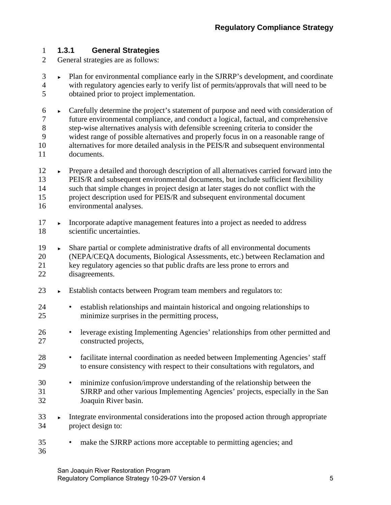#### 1 **1.3.1 General Strategies**

2 General strategies are as follows:

- 3 ► Plan for environmental compliance early in the SJRRP's development, and coordinate 4 with regulatory agencies early to verify list of permits/approvals that will need to be 5 obtained prior to project implementation.
- 6 ► Carefully determine the project's statement of purpose and need with consideration of 7 future environmental compliance, and conduct a logical, factual, and comprehensive 8 step-wise alternatives analysis with defensible screening criteria to consider the 9 widest range of possible alternatives and properly focus in on a reasonable range of 10 alternatives for more detailed analysis in the PEIS/R and subsequent environmental
- 11 documents.
- 12 ► Prepare a detailed and thorough description of all alternatives carried forward into the 13 PEIS/R and subsequent environmental documents, but include sufficient flexibility 14 such that simple changes in project design at later stages do not conflict with the 15 project description used for PEIS/R and subsequent environmental document 16 environmental analyses.
- 17 ► Incorporate adaptive management features into a project as needed to address 18 scientific uncertainties.
- 19 ► Share partial or complete administrative drafts of all environmental documents 20 (NEPA/CEQA documents, Biological Assessments, etc.) between Reclamation and 21 key regulatory agencies so that public drafts are less prone to errors and 22 disagreements.
- 23 ► Establish contacts between Program team members and regulators to:
- 24 establish relationships and maintain historical and ongoing relationships to 25 minimize surprises in the permitting process,
- 26 leverage existing Implementing Agencies' relationships from other permitted and 27 constructed projects,
- 28 facilitate internal coordination as needed between Implementing Agencies' staff 29 to ensure consistency with respect to their consultations with regulators, and
- 30 minimize confusion/improve understanding of the relationship between the 31 SJRRP and other various Implementing Agencies' projects, especially in the San 32 Joaquin River basin.
- 33 ► Integrate environmental considerations into the proposed action through appropriate 34 project design to:
- 35 make the SJRRP actions more acceptable to permitting agencies; and 36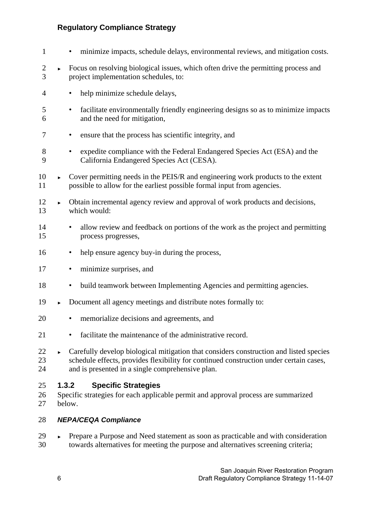| $\mathbf{1}$        |                             | minimize impacts, schedule delays, environmental reviews, and mitigation costs.<br>$\bullet$                                                                                                                                         |  |  |  |  |  |
|---------------------|-----------------------------|--------------------------------------------------------------------------------------------------------------------------------------------------------------------------------------------------------------------------------------|--|--|--|--|--|
| $\overline{2}$<br>3 |                             | Focus on resolving biological issues, which often drive the permitting process and<br>project implementation schedules, to:                                                                                                          |  |  |  |  |  |
| $\overline{4}$      |                             | help minimize schedule delays,<br>٠                                                                                                                                                                                                  |  |  |  |  |  |
| 5<br>6              |                             | facilitate environmentally friendly engineering designs so as to minimize impacts<br>$\bullet$<br>and the need for mitigation,                                                                                                       |  |  |  |  |  |
| 7                   |                             | ensure that the process has scientific integrity, and<br>$\bullet$                                                                                                                                                                   |  |  |  |  |  |
| 8<br>9              |                             | expedite compliance with the Federal Endangered Species Act (ESA) and the<br>$\bullet$<br>California Endangered Species Act (CESA).                                                                                                  |  |  |  |  |  |
| 10<br>11            |                             | Cover permitting needs in the PEIS/R and engineering work products to the extent<br>possible to allow for the earliest possible formal input from agencies.                                                                          |  |  |  |  |  |
| 12<br>13            | ×.                          | Obtain incremental agency review and approval of work products and decisions,<br>which would:                                                                                                                                        |  |  |  |  |  |
| 14<br>15            |                             | allow review and feedback on portions of the work as the project and permitting<br>٠<br>process progresses,                                                                                                                          |  |  |  |  |  |
| 16                  |                             | help ensure agency buy-in during the process,<br>٠                                                                                                                                                                                   |  |  |  |  |  |
| 17                  |                             | minimize surprises, and<br>$\bullet$                                                                                                                                                                                                 |  |  |  |  |  |
| 18                  |                             | build teamwork between Implementing Agencies and permitting agencies.<br>$\bullet$                                                                                                                                                   |  |  |  |  |  |
| 19                  | ×.                          | Document all agency meetings and distribute notes formally to:                                                                                                                                                                       |  |  |  |  |  |
| 20                  |                             | memorialize decisions and agreements, and                                                                                                                                                                                            |  |  |  |  |  |
| 21                  |                             | facilitate the maintenance of the administrative record.                                                                                                                                                                             |  |  |  |  |  |
| 22<br>23<br>24      | $\blacktriangleright$       | Carefully develop biological mitigation that considers construction and listed species<br>schedule effects, provides flexibility for continued construction under certain cases,<br>and is presented in a single comprehensive plan. |  |  |  |  |  |
| 25<br>26<br>27      | 1.3.2<br>below.             | <b>Specific Strategies</b><br>Specific strategies for each applicable permit and approval process are summarized                                                                                                                     |  |  |  |  |  |
| 28                  | <b>NEPA/CEQA Compliance</b> |                                                                                                                                                                                                                                      |  |  |  |  |  |

29 ► Prepare a Purpose and Need statement as soon as practicable and with consideration towards alternatives for meeting the purpose and alternatives screening criteria;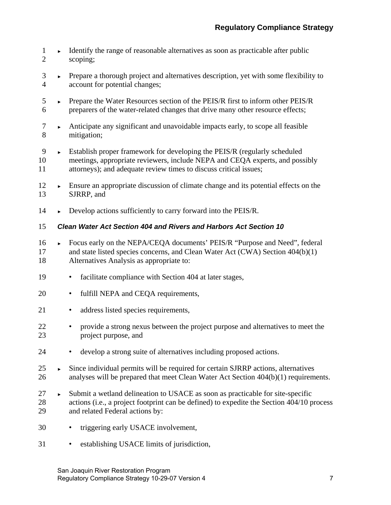- 1 ► Identify the range of reasonable alternatives as soon as practicable after public 2 scoping;
- 3 ► Prepare a thorough project and alternatives description, yet with some flexibility to 4 account for potential changes;
- 5 ► Prepare the Water Resources section of the PEIS/R first to inform other PEIS/R 6 preparers of the water-related changes that drive many other resource effects;
- 7 ► Anticipate any significant and unavoidable impacts early, to scope all feasible 8 mitigation;
- 9 ► Establish proper framework for developing the PEIS/R (regularly scheduled 10 meetings, appropriate reviewers, include NEPA and CEQA experts, and possibly 11 attorneys); and adequate review times to discuss critical issues;
- 12 ► Ensure an appropriate discussion of climate change and its potential effects on the 13 SJRRP, and
- 14 ► Develop actions sufficiently to carry forward into the PEIS/R.

#### 15 *Clean Water Act Section 404 and Rivers and Harbors Act Section 10*

- 16 ► Focus early on the NEPA/CEQA documents' PEIS/R "Purpose and Need", federal 17 and state listed species concerns, and Clean Water Act (CWA) Section 404(b)(1) 18 Alternatives Analysis as appropriate to:
- 19 facilitate compliance with Section 404 at later stages,
- 20 fulfill NEPA and CEQA requirements,
- 21 address listed species requirements,
- 22 provide a strong nexus between the project purpose and alternatives to meet the 23 project purpose, and
- 24 develop a strong suite of alternatives including proposed actions.
- 25 ► Since individual permits will be required for certain SJRRP actions, alternatives 26 analyses will be prepared that meet Clean Water Act Section 404(b)(1) requirements.
- 27 ► Submit a wetland delineation to USACE as soon as practicable for site-specific 28 actions (i.e., a project footprint can be defined) to expedite the Section 404/10 process 29 and related Federal actions by:
- 30 triggering early USACE involvement,
- 31 establishing USACE limits of jurisdiction,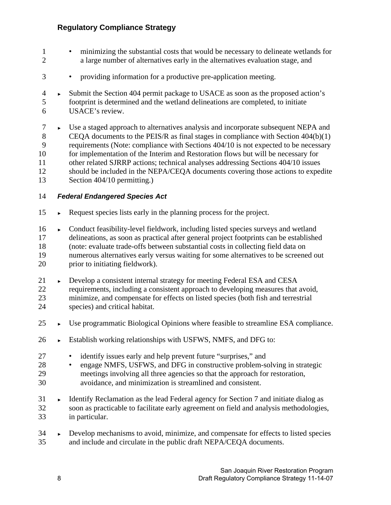- 1 minimizing the substantial costs that would be necessary to delineate wetlands for 2 a large number of alternatives early in the alternatives evaluation stage, and
- 3 providing information for a productive pre-application meeting.
- 4 ► Submit the Section 404 permit package to USACE as soon as the proposed action's 5 footprint is determined and the wetland delineations are completed, to initiate 6 USACE's review.
- 7 ► Use a staged approach to alternatives analysis and incorporate subsequent NEPA and 8 CEQA documents to the PEIS/R as final stages in compliance with Section 404(b)(1)<br>9 requirements (Note: compliance with Sections 404/10 is not expected to be necessary requirements (Note: compliance with Sections 404/10 is not expected to be necessary 10 for implementation of the Interim and Restoration flows but will be necessary for 11 other related SJRRP actions; technical analyses addressing Sections 404/10 issues 12 should be included in the NEPA/CEQA documents covering those actions to expedite 13 Section 404/10 permitting.)

#### 14 *Federal Endangered Species Act*

- 15 ► Request species lists early in the planning process for the project.
- 16 ► Conduct feasibility-level fieldwork, including listed species surveys and wetland 17 delineations, as soon as practical after general project footprints can be established 18 (note: evaluate trade-offs between substantial costs in collecting field data on 19 numerous alternatives early versus waiting for some alternatives to be screened out 20 prior to initiating fieldwork).
- 21 ► Develop a consistent internal strategy for meeting Federal ESA and CESA 22 requirements, including a consistent approach to developing measures that avoid, 23 minimize, and compensate for effects on listed species (both fish and terrestrial 24 species) and critical habitat.
- 25 ► Use programmatic Biological Opinions where feasible to streamline ESA compliance.
- 26 ► Establish working relationships with USFWS, NMFS, and DFG to:
- 27 identify issues early and help prevent future "surprises," and
- 28 engage NMFS, USFWS, and DFG in constructive problem-solving in strategic 29 meetings involving all three agencies so that the approach for restoration, 30 avoidance, and minimization is streamlined and consistent.
- 31 ► Identify Reclamation as the lead Federal agency for Section 7 and initiate dialog as 32 soon as practicable to facilitate early agreement on field and analysis methodologies, 33 in particular.
- 34 ► Develop mechanisms to avoid, minimize, and compensate for effects to listed species 35 and include and circulate in the public draft NEPA/CEQA documents.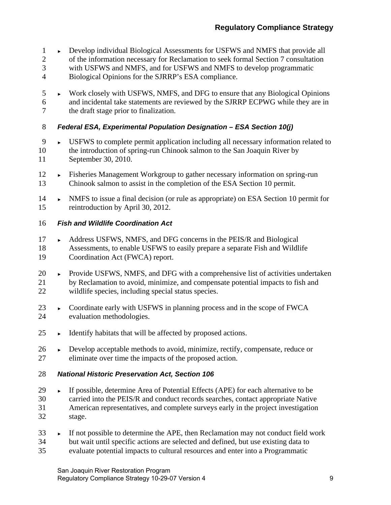- 1 ► Develop individual Biological Assessments for USFWS and NMFS that provide all 2 of the information necessary for Reclamation to seek formal Section 7 consultation 3 with USFWS and NMFS, and for USFWS and NMFS to develop programmatic
- 4 Biological Opinions for the SJRRP's ESA compliance.
- 5 ► Work closely with USFWS, NMFS, and DFG to ensure that any Biological Opinions 6 and incidental take statements are reviewed by the SJRRP ECPWG while they are in 7 the draft stage prior to finalization.

#### 8 *Federal ESA, Experimental Population Designation – ESA Section 10(j)*

- 9 ► USFWS to complete permit application including all necessary information related to 10 the introduction of spring-run Chinook salmon to the San Joaquin River by 11 September 30, 2010.
- 12 ► Fisheries Management Workgroup to gather necessary information on spring-run 13 Chinook salmon to assist in the completion of the ESA Section 10 permit.
- 14 ► NMFS to issue a final decision (or rule as appropriate) on ESA Section 10 permit for 15 reintroduction by April 30, 2012.

#### 16 *Fish and Wildlife Coordination Act*

- 17 ► Address USFWS, NMFS, and DFG concerns in the PEIS/R and Biological 18 Assessments, to enable USFWS to easily prepare a separate Fish and Wildlife 19 Coordination Act (FWCA) report.
- 20 ► Provide USFWS, NMFS, and DFG with a comprehensive list of activities undertaken 21 by Reclamation to avoid, minimize, and compensate potential impacts to fish and 22 wildlife species, including special status species.
- 23 ► Coordinate early with USFWS in planning process and in the scope of FWCA 24 evaluation methodologies.
- 25 ► Identify habitats that will be affected by proposed actions.
- 26 ► Develop acceptable methods to avoid, minimize, rectify, compensate, reduce or 27 eliminate over time the impacts of the proposed action.

#### 28 *National Historic Preservation Act, Section 106*

- 29 ► If possible, determine Area of Potential Effects (APE) for each alternative to be 30 carried into the PEIS/R and conduct records searches, contact appropriate Native 31 American representatives, and complete surveys early in the project investigation 32 stage.
- 33 ► If not possible to determine the APE, then Reclamation may not conduct field work 34 but wait until specific actions are selected and defined, but use existing data to 35 evaluate potential impacts to cultural resources and enter into a Programmatic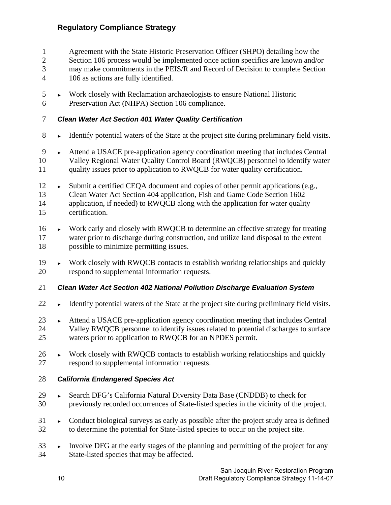1 Agreement with the State Historic Preservation Officer (SHPO) detailing how the

2 Section 106 process would be implemented once action specifics are known and/or

3 may make commitments in the PEIS/R and Record of Decision to complete Section

- 4 106 as actions are fully identified.
- 5 ► Work closely with Reclamation archaeologists to ensure National Historic
- 6 Preservation Act (NHPA) Section 106 compliance.

#### 7 *Clean Water Act Section 401 Water Quality Certification*

- 8 ► Identify potential waters of the State at the project site during preliminary field visits.
- 9 ► Attend a USACE pre-application agency coordination meeting that includes Central 10 Valley Regional Water Quality Control Board (RWQCB) personnel to identify water 11 quality issues prior to application to RWQCB for water quality certification.
- 12 ► Submit a certified CEQA document and copies of other permit applications (e.g., 13 Clean Water Act Section 404 application, Fish and Game Code Section 1602 14 application, if needed) to RWQCB along with the application for water quality 15 certification.
- 16 ► Work early and closely with RWQCB to determine an effective strategy for treating 17 water prior to discharge during construction, and utilize land disposal to the extent 18 possible to minimize permitting issues.
- 19 ► Work closely with RWQCB contacts to establish working relationships and quickly 20 respond to supplemental information requests.

#### 21 *Clean Water Act Section 402 National Pollution Discharge Evaluation System*

- 22 ► Identify potential waters of the State at the project site during preliminary field visits.
- 23 ► Attend a USACE pre-application agency coordination meeting that includes Central 24 Valley RWQCB personnel to identify issues related to potential discharges to surface 25 waters prior to application to RWQCB for an NPDES permit.
- 26 ► Work closely with RWQCB contacts to establish working relationships and quickly 27 respond to supplemental information requests.

#### 28 *California Endangered Species Act*

- 29 ► Search DFG's California Natural Diversity Data Base (CNDDB) to check for 30 previously recorded occurrences of State-listed species in the vicinity of the project.
- 31 ► Conduct biological surveys as early as possible after the project study area is defined 32 to determine the potential for State-listed species to occur on the project site.
- 33 ► Involve DFG at the early stages of the planning and permitting of the project for any 34 State-listed species that may be affected.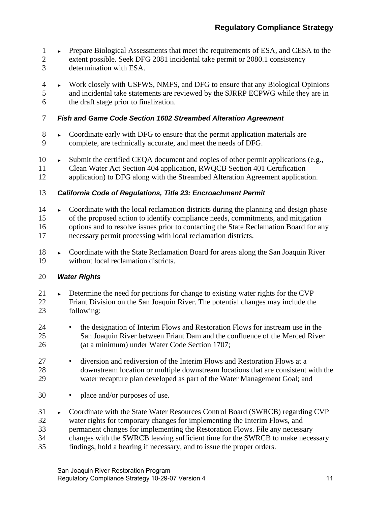- 1 ► Prepare Biological Assessments that meet the requirements of ESA, and CESA to the
- 2 extent possible. Seek DFG 2081 incidental take permit or 2080.1 consistency 3 determination with ESA.
- 4 ► Work closely with USFWS, NMFS, and DFG to ensure that any Biological Opinions 5 and incidental take statements are reviewed by the SJRRP ECPWG while they are in 6 the draft stage prior to finalization.

#### 7 *Fish and Game Code Section 1602 Streambed Alteration Agreement*

- 8 ► Coordinate early with DFG to ensure that the permit application materials are 9 complete, are technically accurate, and meet the needs of DFG.
- 10 ► Submit the certified CEQA document and copies of other permit applications (e.g., 11 Clean Water Act Section 404 application, RWQCB Section 401 Certification 12 application) to DFG along with the Streambed Alteration Agreement application.

#### 13 *California Code of Regulations, Title 23: Encroachment Permit*

- 14 ► Coordinate with the local reclamation districts during the planning and design phase 15 of the proposed action to identify compliance needs, commitments, and mitigation 16 options and to resolve issues prior to contacting the State Reclamation Board for any 17 necessary permit processing with local reclamation districts.
- 18 ► Coordinate with the State Reclamation Board for areas along the San Joaquin River 19 without local reclamation districts.

#### 20 *Water Rights*

- 21 ► Determine the need for petitions for change to existing water rights for the CVP 22 Friant Division on the San Joaquin River. The potential changes may include the 23 following:
- 24 the designation of Interim Flows and Restoration Flows for instream use in the 25 San Joaquin River between Friant Dam and the confluence of the Merced River 26 (at a minimum) under Water Code Section 1707;
- 27 diversion and rediversion of the Interim Flows and Restoration Flows at a 28 downstream location or multiple downstream locations that are consistent with the 29 water recapture plan developed as part of the Water Management Goal; and
- 30 place and/or purposes of use.
- 31 ► Coordinate with the State Water Resources Control Board (SWRCB) regarding CVP 32 water rights for temporary changes for implementing the Interim Flows, and 33 permanent changes for implementing the Restoration Flows. File any necessary 34 changes with the SWRCB leaving sufficient time for the SWRCB to make necessary 35 findings, hold a hearing if necessary, and to issue the proper orders.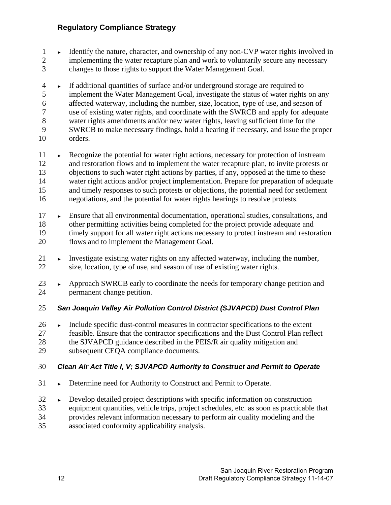- 1 ► Identify the nature, character, and ownership of any non-CVP water rights involved in 2 implementing the water recapture plan and work to voluntarily secure any necessary 3 changes to those rights to support the Water Management Goal.
- 4 ► If additional quantities of surface and/or underground storage are required to 5 implement the Water Management Goal, investigate the status of water rights on any 6 affected waterway, including the number, size, location, type of use, and season of 7 use of existing water rights, and coordinate with the SWRCB and apply for adequate 8 water rights amendments and/or new water rights, leaving sufficient time for the 9 SWRCB to make necessary findings, hold a hearing if necessary, and issue the proper 10 orders.
- 11 ► Recognize the potential for water right actions, necessary for protection of instream 12 and restoration flows and to implement the water recapture plan, to invite protests or 13 objections to such water right actions by parties, if any, opposed at the time to these 14 water right actions and/or project implementation. Prepare for preparation of adequate 15 and timely responses to such protests or objections, the potential need for settlement 16 negotiations, and the potential for water rights hearings to resolve protests.
- 17 ► Ensure that all environmental documentation, operational studies, consultations, and 18 other permitting activities being completed for the project provide adequate and 19 timely support for all water right actions necessary to protect instream and restoration 20 flows and to implement the Management Goal.
- 21 ► Investigate existing water rights on any affected waterway, including the number, 22 size, location, type of use, and season of use of existing water rights.
- 23 ► Approach SWRCB early to coordinate the needs for temporary change petition and 24 permanent change petition.

#### 25 *San Joaquin Valley Air Pollution Control District (SJVAPCD) Dust Control Plan*

26 ► Include specific dust-control measures in contractor specifications to the extent 27 feasible. Ensure that the contractor specifications and the Dust Control Plan reflect 28 the SJVAPCD guidance described in the PEIS/R air quality mitigation and 29 subsequent CEQA compliance documents.

#### 30 *Clean Air Act Title I, V; SJVAPCD Authority to Construct and Permit to Operate*

- 31 ► Determine need for Authority to Construct and Permit to Operate.
- 32 ► Develop detailed project descriptions with specific information on construction 33 equipment quantities, vehicle trips, project schedules, etc. as soon as practicable that 34 provides relevant information necessary to perform air quality modeling and the 35 associated conformity applicability analysis.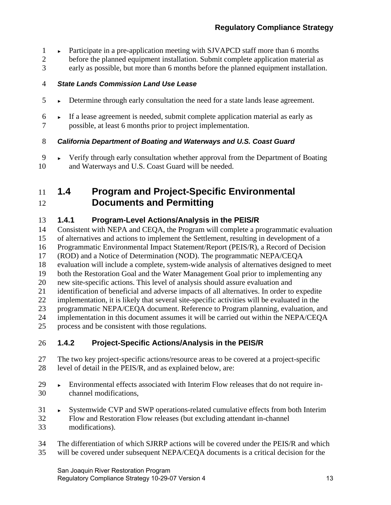- 1 ► Participate in a pre-application meeting with SJVAPCD staff more than 6 months
- 2 before the planned equipment installation. Submit complete application material as
- 3 early as possible, but more than 6 months before the planned equipment installation.

#### 4 *State Lands Commission Land Use Lease*

- 5 ► Determine through early consultation the need for a state lands lease agreement.
- 6 ► If a lease agreement is needed, submit complete application material as early as 7 possible, at least 6 months prior to project implementation.

#### 8 *California Department of Boating and Waterways and U.S. Coast Guard*

9 ► Verify through early consultation whether approval from the Department of Boating 10 and Waterways and U.S. Coast Guard will be needed.

### 11 **1.4 Program and Project-Specific Environmental**  12 **Documents and Permitting**

#### 13 **1.4.1 Program-Level Actions/Analysis in the PEIS/R**

14 Consistent with NEPA and CEQA, the Program will complete a programmatic evaluation 15 of alternatives and actions to implement the Settlement, resulting in development of a 16 Programmatic Environmental Impact Statement/Report (PEIS/R), a Record of Decision 17 (ROD) and a Notice of Determination (NOD). The programmatic NEPA/CEQA 18 evaluation will include a complete, system-wide analysis of alternatives designed to meet 19 both the Restoration Goal and the Water Management Goal prior to implementing any 20 new site-specific actions. This level of analysis should assure evaluation and 21 identification of beneficial and adverse impacts of all alternatives. In order to expedite 22 implementation, it is likely that several site-specific activities will be evaluated in the 23 programmatic NEPA/CEQA document. Reference to Program planning, evaluation, and 24 implementation in this document assumes it will be carried out within the NEPA/CEQA

25 process and be consistent with those regulations.

#### 26 **1.4.2 Project-Specific Actions/Analysis in the PEIS/R**

- 27 The two key project-specific actions/resource areas to be covered at a project-specific 28 level of detail in the PEIS/R, and as explained below, are:
- 29 ► Environmental effects associated with Interim Flow releases that do not require in-30 channel modifications,
- 31 ► Systemwide CVP and SWP operations-related cumulative effects from both Interim 32 Flow and Restoration Flow releases (but excluding attendant in-channel 33 modifications).
- 34 The differentiation of which SJRRP actions will be covered under the PEIS/R and which
- 35 will be covered under subsequent NEPA/CEQA documents is a critical decision for the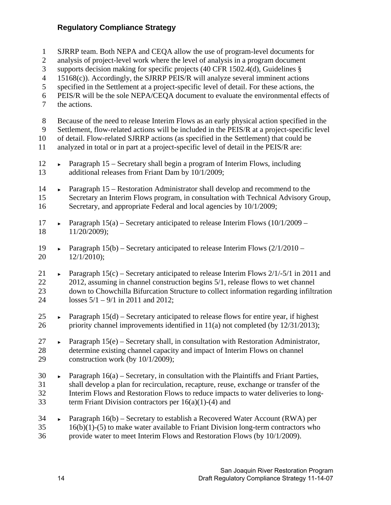- 1 SJRRP team. Both NEPA and CEQA allow the use of program-level documents for
- 2 analysis of project-level work where the level of analysis in a program document
- 3 supports decision making for specific projects (40 CFR 1502.4(d), Guidelines §
- 4 15168(c)). Accordingly, the SJRRP PEIS/R will analyze several imminent actions
- 5 specified in the Settlement at a project-specific level of detail. For these actions, the
- 6 PEIS/R will be the sole NEPA/CEQA document to evaluate the environmental effects of
- 7 the actions.
- 8 Because of the need to release Interim Flows as an early physical action specified in the
- 9 Settlement, flow-related actions will be included in the PEIS/R at a project-specific level

10 of detail. Flow-related SJRRP actions (as specified in the Settlement) that could be

- 11 analyzed in total or in part at a project-specific level of detail in the PEIS/R are:
- 12 ► Paragraph 15 Secretary shall begin a program of Interim Flows, including 13 additional releases from Friant Dam by 10/1/2009;
- 14 ► Paragraph 15 Restoration Administrator shall develop and recommend to the 15 Secretary an Interim Flows program, in consultation with Technical Advisory Group, 16 Secretary, and appropriate Federal and local agencies by 10/1/2009;
- 17 ► Paragraph  $15(a)$  Secretary anticipated to release Interim Flows  $(10/1/2009 -$ 18 11/20/2009);
- 19 ► Paragraph 15(b) Secretary anticipated to release Interim Flows (2/1/2010 20 12/1/2010);
- 21 ► Paragraph 15(c) Secretary anticipated to release Interim Flows  $2/1/-5/1$  in 2011 and 22 2012, assuming in channel construction begins 5/1, release flows to wet channel 23 down to Chowchilla Bifurcation Structure to collect information regarding infiltration 24 losses 5/1 – 9/1 in 2011 and 2012;
- 25 ► Paragraph  $15(d)$  Secretary anticipated to release flows for entire year, if highest 26 priority channel improvements identified in 11(a) not completed (by 12/31/2013);
- 27  $\rightarrow$  Paragraph 15(e) Secretary shall, in consultation with Restoration Administrator, 28 determine existing channel capacity and impact of Interim Flows on channel 29 construction work (by 10/1/2009);
- 30 ► Paragraph  $16(a)$  Secretary, in consultation with the Plaintiffs and Friant Parties, 31 shall develop a plan for recirculation, recapture, reuse, exchange or transfer of the 32 Interim Flows and Restoration Flows to reduce impacts to water deliveries to long-33 term Friant Division contractors per  $16(a)(1)-(4)$  and
- $34 \rightarrow$  Paragraph 16(b) Secretary to establish a Recovered Water Account (RWA) per 35 16(b)(1)-(5) to make water available to Friant Division long-term contractors who 36 provide water to meet Interim Flows and Restoration Flows (by 10/1/2009).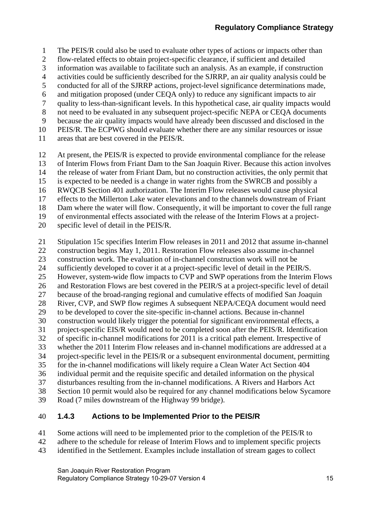1 The PEIS/R could also be used to evaluate other types of actions or impacts other than

2 flow-related effects to obtain project-specific clearance, if sufficient and detailed

3 information was available to facilitate such an analysis. As an example, if construction

4 activities could be sufficiently described for the SJRRP, an air quality analysis could be

- 5 conducted for all of the SJRRP actions, project-level significance determinations made,
- 6 and mitigation proposed (under CEQA only) to reduce any significant impacts to air
- 7 quality to less-than-significant levels. In this hypothetical case, air quality impacts would

8 not need to be evaluated in any subsequent project-specific NEPA or CEQA documents

9 because the air quality impacts would have already been discussed and disclosed in the

10 PEIS/R. The ECPWG should evaluate whether there are any similar resources or issue

11 areas that are best covered in the PEIS/R.

12 At present, the PEIS/R is expected to provide environmental compliance for the release

13 of Interim Flows from Friant Dam to the San Joaquin River. Because this action involves

14 the release of water from Friant Dam, but no construction activities, the only permit that

- 15 is expected to be needed is a change in water rights from the SWRCB and possibly a
- 16 RWQCB Section 401 authorization. The Interim Flow releases would cause physical
- 17 effects to the Millerton Lake water elevations and to the channels downstream of Friant

18 Dam where the water will flow. Consequently, it will be important to cover the full range

19 of environmental effects associated with the release of the Interim Flows at a project-

20 specific level of detail in the PEIS/R.

21 Stipulation 15c specifies Interim Flow releases in 2011 and 2012 that assume in-channel

22 construction begins May 1, 2011. Restoration Flow releases also assume in-channel

23 construction work. The evaluation of in-channel construction work will not be

24 sufficiently developed to cover it at a project-specific level of detail in the PEIR/S.

- 25 However, system-wide flow impacts to CVP and SWP operations from the Interim Flows
- 26 and Restoration Flows are best covered in the PEIR/S at a project-specific level of detail

27 because of the broad-ranging regional and cumulative effects of modified San Joaquin 28 River, CVP, and SWP flow regimes A subsequent NEPA/CEQA document would need

- 29 to be developed to cover the site-specific in-channel actions. Because in-channel
- 30 construction would likely trigger the potential for significant environmental effects, a
- 31 project-specific EIS/R would need to be completed soon after the PEIS/R. Identification
- 32 of specific in-channel modifications for 2011 is a critical path element. Irrespective of

33 whether the 2011 Interim Flow releases and in-channel modifications are addressed at a

34 project-specific level in the PEIS/R or a subsequent environmental document, permitting

35 for the in-channel modifications will likely require a Clean Water Act Section 404

36 individual permit and the requisite specific and detailed information on the physical

37 disturbances resulting from the in-channel modifications. A Rivers and Harbors Act

38 Section 10 permit would also be required for any channel modifications below Sycamore 39 Road (7 miles downstream of the Highway 99 bridge).

### 40 **1.4.3 Actions to be Implemented Prior to the PEIS/R**

41 Some actions will need to be implemented prior to the completion of the PEIS/R to

- 42 adhere to the schedule for release of Interim Flows and to implement specific projects
- 43 identified in the Settlement. Examples include installation of stream gages to collect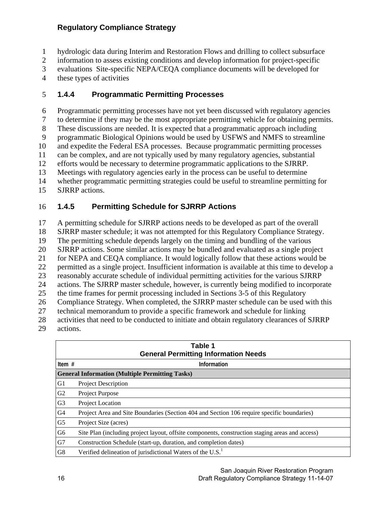1 hydrologic data during Interim and Restoration Flows and drilling to collect subsurface

2 information to assess existing conditions and develop information for project-specific

3 evaluations Site-specific NEPA/CEQA compliance documents will be developed for

4 these types of activities

#### 5 **1.4.4 Programmatic Permitting Processes**

6 Programmatic permitting processes have not yet been discussed with regulatory agencies 7 to determine if they may be the most appropriate permitting vehicle for obtaining permits. 8 These discussions are needed. It is expected that a programmatic approach including 9 programmatic Biological Opinions would be used by USFWS and NMFS to streamline 10 and expedite the Federal ESA processes. Because programmatic permitting processes 11 can be complex, and are not typically used by many regulatory agencies, substantial 12 efforts would be necessary to determine programmatic applications to the SJRRP. 13 Meetings with regulatory agencies early in the process can be useful to determine 14 whether programmatic permitting strategies could be useful to streamline permitting for 15 SJRRP actions.

#### 16 **1.4.5 Permitting Schedule for SJRRP Actions**

17 A permitting schedule for SJRRP actions needs to be developed as part of the overall 18 SJRRP master schedule; it was not attempted for this Regulatory Compliance Strategy. 19 The permitting schedule depends largely on the timing and bundling of the various 20 SJRRP actions. Some similar actions may be bundled and evaluated as a single project 21 for NEPA and CEQA compliance. It would logically follow that these actions would be 22 permitted as a single project. Insufficient information is available at this time to develop a 23 reasonably accurate schedule of individual permitting activities for the various SJRRP 24 actions. The SJRRP master schedule, however, is currently being modified to incorporate 25 the time frames for permit processing included in Sections 3-5 of this Regulatory 26 Compliance Strategy. When completed, the SJRRP master schedule can be used with this

27 technical memorandum to provide a specific framework and schedule for linking

- 28 activities that need to be conducted to initiate and obtain regulatory clearances of SJRRP
- 29 actions.

|                | Table 1<br><b>General Permitting Information Needs</b>                                          |  |  |  |  |  |
|----------------|-------------------------------------------------------------------------------------------------|--|--|--|--|--|
| Item $#$       | Information                                                                                     |  |  |  |  |  |
|                | <b>General Information (Multiple Permitting Tasks)</b>                                          |  |  |  |  |  |
| G <sub>1</sub> | <b>Project Description</b>                                                                      |  |  |  |  |  |
| G2             | Project Purpose                                                                                 |  |  |  |  |  |
| G <sub>3</sub> | Project Location                                                                                |  |  |  |  |  |
| G <sub>4</sub> | Project Area and Site Boundaries (Section 404 and Section 106 require specific boundaries)      |  |  |  |  |  |
| G <sub>5</sub> | Project Size (acres)                                                                            |  |  |  |  |  |
| G <sub>6</sub> | Site Plan (including project layout, offsite components, construction staging areas and access) |  |  |  |  |  |
| G7             | Construction Schedule (start-up, duration, and completion dates)                                |  |  |  |  |  |
| G8             | Verified delineation of jurisdictional Waters of the U.S. <sup>1</sup>                          |  |  |  |  |  |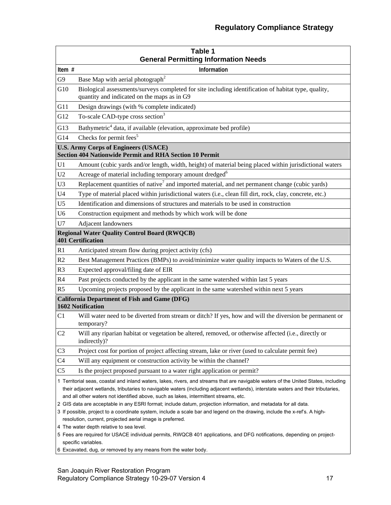| Table 1<br><b>General Permitting Information Needs</b> |                                                                                                                                                                                                                                                                                                                                                                 |  |  |  |  |  |
|--------------------------------------------------------|-----------------------------------------------------------------------------------------------------------------------------------------------------------------------------------------------------------------------------------------------------------------------------------------------------------------------------------------------------------------|--|--|--|--|--|
| Item $#$                                               | Information                                                                                                                                                                                                                                                                                                                                                     |  |  |  |  |  |
| G <sub>9</sub>                                         | Base Map with aerial photograph <sup>2</sup>                                                                                                                                                                                                                                                                                                                    |  |  |  |  |  |
| G10                                                    | Biological assessments/surveys completed for site including identification of habitat type, quality,<br>quantity and indicated on the maps as in G9                                                                                                                                                                                                             |  |  |  |  |  |
| G11                                                    | Design drawings (with % complete indicated)                                                                                                                                                                                                                                                                                                                     |  |  |  |  |  |
| G12                                                    | To-scale CAD-type cross section <sup>3</sup>                                                                                                                                                                                                                                                                                                                    |  |  |  |  |  |
| G13                                                    | Bathymetric <sup>4</sup> data, if available (elevation, approximate bed profile)                                                                                                                                                                                                                                                                                |  |  |  |  |  |
| G14                                                    | Checks for permit fees <sup>5</sup>                                                                                                                                                                                                                                                                                                                             |  |  |  |  |  |
|                                                        | <b>U.S. Army Corps of Engineers (USACE)</b><br><b>Section 404 Nationwide Permit and RHA Section 10 Permit</b>                                                                                                                                                                                                                                                   |  |  |  |  |  |
| U1                                                     | Amount (cubic yards and/or length, width, height) of material being placed within jurisdictional waters                                                                                                                                                                                                                                                         |  |  |  |  |  |
| U <sub>2</sub>                                         | Acreage of material including temporary amount dredged <sup>6</sup>                                                                                                                                                                                                                                                                                             |  |  |  |  |  |
| U <sub>3</sub>                                         | Replacement quantities of native <sup>7</sup> and imported material, and net permanent change (cubic yards)                                                                                                                                                                                                                                                     |  |  |  |  |  |
| U <sub>4</sub>                                         | Type of material placed within jurisdictional waters (i.e., clean fill dirt, rock, clay, concrete, etc.)                                                                                                                                                                                                                                                        |  |  |  |  |  |
| U <sub>5</sub>                                         | Identification and dimensions of structures and materials to be used in construction                                                                                                                                                                                                                                                                            |  |  |  |  |  |
| U <sub>6</sub>                                         | Construction equipment and methods by which work will be done                                                                                                                                                                                                                                                                                                   |  |  |  |  |  |
| U7                                                     | Adjacent landowners                                                                                                                                                                                                                                                                                                                                             |  |  |  |  |  |
|                                                        | <b>Regional Water Quality Control Board (RWQCB)</b><br><b>401 Certification</b>                                                                                                                                                                                                                                                                                 |  |  |  |  |  |
| R1                                                     | Anticipated stream flow during project activity (cfs)                                                                                                                                                                                                                                                                                                           |  |  |  |  |  |
| R2                                                     | Best Management Practices (BMPs) to avoid/minimize water quality impacts to Waters of the U.S.                                                                                                                                                                                                                                                                  |  |  |  |  |  |
| R <sub>3</sub>                                         | Expected approval/filing date of EIR                                                                                                                                                                                                                                                                                                                            |  |  |  |  |  |
| R4                                                     | Past projects conducted by the applicant in the same watershed within last 5 years                                                                                                                                                                                                                                                                              |  |  |  |  |  |
| R <sub>5</sub>                                         | Upcoming projects proposed by the applicant in the same watershed within next 5 years                                                                                                                                                                                                                                                                           |  |  |  |  |  |
|                                                        | <b>California Department of Fish and Game (DFG)</b><br><b>1602 Notification</b>                                                                                                                                                                                                                                                                                 |  |  |  |  |  |
| C <sub>1</sub>                                         | Will water need to be diverted from stream or ditch? If yes, how and will the diversion be permanent or<br>temporary?                                                                                                                                                                                                                                           |  |  |  |  |  |
| C2                                                     | Will any riparian habitat or vegetation be altered, removed, or otherwise affected (i.e., directly or<br>indirectly)?                                                                                                                                                                                                                                           |  |  |  |  |  |
| C <sub>3</sub>                                         | Project cost for portion of project affecting stream, lake or river (used to calculate permit fee)                                                                                                                                                                                                                                                              |  |  |  |  |  |
| C4                                                     | Will any equipment or construction activity be within the channel?                                                                                                                                                                                                                                                                                              |  |  |  |  |  |
| C5                                                     | Is the project proposed pursuant to a water right application or permit?                                                                                                                                                                                                                                                                                        |  |  |  |  |  |
|                                                        | 1 Territorial seas, coastal and inland waters, lakes, rivers, and streams that are navigable waters of the United States, including<br>their adjacent wetlands, tributaries to navigable waters (including adjacent wetlands), interstate waters and their tributaries,<br>and all other waters not identified above, such as lakes, intermittent streams, etc. |  |  |  |  |  |
|                                                        | 2 GIS data are acceptable in any ESRI format; include datum, projection information, and metadata for all data.                                                                                                                                                                                                                                                 |  |  |  |  |  |
|                                                        | 3 If possible, project to a coordinate system, include a scale bar and legend on the drawing, include the x-ref's. A high-<br>resolution, current, projected aerial image is preferred.                                                                                                                                                                         |  |  |  |  |  |
|                                                        | 4 The water depth relative to sea level.                                                                                                                                                                                                                                                                                                                        |  |  |  |  |  |
|                                                        | 5 Fees are required for USACE individual permits, RWQCB 401 applications, and DFG notifications, depending on project-                                                                                                                                                                                                                                          |  |  |  |  |  |
|                                                        | specific variables.                                                                                                                                                                                                                                                                                                                                             |  |  |  |  |  |
|                                                        | 6 Excavated, dug, or removed by any means from the water body.                                                                                                                                                                                                                                                                                                  |  |  |  |  |  |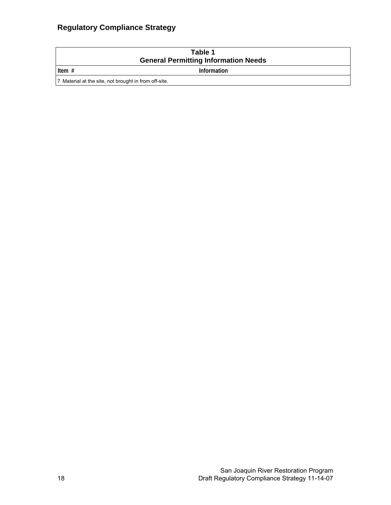| Table 1<br><b>General Permitting Information Needs</b> |             |  |  |  |
|--------------------------------------------------------|-------------|--|--|--|
| Item $#$                                               | Information |  |  |  |
| 7 Material at the site, not brought in from off-site.  |             |  |  |  |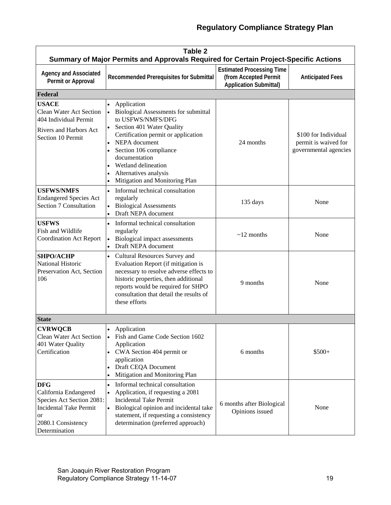| <b>Table 2</b><br>Summary of Major Permits and Approvals Required for Certain Project-Specific Actions                                                                                                                                                                                                                                                                                                                   |                                                                                                                                                                                                                                                                                                                                                                                              |                                                                                            |                                                                       |  |  |  |
|--------------------------------------------------------------------------------------------------------------------------------------------------------------------------------------------------------------------------------------------------------------------------------------------------------------------------------------------------------------------------------------------------------------------------|----------------------------------------------------------------------------------------------------------------------------------------------------------------------------------------------------------------------------------------------------------------------------------------------------------------------------------------------------------------------------------------------|--------------------------------------------------------------------------------------------|-----------------------------------------------------------------------|--|--|--|
| <b>Agency and Associated</b><br>Permit or Approval                                                                                                                                                                                                                                                                                                                                                                       | Recommended Prerequisites for Submittal                                                                                                                                                                                                                                                                                                                                                      | <b>Estimated Processing Time</b><br>(from Accepted Permit<br><b>Application Submittal)</b> | <b>Anticipated Fees</b>                                               |  |  |  |
| <b>Federal</b>                                                                                                                                                                                                                                                                                                                                                                                                           |                                                                                                                                                                                                                                                                                                                                                                                              |                                                                                            |                                                                       |  |  |  |
| <b>USACE</b><br><b>Clean Water Act Section</b><br>404 Individual Permit<br>Rivers and Harbors Act<br>Section 10 Permit                                                                                                                                                                                                                                                                                                   | Application<br>$\bullet$<br>$\bullet$<br><b>Biological Assessments for submittal</b><br>to USFWS/NMFS/DFG<br>Section 401 Water Quality<br>Certification permit or application<br>NEPA document<br>$\bullet$<br>Section 106 compliance<br>$\bullet$<br>documentation<br>Wetland delineation<br>$\bullet$<br>Alternatives analysis<br>$\bullet$<br>Mitigation and Monitoring Plan<br>$\bullet$ | 24 months                                                                                  | \$100 for Individual<br>permit is waived for<br>governmental agencies |  |  |  |
| <b>USFWS/NMFS</b><br><b>Endangered Species Act</b><br>Section 7 Consultation                                                                                                                                                                                                                                                                                                                                             | Informal technical consultation<br>$\bullet$<br>regularly<br><b>Biological Assessments</b><br>Draft NEPA document                                                                                                                                                                                                                                                                            | 135 days                                                                                   | None                                                                  |  |  |  |
| <b>USFWS</b><br>Fish and Wildlife<br><b>Coordination Act Report</b>                                                                                                                                                                                                                                                                                                                                                      | Informal technical consultation<br>$\bullet$<br>regularly<br>Biological impact assessments<br>Draft NEPA document                                                                                                                                                                                                                                                                            | $\sim$ 12 months                                                                           | None                                                                  |  |  |  |
| <b>SHPO/ACHP</b><br>National Historic<br>Preservation Act, Section<br>106                                                                                                                                                                                                                                                                                                                                                | Cultural Resources Survey and<br>$\bullet$<br>Evaluation Report (if mitigation is<br>necessary to resolve adverse effects to<br>historic properties, then additional<br>reports would be required for SHPO<br>consultation that detail the results of<br>these efforts                                                                                                                       | 9 months                                                                                   | None                                                                  |  |  |  |
| <b>State</b>                                                                                                                                                                                                                                                                                                                                                                                                             |                                                                                                                                                                                                                                                                                                                                                                                              |                                                                                            |                                                                       |  |  |  |
| <b>CVRWQCB</b><br>Clean Water Act Section<br>401 Water Quality<br>Certification                                                                                                                                                                                                                                                                                                                                          | Application<br>$\bullet$<br>Fish and Game Code Section 1602<br>$\bullet$<br>Application<br>CWA Section 404 permit or<br>application<br>Draft CEQA Document<br>$\bullet$<br>Mitigation and Monitoring Plan                                                                                                                                                                                    | 6 months                                                                                   | $$500+$                                                               |  |  |  |
| <b>DFG</b><br>Informal technical consultation<br>$\bullet$<br>Application, if requesting a 2081<br>California Endangered<br>$\bullet$<br>Species Act Section 2081:<br><b>Incidental Take Permit</b><br><b>Incidental Take Permit</b><br>Biological opinion and incidental take<br>$\bullet$<br>statement, if requesting a consistency<br>or<br>determination (preferred approach)<br>2080.1 Consistency<br>Determination |                                                                                                                                                                                                                                                                                                                                                                                              | 6 months after Biological<br>Opinions issued                                               | None                                                                  |  |  |  |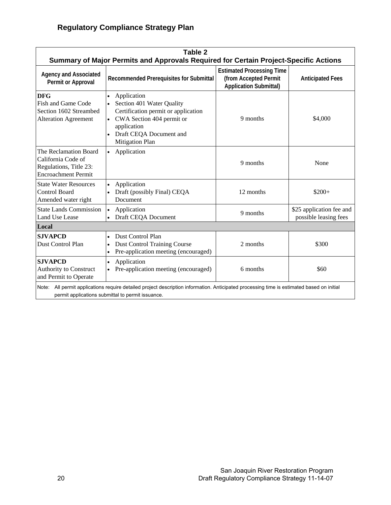| Table 2<br>Summary of Major Permits and Approvals Required for Certain Project-Specific Actions                                                                                                   |                                                                                                                                                                                                     |                                                                                            |                                                   |  |  |  |
|---------------------------------------------------------------------------------------------------------------------------------------------------------------------------------------------------|-----------------------------------------------------------------------------------------------------------------------------------------------------------------------------------------------------|--------------------------------------------------------------------------------------------|---------------------------------------------------|--|--|--|
| <b>Agency and Associated</b><br>Permit or Approval                                                                                                                                                | <b>Recommended Prerequisites for Submittal</b>                                                                                                                                                      | <b>Estimated Processing Time</b><br>(from Accepted Permit<br><b>Application Submittal)</b> | <b>Anticipated Fees</b>                           |  |  |  |
| <b>DFG</b><br>Fish and Game Code<br>Section 1602 Streambed<br><b>Alteration Agreement</b>                                                                                                         | Application<br>$\bullet$<br>Section 401 Water Quality<br>Certification permit or application<br>CWA Section 404 permit or<br>$\bullet$<br>application<br>Draft CEQA Document and<br>Mitigation Plan | 9 months                                                                                   | \$4,000                                           |  |  |  |
| The Reclamation Board<br>California Code of<br>Regulations, Title 23:<br><b>Encroachment Permit</b>                                                                                               | Application<br>$\bullet$                                                                                                                                                                            | 9 months                                                                                   | None                                              |  |  |  |
| <b>State Water Resources</b><br>Control Board<br>Amended water right                                                                                                                              | Application<br>$\bullet$<br>Draft (possibly Final) CEQA<br>Document                                                                                                                                 | 12 months                                                                                  | $$200+$                                           |  |  |  |
| <b>State Lands Commission</b><br><b>Land Use Lease</b>                                                                                                                                            | Application<br>$\bullet$<br>Draft CEQA Document<br>$\bullet$                                                                                                                                        | 9 months                                                                                   | \$25 application fee and<br>possible leasing fees |  |  |  |
| Local                                                                                                                                                                                             |                                                                                                                                                                                                     |                                                                                            |                                                   |  |  |  |
| <b>SJVAPCD</b><br>Dust Control Plan                                                                                                                                                               | Dust Control Plan<br>$\bullet$<br><b>Dust Control Training Course</b><br>$\bullet$<br>Pre-application meeting (encouraged)<br>$\bullet$                                                             | 2 months                                                                                   | \$300                                             |  |  |  |
| <b>SJVAPCD</b><br>Authority to Construct<br>and Permit to Operate                                                                                                                                 | Application<br>$\bullet$<br>Pre-application meeting (encouraged)                                                                                                                                    | 6 months                                                                                   | \$60                                              |  |  |  |
| All permit applications require detailed project description information. Anticipated processing time is estimated based on initial<br>Note:<br>permit applications submittal to permit issuance. |                                                                                                                                                                                                     |                                                                                            |                                                   |  |  |  |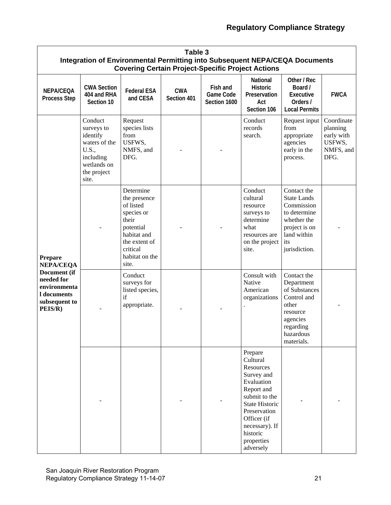| Table 3<br>Integration of Environmental Permitting into Subsequent NEPA/CEQA Documents<br><b>Covering Certain Project-Specific Project Actions</b> |                                                                                                                 |                                                                                                                                                   |                           |                                       |                                                                                                                                                                                                       |                                                                                                                                        |                                                                     |  |  |
|----------------------------------------------------------------------------------------------------------------------------------------------------|-----------------------------------------------------------------------------------------------------------------|---------------------------------------------------------------------------------------------------------------------------------------------------|---------------------------|---------------------------------------|-------------------------------------------------------------------------------------------------------------------------------------------------------------------------------------------------------|----------------------------------------------------------------------------------------------------------------------------------------|---------------------------------------------------------------------|--|--|
| <b>NEPA/CEQA</b><br><b>Process Step</b>                                                                                                            | <b>CWA Section</b><br>404 and RHA<br>Section 10                                                                 | <b>Federal ESA</b><br>and CESA                                                                                                                    | <b>CWA</b><br>Section 401 | Fish and<br>Game Code<br>Section 1600 | National<br><b>Historic</b><br>Preservation<br>Act<br>Section 106                                                                                                                                     | Other / Rec<br>Board /<br>Executive<br>Orders /<br><b>Local Permits</b>                                                                | <b>FWCA</b>                                                         |  |  |
|                                                                                                                                                    | Conduct<br>surveys to<br>identify<br>waters of the<br>U.S.,<br>including<br>wetlands on<br>the project<br>site. | Request<br>species lists<br>from<br>USFWS,<br>NMFS, and<br>DFG.                                                                                   |                           |                                       | Conduct<br>records<br>search.                                                                                                                                                                         | Request input<br>from<br>appropriate<br>agencies<br>early in the<br>process.                                                           | Coordinate<br>planning<br>early with<br>USFWS,<br>NMFS, and<br>DFG. |  |  |
| Prepare<br>NEPA/CEQA                                                                                                                               |                                                                                                                 | Determine<br>the presence<br>of listed<br>species or<br>their<br>potential<br>habitat and<br>the extent of<br>critical<br>habitat on the<br>site. |                           |                                       | Conduct<br>cultural<br>resource<br>surveys to<br>determine<br>what<br>resources are<br>on the project<br>site.                                                                                        | Contact the<br><b>State Lands</b><br>Commission<br>to determine<br>whether the<br>project is on<br>land within<br>its<br>jurisdiction. |                                                                     |  |  |
| Document (if<br>needed for<br>environmenta<br>I documents<br>subsequent to<br>PEIS/R)                                                              |                                                                                                                 | Conduct<br>surveys for<br>listed species,<br>if<br>appropriate.                                                                                   |                           |                                       | Consult with<br>Native<br>American<br>organizations                                                                                                                                                   | Contact the<br>Department<br>of Substances<br>Control and<br>other<br>resource<br>agencies<br>regarding<br>hazardous<br>materials.     |                                                                     |  |  |
|                                                                                                                                                    |                                                                                                                 |                                                                                                                                                   |                           |                                       | Prepare<br>Cultural<br>Resources<br>Survey and<br>Evaluation<br>Report and<br>submit to the<br>State Historic<br>Preservation<br>Officer (if<br>necessary). If<br>historic<br>properties<br>adversely |                                                                                                                                        |                                                                     |  |  |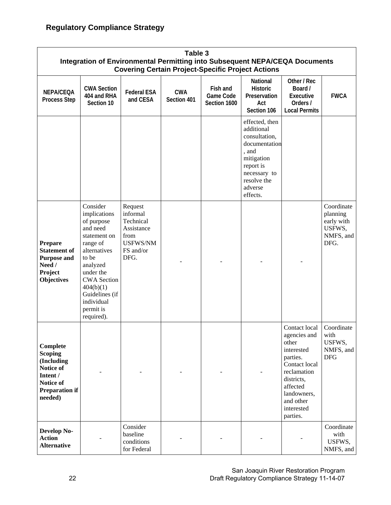| Table 3<br>Integration of Environmental Permitting into Subsequent NEPA/CEQA Documents<br><b>Covering Certain Project-Specific Project Actions</b> |                                                                                                                                                                                                                                |                                                                                                |                           |                                       |                                                                                                                                                          |                                                                                                                                                                                  |                                                                     |  |
|----------------------------------------------------------------------------------------------------------------------------------------------------|--------------------------------------------------------------------------------------------------------------------------------------------------------------------------------------------------------------------------------|------------------------------------------------------------------------------------------------|---------------------------|---------------------------------------|----------------------------------------------------------------------------------------------------------------------------------------------------------|----------------------------------------------------------------------------------------------------------------------------------------------------------------------------------|---------------------------------------------------------------------|--|
| <b>NEPA/CEQA</b><br><b>Process Step</b>                                                                                                            | <b>CWA Section</b><br>404 and RHA<br>Section 10                                                                                                                                                                                | <b>Federal ESA</b><br>and CESA                                                                 | <b>CWA</b><br>Section 401 | Fish and<br>Game Code<br>Section 1600 | National<br><b>Historic</b><br>Preservation<br>Act<br>Section 106                                                                                        | Other / Rec<br>Board /<br>Executive<br>Orders /<br><b>Local Permits</b>                                                                                                          | <b>FWCA</b>                                                         |  |
|                                                                                                                                                    |                                                                                                                                                                                                                                |                                                                                                |                           |                                       | effected, then<br>additional<br>consultation,<br>documentation<br>, and<br>mitigation<br>report is<br>necessary to<br>resolve the<br>adverse<br>effects. |                                                                                                                                                                                  |                                                                     |  |
| <b>Prepare</b><br><b>Statement of</b><br><b>Purpose and</b><br>Need /<br>Project<br><b>Objectives</b>                                              | Consider<br>implications<br>of purpose<br>and need<br>statement on<br>range of<br>alternatives<br>to be<br>analyzed<br>under the<br><b>CWA</b> Section<br>404(b)(1)<br>Guidelines (if<br>individual<br>permit is<br>required). | Request<br>informal<br>Technical<br>Assistance<br>from<br><b>USFWS/NM</b><br>FS and/or<br>DFG. |                           |                                       |                                                                                                                                                          |                                                                                                                                                                                  | Coordinate<br>planning<br>early with<br>USFWS,<br>NMFS, and<br>DFG. |  |
| Complete<br><b>Scoping</b><br>(Including<br>Notice of<br>Intent /<br>Notice of<br><b>Preparation if</b><br>needed)                                 |                                                                                                                                                                                                                                |                                                                                                |                           |                                       |                                                                                                                                                          | Contact local<br>agencies and<br>other<br>interested<br>parties.<br>Contact local<br>reclamation<br>districts,<br>affected<br>landowners,<br>and other<br>interested<br>parties. | Coordinate<br>with<br>USFWS,<br>NMFS, and<br><b>DFG</b>             |  |
| Develop No-<br><b>Action</b><br><b>Alternative</b>                                                                                                 |                                                                                                                                                                                                                                | Consider<br>baseline<br>conditions<br>for Federal                                              |                           |                                       |                                                                                                                                                          |                                                                                                                                                                                  | Coordinate<br>with<br>USFWS,<br>NMFS, and                           |  |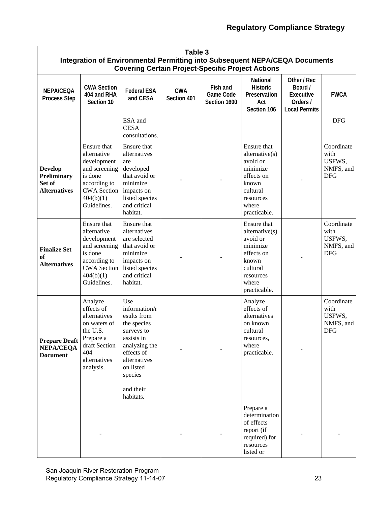| Table 3<br><b>Integration of Environmental Permitting into Subsequent NEPA/CEQA Documents</b><br><b>Covering Certain Project-Specific Project Actions</b> |                                                                                                                                                |                                                                                                                                                                                 |                           |                                       |                                                                                                                                |                                                                         |                                                         |  |
|-----------------------------------------------------------------------------------------------------------------------------------------------------------|------------------------------------------------------------------------------------------------------------------------------------------------|---------------------------------------------------------------------------------------------------------------------------------------------------------------------------------|---------------------------|---------------------------------------|--------------------------------------------------------------------------------------------------------------------------------|-------------------------------------------------------------------------|---------------------------------------------------------|--|
| <b>NEPA/CEQA</b><br><b>Process Step</b>                                                                                                                   | <b>CWA Section</b><br>404 and RHA<br>Section 10                                                                                                | <b>Federal ESA</b><br>and CESA                                                                                                                                                  | <b>CWA</b><br>Section 401 | Fish and<br>Game Code<br>Section 1600 | National<br><b>Historic</b><br>Preservation<br>Act<br>Section 106                                                              | Other / Rec<br>Board /<br>Executive<br>Orders /<br><b>Local Permits</b> | <b>FWCA</b>                                             |  |
|                                                                                                                                                           |                                                                                                                                                | ESA and<br><b>CESA</b><br>consultations.                                                                                                                                        |                           |                                       |                                                                                                                                |                                                                         | <b>DFG</b>                                              |  |
| <b>Develop</b><br>Preliminary<br>Set of<br><b>Alternatives</b>                                                                                            | Ensure that<br>alternative<br>development<br>and screening<br>is done<br>according to<br><b>CWA</b> Section<br>404(b)(1)<br>Guidelines.        | Ensure that<br>alternatives<br>are<br>developed<br>that avoid or<br>minimize<br>impacts on<br>listed species<br>and critical<br>habitat.                                        |                           |                                       | Ensure that<br>alternative(s)<br>avoid or<br>minimize<br>effects on<br>known<br>cultural<br>resources<br>where<br>practicable. |                                                                         | Coordinate<br>with<br>USFWS,<br>NMFS, and<br><b>DFG</b> |  |
| <b>Finalize Set</b><br><b>of</b><br><b>Alternatives</b>                                                                                                   | <b>Ensure that</b><br>alternative<br>development<br>and screening<br>is done<br>according to<br><b>CWA</b> Section<br>404(b)(1)<br>Guidelines. | Ensure that<br>alternatives<br>are selected<br>that avoid or<br>minimize<br>impacts on<br>listed species<br>and critical<br>habitat.                                            |                           |                                       | Ensure that<br>alternative(s)<br>avoid or<br>minimize<br>effects on<br>known<br>cultural<br>resources<br>where<br>practicable. |                                                                         | Coordinate<br>with<br>USFWS,<br>NMFS, and<br><b>DFG</b> |  |
| <b>Prepare Draft</b><br>NEPA/CEQA<br><b>Document</b>                                                                                                      | Analyze<br>effects of<br>alternatives<br>on waters of<br>the U.S.<br>Prepare a<br>draft Section<br>404<br>alternatives<br>analysis.            | Use<br>information/r<br>esults from<br>the species<br>surveys to<br>assists in<br>analyzing the<br>effects of<br>alternatives<br>on listed<br>species<br>and their<br>habitats. |                           |                                       | Analyze<br>effects of<br>alternatives<br>on known<br>cultural<br>resources,<br>where<br>practicable.                           |                                                                         | Coordinate<br>with<br>USFWS,<br>NMFS, and<br><b>DFG</b> |  |
|                                                                                                                                                           |                                                                                                                                                |                                                                                                                                                                                 |                           |                                       | Prepare a<br>determination<br>of effects<br>report (if<br>required) for<br>resources<br>listed or                              |                                                                         |                                                         |  |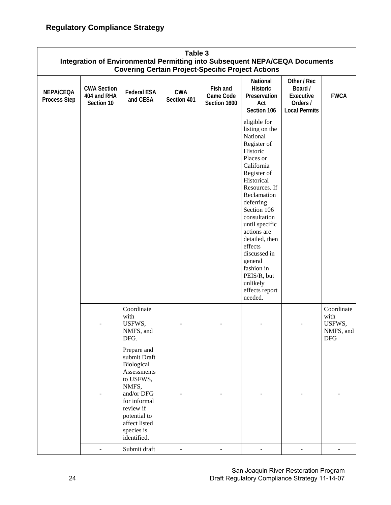$\mathbf{r}$ 

| Table 3<br>Integration of Environmental Permitting into Subsequent NEPA/CEQA Documents<br><b>Covering Certain Project-Specific Project Actions</b> |                                                 |                                                                                                                                                                                         |                           |                                       |                                                                                                                                                                                                                                                                                                                                                                          |                                                                         |                                                         |  |
|----------------------------------------------------------------------------------------------------------------------------------------------------|-------------------------------------------------|-----------------------------------------------------------------------------------------------------------------------------------------------------------------------------------------|---------------------------|---------------------------------------|--------------------------------------------------------------------------------------------------------------------------------------------------------------------------------------------------------------------------------------------------------------------------------------------------------------------------------------------------------------------------|-------------------------------------------------------------------------|---------------------------------------------------------|--|
| NEPA/CEQA<br>Process Step                                                                                                                          | <b>CWA Section</b><br>404 and RHA<br>Section 10 | <b>Federal ESA</b><br>and CESA                                                                                                                                                          | <b>CWA</b><br>Section 401 | Fish and<br>Game Code<br>Section 1600 | National<br><b>Historic</b><br>Preservation<br>Act<br>Section 106                                                                                                                                                                                                                                                                                                        | Other / Rec<br>Board /<br>Executive<br>Orders /<br><b>Local Permits</b> | <b>FWCA</b>                                             |  |
|                                                                                                                                                    |                                                 |                                                                                                                                                                                         |                           |                                       | eligible for<br>listing on the<br>National<br>Register of<br>Historic<br>Places or<br>California<br>Register of<br>Historical<br>Resources. If<br>Reclamation<br>deferring<br>Section 106<br>consultation<br>until specific<br>actions are<br>detailed, then<br>effects<br>discussed in<br>general<br>fashion in<br>PEIS/R, but<br>unlikely<br>effects report<br>needed. |                                                                         |                                                         |  |
|                                                                                                                                                    |                                                 | Coordinate<br>with<br>USFWS,<br>NMFS, and<br>DFG.                                                                                                                                       |                           |                                       |                                                                                                                                                                                                                                                                                                                                                                          |                                                                         | Coordinate<br>with<br>USFWS,<br>NMFS, and<br><b>DFG</b> |  |
|                                                                                                                                                    |                                                 | Prepare and<br>submit Draft<br>Biological<br>Assessments<br>to USFWS,<br>NMFS,<br>and/or DFG<br>for informal<br>review if<br>potential to<br>affect listed<br>species is<br>identified. |                           |                                       |                                                                                                                                                                                                                                                                                                                                                                          |                                                                         |                                                         |  |
|                                                                                                                                                    | $\blacksquare$                                  | Submit draft                                                                                                                                                                            | $\overline{a}$            | $\blacksquare$                        | ÷,                                                                                                                                                                                                                                                                                                                                                                       | $\blacksquare$                                                          | $\overline{\phantom{a}}$                                |  |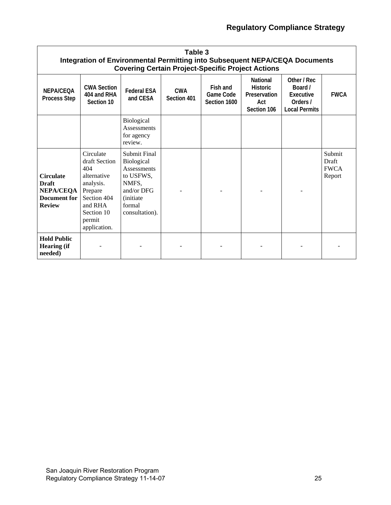| Table 3<br><b>Integration of Environmental Permitting into Subsequent NEPA/CEQA Documents</b><br><b>Covering Certain Project-Specific Project Actions</b> |                                                                                                                                            |                                                                                                                                       |                           |                                       |                                                                          |                                                                         |                                          |  |  |
|-----------------------------------------------------------------------------------------------------------------------------------------------------------|--------------------------------------------------------------------------------------------------------------------------------------------|---------------------------------------------------------------------------------------------------------------------------------------|---------------------------|---------------------------------------|--------------------------------------------------------------------------|-------------------------------------------------------------------------|------------------------------------------|--|--|
| <b>NEPA/CEQA</b><br><b>Process Step</b>                                                                                                                   | <b>CWA Section</b><br>404 and RHA<br>Section 10                                                                                            | <b>Federal ESA</b><br>and CESA                                                                                                        | <b>CWA</b><br>Section 401 | Fish and<br>Game Code<br>Section 1600 | <b>National</b><br><b>Historic</b><br>Preservation<br>Act<br>Section 106 | Other / Rec<br>Board /<br>Executive<br>Orders /<br><b>Local Permits</b> | <b>FWCA</b>                              |  |  |
|                                                                                                                                                           |                                                                                                                                            | Biological<br><b>Assessments</b><br>for agency<br>review.                                                                             |                           |                                       |                                                                          |                                                                         |                                          |  |  |
| <b>Circulate</b><br><b>Draft</b><br><b>NEPA/CEQA</b><br><b>Document for</b><br><b>Review</b>                                                              | Circulate<br>draft Section<br>404<br>alternative<br>analysis.<br>Prepare<br>Section 404<br>and RHA<br>Section 10<br>permit<br>application. | Submit Final<br>Biological<br><b>Assessments</b><br>to USFWS,<br>NMFS.<br>and/or DFG<br><i>(initiate)</i><br>formal<br>consultation). |                           |                                       |                                                                          |                                                                         | Submit<br>Draft<br><b>FWCA</b><br>Report |  |  |
| <b>Hold Public</b><br><b>Hearing (if</b><br>needed)                                                                                                       |                                                                                                                                            |                                                                                                                                       |                           |                                       |                                                                          |                                                                         |                                          |  |  |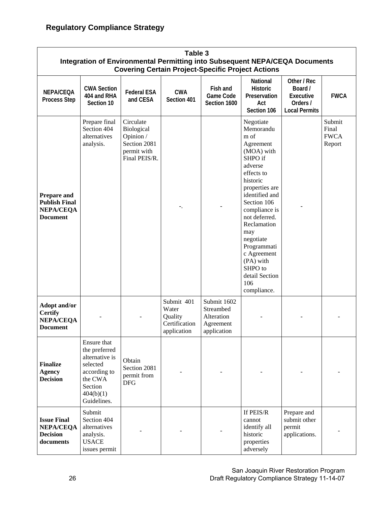| Table 3<br>Integration of Environmental Permitting into Subsequent NEPA/CEQA Documents<br><b>Covering Certain Project-Specific Project Actions</b> |                                                                                                                              |                                                                                             |                                                                |                                                                    |                                                                                                                                                                                                                                                                                                                                 |                                                                         |                                          |  |
|----------------------------------------------------------------------------------------------------------------------------------------------------|------------------------------------------------------------------------------------------------------------------------------|---------------------------------------------------------------------------------------------|----------------------------------------------------------------|--------------------------------------------------------------------|---------------------------------------------------------------------------------------------------------------------------------------------------------------------------------------------------------------------------------------------------------------------------------------------------------------------------------|-------------------------------------------------------------------------|------------------------------------------|--|
| <b>NEPA/CEQA</b><br><b>Process Step</b>                                                                                                            | <b>CWA Section</b><br>404 and RHA<br>Section 10                                                                              | <b>Federal ESA</b><br>and CESA                                                              | <b>CWA</b><br>Section 401                                      | Fish and<br>Game Code<br>Section 1600                              | National<br><b>Historic</b><br>Preservation<br>Act<br>Section 106                                                                                                                                                                                                                                                               | Other / Rec<br>Board /<br>Executive<br>Orders /<br><b>Local Permits</b> | <b>FWCA</b>                              |  |
| <b>Prepare and</b><br><b>Publish Final</b><br>NEPA/CEQA<br><b>Document</b>                                                                         | Prepare final<br>Section 404<br>alternatives<br>analysis.                                                                    | Circulate<br><b>Biological</b><br>Opinion /<br>Section 2081<br>permit with<br>Final PEIS/R. |                                                                |                                                                    | Negotiate<br>Memorandu<br>m of<br>Agreement<br>(MOA) with<br>SHPO if<br>adverse<br>effects to<br>historic<br>properties are<br>identified and<br>Section 106<br>compliance is<br>not deferred.<br>Reclamation<br>may<br>negotiate<br>Programmati<br>c Agreement<br>(PA) with<br>SHPO to<br>detail Section<br>106<br>compliance. |                                                                         | Submit<br>Final<br><b>FWCA</b><br>Report |  |
| <b>Adopt and/or</b><br><b>Certify</b><br>NEPA/CEQA<br><b>Document</b>                                                                              |                                                                                                                              |                                                                                             | Submit 401<br>Water<br>Quality<br>Certification<br>application | Submit 1602<br>Streambed<br>Alteration<br>Agreement<br>application |                                                                                                                                                                                                                                                                                                                                 |                                                                         |                                          |  |
| <b>Finalize</b><br><b>Agency</b><br><b>Decision</b>                                                                                                | Ensure that<br>the preferred<br>alternative is<br>selected<br>according to<br>the CWA<br>Section<br>404(b)(1)<br>Guidelines. | Obtain<br>Section 2081<br>permit from<br><b>DFG</b>                                         |                                                                |                                                                    |                                                                                                                                                                                                                                                                                                                                 |                                                                         |                                          |  |
| <b>Issue Final</b><br>NEPA/CEQA<br><b>Decision</b><br>documents                                                                                    | Submit<br>Section 404<br>alternatives<br>analysis.<br><b>USACE</b><br>issues permit                                          |                                                                                             |                                                                |                                                                    | If PEIS/R<br>cannot<br>identify all<br>historic<br>properties<br>adversely                                                                                                                                                                                                                                                      | Prepare and<br>submit other<br>permit<br>applications.                  |                                          |  |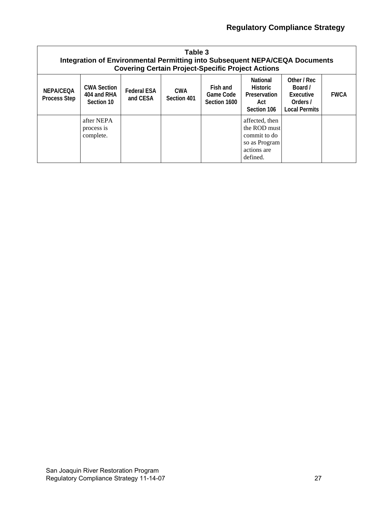| Table 3<br><b>Integration of Environmental Permitting into Subsequent NEPA/CEQA Documents</b><br><b>Covering Certain Project-Specific Project Actions</b> |                                                 |                                |                    |                                       |                                                                                            |                                                                         |             |  |  |
|-----------------------------------------------------------------------------------------------------------------------------------------------------------|-------------------------------------------------|--------------------------------|--------------------|---------------------------------------|--------------------------------------------------------------------------------------------|-------------------------------------------------------------------------|-------------|--|--|
| NEPA/CEQA<br><b>Process Step</b>                                                                                                                          | <b>CWA Section</b><br>404 and RHA<br>Section 10 | <b>Federal ESA</b><br>and CESA | CWA<br>Section 401 | Fish and<br>Game Code<br>Section 1600 | National<br><b>Historic</b><br>Preservation<br>Act<br>Section 106                          | Other / Rec<br>Board /<br>Executive<br>Orders /<br><b>Local Permits</b> | <b>FWCA</b> |  |  |
|                                                                                                                                                           | after NEPA<br>process is<br>complete.           |                                |                    |                                       | affected, then<br>the ROD must<br>commit to do<br>so as Program<br>actions are<br>defined. |                                                                         |             |  |  |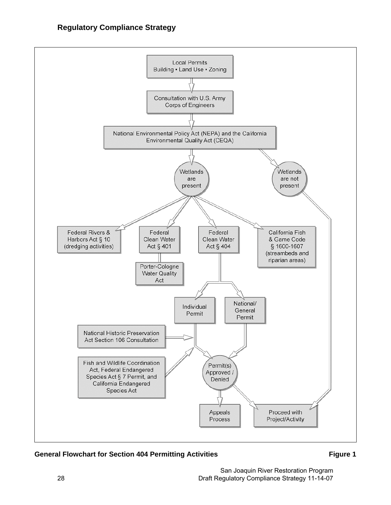

#### General Flowchart for Section 404 Permitting Activities **Figure 1 Figure 1**

San Joaquin River Restoration Program 28 Draft Regulatory Compliance Strategy 11-14-07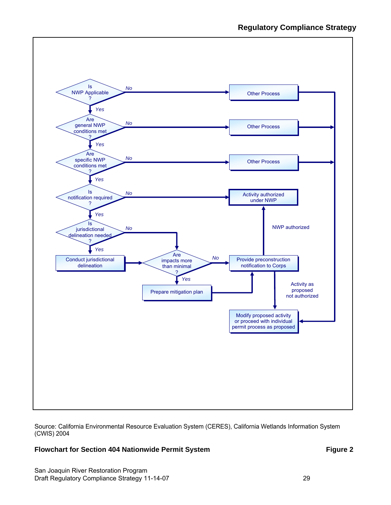

Source: California Environmental Resource Evaluation System (CERES), California Wetlands Information System (CWIS) 2004

#### **Flowchart for Section 404 Nationwide Permit System Figure 2 According Figure 2 According Figure 2**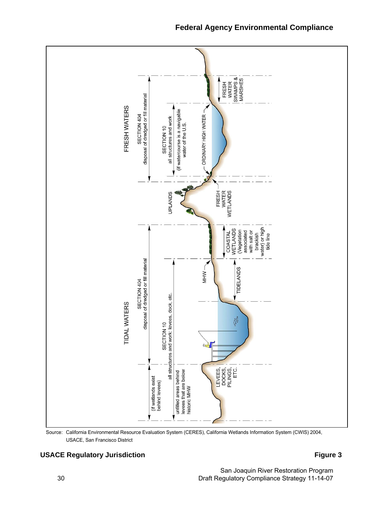

Source: California Environmental Resource Evaluation System (CERES), California Wetlands Information System (CWIS) 2004, USACE, San Francisco District

#### USACE Regulatory Jurisdiction **Figure 3 Figure 3**

San Joaquin River Restoration Program 30 Draft Regulatory Compliance Strategy 11-14-07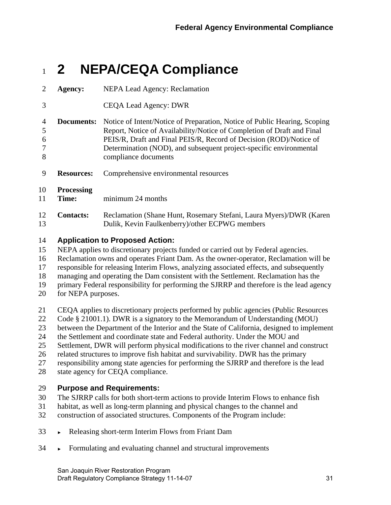| <b>Agency:</b> | <b>NEPA Lead Agency: Reclamation</b> |
|----------------|--------------------------------------|
|                |                                      |

- 3 CEQA Lead Agency: DWR
- 4 **Documents:** Notice of Intent/Notice of Preparation, Notice of Public Hearing, Scoping 5 Report, Notice of Availability/Notice of Completion of Draft and Final 6 PEIS/R, Draft and Final PEIS/R, Record of Decision (ROD)/Notice of 7 Determination (NOD), and subsequent project-specific environmental 8 compliance documents
- 9 **Resources:** Comprehensive environmental resources
- 10 **Processing**
- 11 **Time:** minimum 24 months
- 12 **Contacts:** Reclamation (Shane Hunt, Rosemary Stefani, Laura Myers)/DWR (Karen 13 Dulik, Kevin Faulkenberry)/other ECPWG members

#### 14 **Application to Proposed Action:**

- 15 NEPA applies to discretionary projects funded or carried out by Federal agencies.
- 16 Reclamation owns and operates Friant Dam. As the owner-operator, Reclamation will be
- 17 responsible for releasing Interim Flows, analyzing associated effects, and subsequently
- 18 managing and operating the Dam consistent with the Settlement. Reclamation has the
- 19 primary Federal responsibility for performing the SJRRP and therefore is the lead agency
- 20 for NEPA purposes.
- 21 CEQA applies to discretionary projects performed by public agencies (Public Resources
- 22 Code § 21001.1). DWR is a signatory to the Memorandum of Understanding (MOU)
- 23 between the Department of the Interior and the State of California, designed to implement
- 24 the Settlement and coordinate state and Federal authority. Under the MOU and
- 25 Settlement, DWR will perform physical modifications to the river channel and construct
- 26 related structures to improve fish habitat and survivability. DWR has the primary
- 27 responsibility among state agencies for performing the SJRRP and therefore is the lead
- 28 state agency for CEQA compliance.

### 29 **Purpose and Requirements:**

- 30 The SJRRP calls for both short-term actions to provide Interim Flows to enhance fish
- 31 habitat, as well as long-term planning and physical changes to the channel and
- 32 construction of associated structures. Components of the Program include:
- 33 ► Releasing short-term Interim Flows from Friant Dam
- 34 ► Formulating and evaluating channel and structural improvements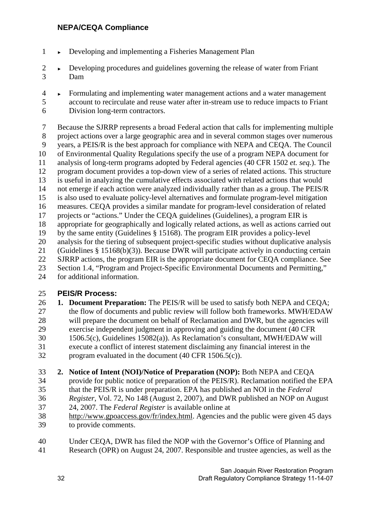- 1 ► Developing and implementing a Fisheries Management Plan
- 2 ► Developing procedures and guidelines governing the release of water from Friant 3 Dam

4 ► Formulating and implementing water management actions and a water management 5 account to recirculate and reuse water after in-stream use to reduce impacts to Friant 6 Division long-term contractors.

7 Because the SJRRP represents a broad Federal action that calls for implementing multiple 8 project actions over a large geographic area and in several common stages over numerous 9 years, a PEIS/R is the best approach for compliance with NEPA and CEQA. The Council 10 of Environmental Quality Regulations specify the use of a program NEPA document for 11 analysis of long-term programs adopted by Federal agencies (40 CFR 1502 *et. seq.*). The 12 program document provides a top-down view of a series of related actions. This structure 13 is useful in analyzing the cumulative effects associated with related actions that would 14 not emerge if each action were analyzed individually rather than as a group. The PEIS/R 15 is also used to evaluate policy-level alternatives and formulate program-level mitigation 16 measures. CEQA provides a similar mandate for program-level consideration of related 17 projects or "actions." Under the CEQA guidelines (Guidelines), a program EIR is 18 appropriate for geographically and logically related actions, as well as actions carried out 19 by the same entity (Guidelines § 15168). The program EIR provides a policy-level 20 analysis for the tiering of subsequent project-specific studies without duplicative analysis 21 (Guidelines § 15168(b)(3)). Because DWR will participate actively in conducting certain 22 SJRRP actions, the program EIR is the appropriate document for CEQA compliance. See 23 Section 1.4, "Program and Project-Specific Environmental Documents and Permitting," 24 for additional information.

### 25 **PEIS/R Process:**

- 26 **1. Document Preparation:** The PEIS/R will be used to satisfy both NEPA and CEQA; 27 the flow of documents and public review will follow both frameworks. MWH/EDAW 28 will prepare the document on behalf of Reclamation and DWR, but the agencies will 29 exercise independent judgment in approving and guiding the document (40 CFR
- 30 1506.5(c), Guidelines 15082(a)). As Reclamation's consultant, MWH/EDAW will
- 31 execute a conflict of interest statement disclaiming any financial interest in the
- 32 program evaluated in the document (40 CFR 1506.5(c)).
- 33 **2. Notice of Intent (NOI)/Notice of Preparation (NOP):** Both NEPA and CEQA
- 34 provide for public notice of preparation of the PEIS/R). Reclamation notified the EPA
- 35 that the PEIS/R is under preparation. EPA has published an NOI in the *Federal*
- 36 *Register*, Vol. 72, No 148 (August 2, 2007), and DWR published an NOP on August
- 37 24, 2007. The *Federal Register* is available online at
- 38 http://www.gpoaccess.gov/fr/index.html. Agencies and the public were given 45 days 39 to provide comments.
- 40 Under CEQA, DWR has filed the NOP with the Governor's Office of Planning and
- 41 Research (OPR) on August 24, 2007. Responsible and trustee agencies, as well as the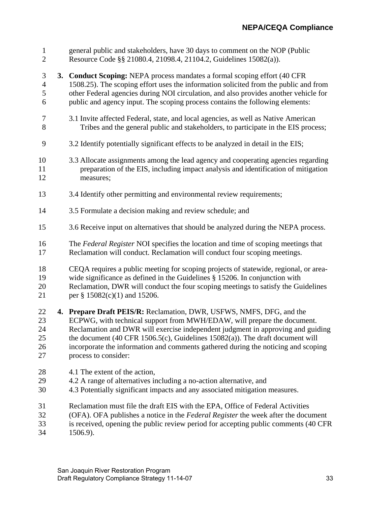| $\mathbf{1}$<br>$\overline{2}$             | general public and stakeholders, have 30 days to comment on the NOP (Public<br>Resource Code §§ 21080.4, 21098.4, 21104.2, Guidelines 15082(a)).                                                                                                                                                                                                                                                                                                |
|--------------------------------------------|-------------------------------------------------------------------------------------------------------------------------------------------------------------------------------------------------------------------------------------------------------------------------------------------------------------------------------------------------------------------------------------------------------------------------------------------------|
| $\mathfrak{Z}$<br>$\overline{4}$<br>5<br>6 | 3. Conduct Scoping: NEPA process mandates a formal scoping effort (40 CFR<br>1508.25). The scoping effort uses the information solicited from the public and from<br>other Federal agencies during NOI circulation, and also provides another vehicle for<br>public and agency input. The scoping process contains the following elements:                                                                                                      |
| $\boldsymbol{7}$<br>8                      | 3.1 Invite affected Federal, state, and local agencies, as well as Native American<br>Tribes and the general public and stakeholders, to participate in the EIS process;                                                                                                                                                                                                                                                                        |
| 9                                          | 3.2 Identify potentially significant effects to be analyzed in detail in the EIS;                                                                                                                                                                                                                                                                                                                                                               |
| 10<br>11<br>12                             | 3.3 Allocate assignments among the lead agency and cooperating agencies regarding<br>preparation of the EIS, including impact analysis and identification of mitigation<br>measures;                                                                                                                                                                                                                                                            |
| 13                                         | 3.4 Identify other permitting and environmental review requirements;                                                                                                                                                                                                                                                                                                                                                                            |
| 14                                         | 3.5 Formulate a decision making and review schedule; and                                                                                                                                                                                                                                                                                                                                                                                        |
| 15                                         | 3.6 Receive input on alternatives that should be analyzed during the NEPA process.                                                                                                                                                                                                                                                                                                                                                              |
| 16<br>17                                   | The Federal Register NOI specifies the location and time of scoping meetings that<br>Reclamation will conduct. Reclamation will conduct four scoping meetings.                                                                                                                                                                                                                                                                                  |
| 18<br>19<br>20<br>21                       | CEQA requires a public meeting for scoping projects of statewide, regional, or area-<br>wide significance as defined in the Guidelines $\S$ 15206. In conjunction with<br>Reclamation, DWR will conduct the four scoping meetings to satisfy the Guidelines<br>per § 15082(c)(1) and 15206.                                                                                                                                                     |
| 22<br>23<br>24<br>25<br>26<br>27           | 4. Prepare Draft PEIS/R: Reclamation, DWR, USFWS, NMFS, DFG, and the<br>ECPWG, with technical support from MWH/EDAW, will prepare the document.<br>Reclamation and DWR will exercise independent judgment in approving and guiding<br>the document $(40 \text{ CFR } 1506.5(c)$ , Guidelines $15082(a)$ ). The draft document will<br>incorporate the information and comments gathered during the noticing and scoping<br>process to consider: |
| 28<br>29<br>30                             | 4.1 The extent of the action,<br>4.2 A range of alternatives including a no-action alternative, and<br>4.3 Potentially significant impacts and any associated mitigation measures.                                                                                                                                                                                                                                                              |
| 31<br>32<br>33<br>34                       | Reclamation must file the draft EIS with the EPA, Office of Federal Activities<br>(OFA). OFA publishes a notice in the Federal Register the week after the document<br>is received, opening the public review period for accepting public comments (40 CFR)<br>1506.9).                                                                                                                                                                         |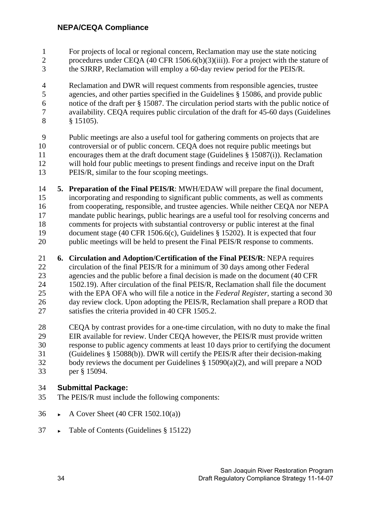1 For projects of local or regional concern, Reclamation may use the state noticing

- 2 procedures under CEQA (40 CFR 1506.6(b)(3)(iii)). For a project with the stature of
- 3 the SJRRP, Reclamation will employ a 60-day review period for the PEIS/R.

4 Reclamation and DWR will request comments from responsible agencies, trustee 5 agencies, and other parties specified in the Guidelines § 15086, and provide public 6 notice of the draft per § 15087. The circulation period starts with the public notice of 7 availability. CEQA requires public circulation of the draft for 45-60 days (Guidelines 8 § 15105).

9 Public meetings are also a useful tool for gathering comments on projects that are 10 controversial or of public concern. CEQA does not require public meetings but 11 encourages them at the draft document stage (Guidelines § 15087(i)). Reclamation 12 will hold four public meetings to present findings and receive input on the Draft 13 PEIS/R, similar to the four scoping meetings.

14 **5. Preparation of the Final PEIS/R**: MWH/EDAW will prepare the final document, 15 incorporating and responding to significant public comments, as well as comments 16 from cooperating, responsible, and trustee agencies. While neither CEQA nor NEPA 17 mandate public hearings, public hearings are a useful tool for resolving concerns and 18 comments for projects with substantial controversy or public interest at the final 19 document stage (40 CFR 1506.6(c), Guidelines § 15202). It is expected that four 20 public meetings will be held to present the Final PEIS/R response to comments.

21 **6. Circulation and Adoption/Certification of the Final PEIS/R**: NEPA requires 22 circulation of the final PEIS/R for a minimum of 30 days among other Federal 23 agencies and the public before a final decision is made on the document (40 CFR 24 1502.19). After circulation of the final PEIS/R, Reclamation shall file the document 25 with the EPA OFA who will file a notice in the *Federal Register*, starting a second 30 26 day review clock. Upon adopting the PEIS/R, Reclamation shall prepare a ROD that 27 satisfies the criteria provided in 40 CFR 1505.2.

28 CEQA by contrast provides for a one-time circulation, with no duty to make the final 29 EIR available for review. Under CEQA however, the PEIS/R must provide written 30 response to public agency comments at least 10 days prior to certifying the document 31 (Guidelines § 15088(b)). DWR will certify the PEIS/R after their decision-making 32 body reviews the document per Guidelines § 15090(a)(2), and will prepare a NOD 33 per § 15094.

# 34 **Submittal Package:**

- 35 The PEIS/R must include the following components:
- 36 ► A Cover Sheet (40 CFR 1502.10(a))
- 37 ► Table of Contents (Guidelines § 15122)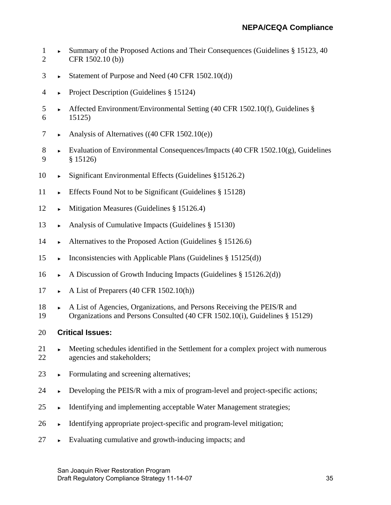- ► Summary of the Proposed Actions and Their Consequences (Guidelines § 15123, 40 2 CFR 1502.10 (b))
- ► Statement of Purpose and Need (40 CFR 1502.10(d))
- ► Project Description (Guidelines § 15124)
- ► Affected Environment/Environmental Setting (40 CFR 1502.10(f), Guidelines § 6 15125)
- ► Analysis of Alternatives ((40 CFR 1502.10(e))
- ► Evaluation of Environmental Consequences/Impacts (40 CFR 1502.10(g), Guidelines 9 § 15126)
- ► Significant Environmental Effects (Guidelines §15126.2)
- ► Effects Found Not to be Significant (Guidelines § 15128)
- ► Mitigation Measures (Guidelines § 15126.4)
- ► Analysis of Cumulative Impacts (Guidelines § 15130)
- ► Alternatives to the Proposed Action (Guidelines § 15126.6)
- ► Inconsistencies with Applicable Plans (Guidelines § 15125(d))
- ► A Discussion of Growth Inducing Impacts (Guidelines § 15126.2(d))
- 17  $\rightarrow$  A List of Preparers (40 CFR 1502.10(h))
- ► A List of Agencies, Organizations, and Persons Receiving the PEIS/R and
- 19 Organizations and Persons Consulted (40 CFR 1502.10(i), Guidelines § 15129)

#### **Critical Issues:**

- ► Meeting schedules identified in the Settlement for a complex project with numerous 22 agencies and stakeholders;
- ► Formulating and screening alternatives;
- 24  $\rightarrow$  Developing the PEIS/R with a mix of program-level and project-specific actions;
- ► Identifying and implementing acceptable Water Management strategies;
- ► Identifying appropriate project-specific and program-level mitigation;
- ► Evaluating cumulative and growth-inducing impacts; and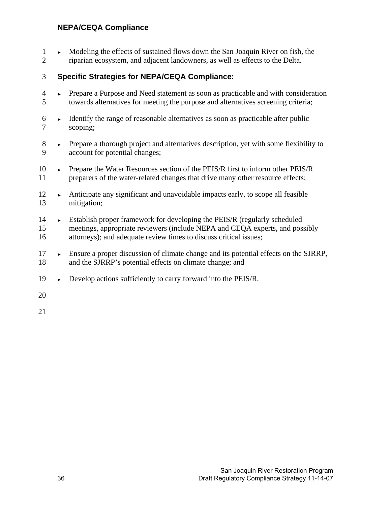- 1 ► Modeling the effects of sustained flows down the San Joaquin River on fish, the
- 2 riparian ecosystem, and adjacent landowners, as well as effects to the Delta.

#### 3 **Specific Strategies for NEPA/CEQA Compliance:**

- 4 ► Prepare a Purpose and Need statement as soon as practicable and with consideration 5 towards alternatives for meeting the purpose and alternatives screening criteria;
- 6 ► Identify the range of reasonable alternatives as soon as practicable after public 7 scoping;
- 8 ► Prepare a thorough project and alternatives description, yet with some flexibility to 9 account for potential changes;
- 10 ► Prepare the Water Resources section of the PEIS/R first to inform other PEIS/R 11 preparers of the water-related changes that drive many other resource effects;
- 12 ► Anticipate any significant and unavoidable impacts early, to scope all feasible 13 mitigation;
- 14 ► Establish proper framework for developing the PEIS/R (regularly scheduled 15 meetings, appropriate reviewers (include NEPA and CEQA experts, and possibly 16 attorneys); and adequate review times to discuss critical issues;
- 17 ► Ensure a proper discussion of climate change and its potential effects on the SJRRP, 18 and the SJRRP's potential effects on climate change; and
- 19 ► Develop actions sufficiently to carry forward into the PEIS/R.
- 20
- 21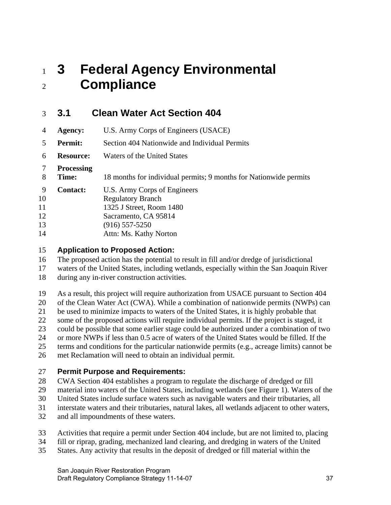# 3 **3.1 Clean Water Act Section 404**

| 4                        | Agency:           | U.S. Army Corps of Engineers (USACE)                              |
|--------------------------|-------------------|-------------------------------------------------------------------|
|                          |                   |                                                                   |
| $\overline{\phantom{1}}$ | <b>Permit:</b>    | Section 404 Nationwide and Individual Permits                     |
| 6                        | <b>Resource:</b>  | Waters of the United States                                       |
|                          | <b>Processing</b> |                                                                   |
| 8                        | Time:             | 18 months for individual permits; 9 months for Nationwide permits |
| 9                        | <b>Contact:</b>   | U.S. Army Corps of Engineers                                      |
| 10                       |                   | <b>Regulatory Branch</b>                                          |
| 11                       |                   | 1325 J Street, Room 1480                                          |
| 12                       |                   | Sacramento, CA 95814                                              |
| 13                       |                   | $(916)$ 557-5250                                                  |
| 14                       |                   | Attn: Ms. Kathy Norton                                            |

## 15 **Application to Proposed Action:**

16 The proposed action has the potential to result in fill and/or dredge of jurisdictional

17 waters of the United States, including wetlands, especially within the San Joaquin River 18 during any in-river construction activities.

19 As a result, this project will require authorization from USACE pursuant to Section 404

20 of the Clean Water Act (CWA). While a combination of nationwide permits (NWPs) can

21 be used to minimize impacts to waters of the United States, it is highly probable that

22 some of the proposed actions will require individual permits. If the project is staged, it

23 could be possible that some earlier stage could be authorized under a combination of two

24 or more NWPs if less than 0.5 acre of waters of the United States would be filled. If the

25 terms and conditions for the particular nationwide permits (e.g., acreage limits) cannot be

26 met Reclamation will need to obtain an individual permit.

# 27 **Permit Purpose and Requirements:**

28 CWA Section 404 establishes a program to regulate the discharge of dredged or fill

29 material into waters of the United States, including wetlands (see Figure 1). Waters of the

30 United States include surface waters such as navigable waters and their tributaries, all

31 interstate waters and their tributaries, natural lakes, all wetlands adjacent to other waters,

- 32 and all impoundments of these waters.
- 33 Activities that require a permit under Section 404 include, but are not limited to, placing
- 34 fill or riprap, grading, mechanized land clearing, and dredging in waters of the United
- 35 States. Any activity that results in the deposit of dredged or fill material within the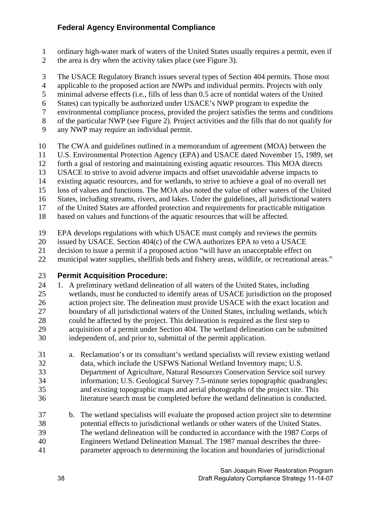- 1 ordinary high-water mark of waters of the United States usually requires a permit, even if
- 2 the area is dry when the activity takes place (see Figure 3).
- 3 The USACE Regulatory Branch issues several types of Section 404 permits. Those most
- 4 applicable to the proposed action are NWPs and individual permits. Projects with only
- 5 minimal adverse effects (i.e., fills of less than 0.5 acre of nontidal waters of the United
- 6 States) can typically be authorized under USACE's NWP program to expedite the
- 7 environmental compliance process, provided the project satisfies the terms and conditions
- 8 of the particular NWP (see Figure 2). Project activities and the fills that do not qualify for
- 9 any NWP may require an individual permit.
- 10 The CWA and guidelines outlined in a memorandum of agreement (MOA) between the
- 11 U.S. Environmental Protection Agency (EPA) and USACE dated November 15, 1989, set
- 12 forth a goal of restoring and maintaining existing aquatic resources. This MOA directs
- 13 USACE to strive to avoid adverse impacts and offset unavoidable adverse impacts to
- 14 existing aquatic resources, and for wetlands, to strive to achieve a goal of no overall net
- 15 loss of values and functions. The MOA also noted the value of other waters of the United
- 16 States, including streams, rivers, and lakes. Under the guidelines, all jurisdictional waters
- 17 of the United States are afforded protection and requirements for practicable mitigation
- 18 based on values and functions of the aquatic resources that will be affected.
- 19 EPA develops regulations with which USACE must comply and reviews the permits
- 20 issued by USACE. Section 404(c) of the CWA authorizes EPA to veto a USACE
- 21 decision to issue a permit if a proposed action "will have an unacceptable effect on
- 22 municipal water supplies, shellfish beds and fishery areas, wildlife, or recreational areas."

# 23 **Permit Acquisition Procedure:**

- 24 1. A preliminary wetland delineation of all waters of the United States, including 25 wetlands, must be conducted to identify areas of USACE jurisdiction on the proposed 26 action project site. The delineation must provide USACE with the exact location and 27 boundary of all jurisdictional waters of the United States, including wetlands, which 28 could be affected by the project. This delineation is required as the first step to 29 acquisition of a permit under Section 404. The wetland delineation can be submitted 30 independent of, and prior to, submittal of the permit application.
- 31 a. Reclamation's or its consultant's wetland specialists will review existing wetland 32 data, which include the USFWS National Wetland Inventory maps; U.S. 33 Department of Agriculture, Natural Resources Conservation Service soil survey 34 information; U.S. Geological Survey 7.5-minute series topographic quadrangles; 35 and existing topographic maps and aerial photographs of the project site. This 36 literature search must be completed before the wetland delineation is conducted.
- 37 b. The wetland specialists will evaluate the proposed action project site to determine 38 potential effects to jurisdictional wetlands or other waters of the United States. 39 The wetland delineation will be conducted in accordance with the 1987 Corps of 40 Engineers Wetland Delineation Manual. The 1987 manual describes the three-41 parameter approach to determining the location and boundaries of jurisdictional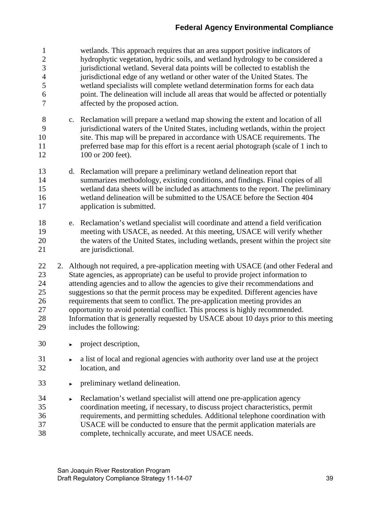1 wetlands. This approach requires that an area support positive indicators of 2 hydrophytic vegetation, hydric soils, and wetland hydrology to be considered a 3 jurisdictional wetland. Several data points will be collected to establish the 4 jurisdictional edge of any wetland or other water of the United States. The 5 wetland specialists will complete wetland determination forms for each data 6 point. The delineation will include all areas that would be affected or potentially 7 affected by the proposed action.

8 c. Reclamation will prepare a wetland map showing the extent and location of all 9 jurisdictional waters of the United States, including wetlands, within the project 10 site. This map will be prepared in accordance with USACE requirements. The 11 preferred base map for this effort is a recent aerial photograph (scale of 1 inch to 12 100 or 200 feet).

- 13 d. Reclamation will prepare a preliminary wetland delineation report that 14 summarizes methodology, existing conditions, and findings. Final copies of all 15 wetland data sheets will be included as attachments to the report. The preliminary 16 wetland delineation will be submitted to the USACE before the Section 404 17 application is submitted.
- 18 e. Reclamation's wetland specialist will coordinate and attend a field verification 19 meeting with USACE, as needed. At this meeting, USACE will verify whether 20 the waters of the United States, including wetlands, present within the project site 21 are jurisdictional.
- 22 2. Although not required, a pre-application meeting with USACE (and other Federal and 23 State agencies, as appropriate) can be useful to provide project information to 24 attending agencies and to allow the agencies to give their recommendations and 25 suggestions so that the permit process may be expedited. Different agencies have 26 requirements that seem to conflict. The pre-application meeting provides an 27 opportunity to avoid potential conflict. This process is highly recommended. 28 Information that is generally requested by USACE about 10 days prior to this meeting 29 includes the following:
- 30 ► project description,
- 31 ► a list of local and regional agencies with authority over land use at the project 32 location, and
- 33 ► preliminary wetland delineation.
- 34 ► Reclamation's wetland specialist will attend one pre-application agency 35 coordination meeting, if necessary, to discuss project characteristics, permit 36 requirements, and permitting schedules. Additional telephone coordination with 37 USACE will be conducted to ensure that the permit application materials are 38 complete, technically accurate, and meet USACE needs.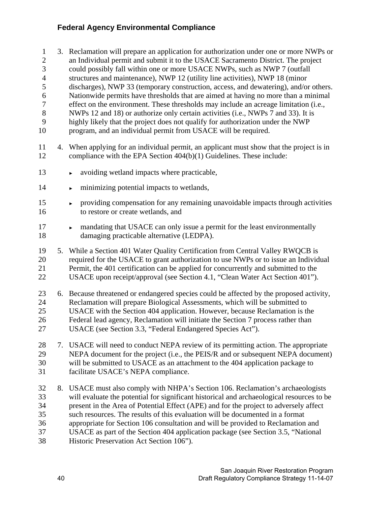| $\mathbf{1}$<br>$\mathbf{2}$<br>3<br>$\overline{4}$<br>5<br>6<br>7<br>8<br>9<br>10 | 3. Reclamation will prepare an application for authorization under one or more NWPs or<br>an Individual permit and submit it to the USACE Sacramento District. The project<br>could possibly fall within one or more USACE NWPs, such as NWP 7 (outfall<br>structures and maintenance), NWP 12 (utility line activities), NWP 18 (minor<br>discharges), NWP 33 (temporary construction, access, and dewatering), and/or others.<br>Nationwide permits have thresholds that are aimed at having no more than a minimal<br>effect on the environment. These thresholds may include an acreage limitation (i.e.,<br>NWPs 12 and 18) or authorize only certain activities (i.e., NWPs 7 and 33). It is<br>highly likely that the project does not qualify for authorization under the NWP<br>program, and an individual permit from USACE will be required. |
|------------------------------------------------------------------------------------|---------------------------------------------------------------------------------------------------------------------------------------------------------------------------------------------------------------------------------------------------------------------------------------------------------------------------------------------------------------------------------------------------------------------------------------------------------------------------------------------------------------------------------------------------------------------------------------------------------------------------------------------------------------------------------------------------------------------------------------------------------------------------------------------------------------------------------------------------------|
| 11<br>12                                                                           | 4. When applying for an individual permit, an applicant must show that the project is in<br>compliance with the EPA Section 404(b)(1) Guidelines. These include:                                                                                                                                                                                                                                                                                                                                                                                                                                                                                                                                                                                                                                                                                        |
| 13                                                                                 | avoiding wetland impacts where practicable,<br>►                                                                                                                                                                                                                                                                                                                                                                                                                                                                                                                                                                                                                                                                                                                                                                                                        |
| 14                                                                                 | minimizing potential impacts to wetlands,<br>$\blacktriangleright$                                                                                                                                                                                                                                                                                                                                                                                                                                                                                                                                                                                                                                                                                                                                                                                      |
| 15<br>16                                                                           | providing compensation for any remaining unavoidable impacts through activities<br>►<br>to restore or create wetlands, and                                                                                                                                                                                                                                                                                                                                                                                                                                                                                                                                                                                                                                                                                                                              |
| 17<br>18                                                                           | mandating that USACE can only issue a permit for the least environmentally<br>damaging practicable alternative (LEDPA).                                                                                                                                                                                                                                                                                                                                                                                                                                                                                                                                                                                                                                                                                                                                 |
| 19<br>20<br>21<br>22                                                               | 5. While a Section 401 Water Quality Certification from Central Valley RWQCB is<br>required for the USACE to grant authorization to use NWPs or to issue an Individual<br>Permit, the 401 certification can be applied for concurrently and submitted to the<br>USACE upon receipt/approval (see Section 4.1, "Clean Water Act Section 401").                                                                                                                                                                                                                                                                                                                                                                                                                                                                                                           |
| 23<br>24<br>25<br>26<br>27                                                         | 6. Because threatened or endangered species could be affected by the proposed activity,<br>Reclamation will prepare Biological Assessments, which will be submitted to<br>USACE with the Section 404 application. However, because Reclamation is the<br>Federal lead agency, Reclamation will initiate the Section 7 process rather than<br>USACE (see Section 3.3, "Federal Endangered Species Act").                                                                                                                                                                                                                                                                                                                                                                                                                                                 |
| 28<br>29<br>30<br>31                                                               | 7. USACE will need to conduct NEPA review of its permitting action. The appropriate<br>NEPA document for the project (i.e., the PEIS/R and or subsequent NEPA document)<br>will be submitted to USACE as an attachment to the 404 application package to<br>facilitate USACE's NEPA compliance.                                                                                                                                                                                                                                                                                                                                                                                                                                                                                                                                                         |
| 32<br>33<br>34<br>35<br>36<br>37<br>38                                             | 8. USACE must also comply with NHPA's Section 106. Reclamation's archaeologists<br>will evaluate the potential for significant historical and archaeological resources to be<br>present in the Area of Potential Effect (APE) and for the project to adversely affect<br>such resources. The results of this evaluation will be documented in a format<br>appropriate for Section 106 consultation and will be provided to Reclamation and<br>USACE as part of the Section 404 application package (see Section 3.5, "National<br>Historic Preservation Act Section 106").                                                                                                                                                                                                                                                                              |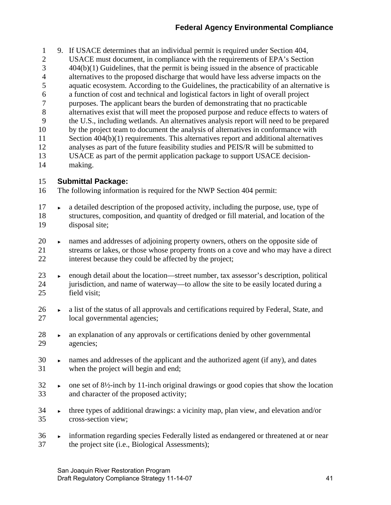1 9. If USACE determines that an individual permit is required under Section 404, 2 USACE must document, in compliance with the requirements of EPA's Section 3 404(b)(1) Guidelines, that the permit is being issued in the absence of practicable 4 alternatives to the proposed discharge that would have less adverse impacts on the 5 aquatic ecosystem. According to the Guidelines, the practicability of an alternative is 6 a function of cost and technical and logistical factors in light of overall project 7 purposes. The applicant bears the burden of demonstrating that no practicable 8 alternatives exist that will meet the proposed purpose and reduce effects to waters of 9 the U.S., including wetlands. An alternatives analysis report will need to be prepared 10 by the project team to document the analysis of alternatives in conformance with 11 Section 404(b)(1) requirements. This alternatives report and additional alternatives 12 analyses as part of the future feasibility studies and PEIS/R will be submitted to 13 USACE as part of the permit application package to support USACE decision-14 making.

#### 15 **Submittal Package:**

16 The following information is required for the NWP Section 404 permit:

- 17 ► a detailed description of the proposed activity, including the purpose, use, type of 18 structures, composition, and quantity of dredged or fill material, and location of the 19 disposal site;
- 20 ► names and addresses of adjoining property owners, others on the opposite side of 21 streams or lakes, or those whose property fronts on a cove and who may have a direct 22 interest because they could be affected by the project;
- 23 ► enough detail about the location—street number, tax assessor's description, political 24 jurisdiction, and name of waterway—to allow the site to be easily located during a 25 field visit;
- 26 ► a list of the status of all approvals and certifications required by Federal, State, and 27 local governmental agencies;
- 28 ► an explanation of any approvals or certifications denied by other governmental 29 agencies;
- 30 ► names and addresses of the applicant and the authorized agent (if any), and dates 31 when the project will begin and end;
- 32 ► one set of 8½-inch by 11-inch original drawings or good copies that show the location 33 and character of the proposed activity;
- 34 ► three types of additional drawings: a vicinity map, plan view, and elevation and/or 35 cross-section view;
- 36 ► information regarding species Federally listed as endangered or threatened at or near 37 the project site (i.e., Biological Assessments);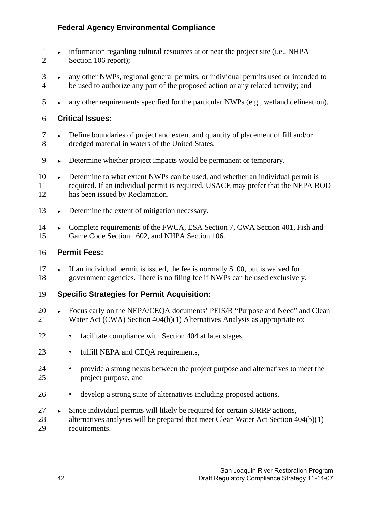- 1 ► information regarding cultural resources at or near the project site (i.e., NHPA 2 Section 106 report);
- 3 ► any other NWPs, regional general permits, or individual permits used or intended to 4 be used to authorize any part of the proposed action or any related activity; and
- 5 ► any other requirements specified for the particular NWPs (e.g., wetland delineation).

#### 6 **Critical Issues:**

- 7 ► Define boundaries of project and extent and quantity of placement of fill and/or 8 dredged material in waters of the United States.
- 9 ► Determine whether project impacts would be permanent or temporary.
- 10 ► Determine to what extent NWPs can be used, and whether an individual permit is 11 required. If an individual permit is required, USACE may prefer that the NEPA ROD 12 has been issued by Reclamation.
- 13 ► Determine the extent of mitigation necessary.
- 14 ► Complete requirements of the FWCA, ESA Section 7, CWA Section 401, Fish and 15 Game Code Section 1602, and NHPA Section 106.

#### 16 **Permit Fees:**

17 ► If an individual permit is issued, the fee is normally \$100, but is waived for 18 government agencies. There is no filing fee if NWPs can be used exclusively.

### 19 **Specific Strategies for Permit Acquisition:**

- 20 ► Focus early on the NEPA/CEQA documents' PEIS/R "Purpose and Need" and Clean 21 Water Act (CWA) Section 404(b)(1) Alternatives Analysis as appropriate to:
- 22 facilitate compliance with Section 404 at later stages,
- 23 fulfill NEPA and CEQA requirements,
- 24 provide a strong nexus between the project purpose and alternatives to meet the 25 project purpose, and
- 26 develop a strong suite of alternatives including proposed actions.
- 27 ► Since individual permits will likely be required for certain SJRRP actions, 28 alternatives analyses will be prepared that meet Clean Water Act Section 404(b)(1) 29 requirements.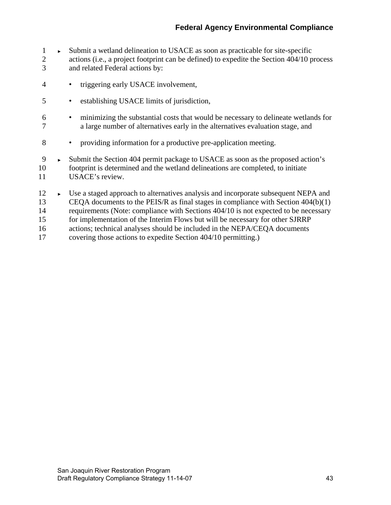- 1 ► Submit a wetland delineation to USACE as soon as practicable for site-specific 2 actions (i.e., a project footprint can be defined) to expedite the Section 404/10 process 3 and related Federal actions by:
- 4 triggering early USACE involvement,
- 5 establishing USACE limits of jurisdiction,
- 6 minimizing the substantial costs that would be necessary to delineate wetlands for 7 a large number of alternatives early in the alternatives evaluation stage, and
- 8 providing information for a productive pre-application meeting.
- 9 ► Submit the Section 404 permit package to USACE as soon as the proposed action's 10 footprint is determined and the wetland delineations are completed, to initiate
- 11 USACE's review.
- 12 ► Use a staged approach to alternatives analysis and incorporate subsequent NEPA and 13 CEQA documents to the PEIS/R as final stages in compliance with Section 404(b)(1) 14 requirements (Note: compliance with Sections 404/10 is not expected to be necessary 15 for implementation of the Interim Flows but will be necessary for other SJRRP 16 actions; technical analyses should be included in the NEPA/CEQA documents

17 covering those actions to expedite Section 404/10 permitting.)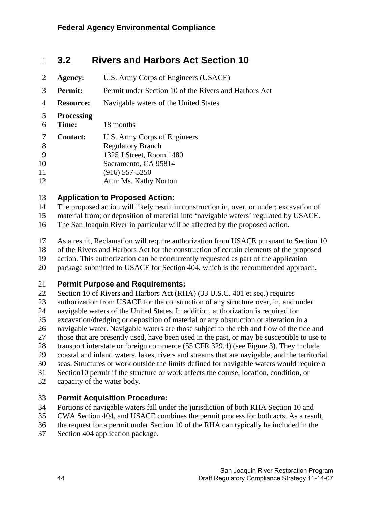# 1 **3.2 Rivers and Harbors Act Section 10**

| 2           | Agency:                    | U.S. Army Corps of Engineers (USACE)                                                 |
|-------------|----------------------------|--------------------------------------------------------------------------------------|
| 3           | <b>Permit:</b>             | Permit under Section 10 of the Rivers and Harbors Act                                |
| 4           | <b>Resource:</b>           | Navigable waters of the United States                                                |
| 5<br>6      | <b>Processing</b><br>Time: | 18 months                                                                            |
| 7<br>8<br>9 | <b>Contact:</b>            | U.S. Army Corps of Engineers<br><b>Regulatory Branch</b><br>1325 J Street, Room 1480 |
| 10          |                            | Sacramento, CA 95814                                                                 |
| 11          |                            | $(916)$ 557-5250                                                                     |
| 12          |                            | Attn: Ms. Kathy Norton                                                               |

13 **Application to Proposed Action:** 

14 The proposed action will likely result in construction in, over, or under; excavation of

15 material from; or deposition of material into 'navigable waters' regulated by USACE.

16 The San Joaquin River in particular will be affected by the proposed action.

17 As a result, Reclamation will require authorization from USACE pursuant to Section 10

18 of the Rivers and Harbors Act for the construction of certain elements of the proposed

19 action. This authorization can be concurrently requested as part of the application

20 package submitted to USACE for Section 404, which is the recommended approach.

### 21 **Permit Purpose and Requirements:**

22 Section 10 of Rivers and Harbors Act (RHA) (33 U.S.C. 401 et seq.) requires

23 authorization from USACE for the construction of any structure over, in, and under

24 navigable waters of the United States. In addition, authorization is required for

25 excavation/dredging or deposition of material or any obstruction or alteration in a

26 navigable water. Navigable waters are those subject to the ebb and flow of the tide and

27 those that are presently used, have been used in the past, or may be susceptible to use to

28 transport interstate or foreign commerce (55 CFR 329.4) (see Figure 3). They include

29 coastal and inland waters, lakes, rivers and streams that are navigable, and the territorial

30 seas. Structures or work outside the limits defined for navigable waters would require a

31 Section10 permit if the structure or work affects the course, location, condition, or

32 capacity of the water body.

### 33 **Permit Acquisition Procedure:**

- 34 Portions of navigable waters fall under the jurisdiction of both RHA Section 10 and
- 35 CWA Section 404, and USACE combines the permit process for both acts. As a result,
- 36 the request for a permit under Section 10 of the RHA can typically be included in the
- 37 Section 404 application package.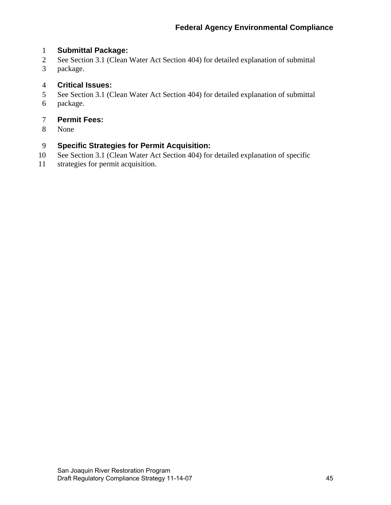#### 1 **Submittal Package:**

- 2 See Section 3.1 (Clean Water Act Section 404) for detailed explanation of submittal
- 3 package.

### 4 **Critical Issues:**

5 See Section 3.1 (Clean Water Act Section 404) for detailed explanation of submittal

6 package.

#### 7 **Permit Fees:**

8 None

### 9 **Specific Strategies for Permit Acquisition:**

- 10 See Section 3.1 (Clean Water Act Section 404) for detailed explanation of specific
- 11 strategies for permit acquisition.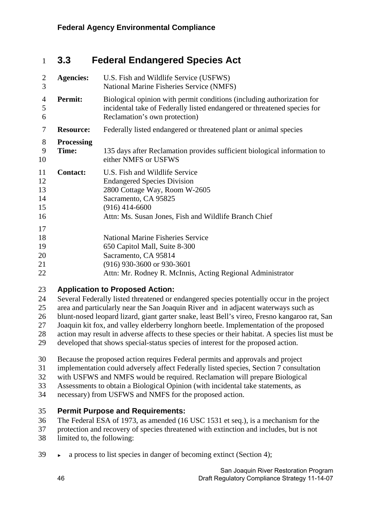# 1 **3.3 Federal Endangered Species Act**

| 2<br>3                           | <b>Agencies:</b>           | U.S. Fish and Wildlife Service (USFWS)<br>National Marine Fisheries Service (NMFS)                                                                                                                         |
|----------------------------------|----------------------------|------------------------------------------------------------------------------------------------------------------------------------------------------------------------------------------------------------|
| 4<br>5<br>6                      | <b>Permit:</b>             | Biological opinion with permit conditions (including authorization for<br>incidental take of Federally listed endangered or threatened species for<br>Reclamation's own protection)                        |
| 7                                | <b>Resource:</b>           | Federally listed endangered or threatened plant or animal species                                                                                                                                          |
| 8<br>9<br>10                     | <b>Processing</b><br>Time: | 135 days after Reclamation provides sufficient biological information to<br>either NMFS or USFWS                                                                                                           |
| 11<br>12<br>13<br>14<br>15<br>16 | <b>Contact:</b>            | U.S. Fish and Wildlife Service<br><b>Endangered Species Division</b><br>2800 Cottage Way, Room W-2605<br>Sacramento, CA 95825<br>$(916)$ 414-6600<br>Attn: Ms. Susan Jones, Fish and Wildlife Branch Chief |
| 17<br>18<br>19<br>20<br>21<br>22 |                            | <b>National Marine Fisheries Service</b><br>650 Capitol Mall, Suite 8-300<br>Sacramento, CA 95814<br>(916) 930-3600 or 930-3601<br>Attn: Mr. Rodney R. McInnis, Acting Regional Administrator              |

### 23 **Application to Proposed Action:**

24 Several Federally listed threatened or endangered species potentially occur in the project

25 area and particularly near the San Joaquin River and in adjacent waterways such as

26 blunt-nosed leopard lizard, giant garter snake, least Bell's vireo, Fresno kangaroo rat, San

27 Joaquin kit fox, and valley elderberry longhorn beetle. Implementation of the proposed

28 action may result in adverse affects to these species or their habitat. A species list must be

29 developed that shows special-status species of interest for the proposed action.

30 Because the proposed action requires Federal permits and approvals and project

31 implementation could adversely affect Federally listed species, Section 7 consultation

32 with USFWS and NMFS would be required. Reclamation will prepare Biological

33 Assessments to obtain a Biological Opinion (with incidental take statements, as

34 necessary) from USFWS and NMFS for the proposed action.

# 35 **Permit Purpose and Requirements:**

- 36 The Federal ESA of 1973, as amended (16 USC 1531 et seq.), is a mechanism for the
- 37 protection and recovery of species threatened with extinction and includes, but is not
- 38 limited to, the following:
- 39 ► a process to list species in danger of becoming extinct (Section 4);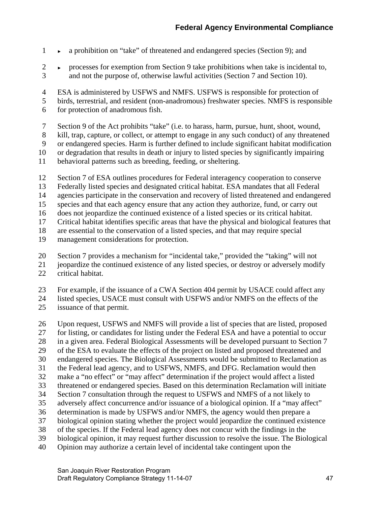1 ► a prohibition on "take" of threatened and endangered species (Section 9); and

2 ► processes for exemption from Section 9 take prohibitions when take is incidental to, 3 and not the purpose of, otherwise lawful activities (Section 7 and Section 10).

4 ESA is administered by USFWS and NMFS. USFWS is responsible for protection of

5 birds, terrestrial, and resident (non-anadromous) freshwater species. NMFS is responsible

- 6 for protection of anadromous fish.
- 7 Section 9 of the Act prohibits "take" (i.e. to harass, harm, pursue, hunt, shoot, wound,
- 8 kill, trap, capture, or collect, or attempt to engage in any such conduct) of any threatened

9 or endangered species. Harm is further defined to include significant habitat modification

10 or degradation that results in death or injury to listed species by significantly impairing

- 11 behavioral patterns such as breeding, feeding, or sheltering.
- 12 Section 7 of ESA outlines procedures for Federal interagency cooperation to conserve

13 Federally listed species and designated critical habitat. ESA mandates that all Federal

14 agencies participate in the conservation and recovery of listed threatened and endangered

15 species and that each agency ensure that any action they authorize, fund, or carry out

- 16 does not jeopardize the continued existence of a listed species or its critical habitat.
- 17 Critical habitat identifies specific areas that have the physical and biological features that
- 18 are essential to the conservation of a listed species, and that may require special
- 19 management considerations for protection.
- 20 Section 7 provides a mechanism for "incidental take," provided the "taking" will not
- 21 jeopardize the continued existence of any listed species, or destroy or adversely modify
- 22 critical habitat.

23 For example, if the issuance of a CWA Section 404 permit by USACE could affect any

24 listed species, USACE must consult with USFWS and/or NMFS on the effects of the

25 issuance of that permit.

26 Upon request, USFWS and NMFS will provide a list of species that are listed, proposed 27 for listing, or candidates for listing under the Federal ESA and have a potential to occur 28 in a given area. Federal Biological Assessments will be developed pursuant to Section 7 29 of the ESA to evaluate the effects of the project on listed and proposed threatened and 30 endangered species. The Biological Assessments would be submitted to Reclamation as 31 the Federal lead agency, and to USFWS, NMFS, and DFG. Reclamation would then 32 make a "no effect" or "may affect" determination if the project would affect a listed 33 threatened or endangered species. Based on this determination Reclamation will initiate 34 Section 7 consultation through the request to USFWS and NMFS of a not likely to 35 adversely affect concurrence and/or issuance of a biological opinion. If a "may affect" 36 determination is made by USFWS and/or NMFS, the agency would then prepare a 37 biological opinion stating whether the project would jeopardize the continued existence 38 of the species. If the Federal lead agency does not concur with the findings in the 39 biological opinion, it may request further discussion to resolve the issue. The Biological 40 Opinion may authorize a certain level of incidental take contingent upon the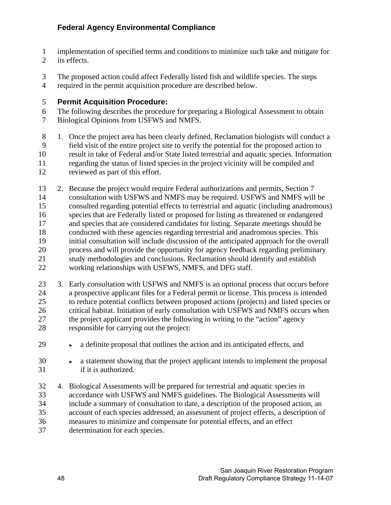- 1 implementation of specified terms and conditions to minimize such take and mitigate for
- 2 its effects.
- 3 The proposed action could affect Federally listed fish and wildlife species. The steps
- 4 required in the permit acquisition procedure are described below.

### 5 **Permit Acquisition Procedure:**

- 6 The following describes the procedure for preparing a Biological Assessment to obtain
- 7 Biological Opinions from USFWS and NMFS.
- 8 1. Once the project area has been clearly defined, Reclamation biologists will conduct a 9 field visit of the entire project site to verify the potential for the proposed action to 10 result in take of Federal and/or State listed terrestrial and aquatic species. Information 11 regarding the status of listed species in the project vicinity will be compiled and 12 reviewed as part of this effort.
- 13 2. Because the project would require Federal authorizations and permits, Section 7 14 consultation with USFWS and NMFS may be required. USFWS and NMFS will be 15 consulted regarding potential effects to terrestrial and aquatic (including anadromous) 16 species that are Federally listed or proposed for listing as threatened or endangered 17 and species that are considered candidates for listing. Separate meetings should be 18 conducted with these agencies regarding terrestrial and anadromous species. This 19 initial consultation will include discussion of the anticipated approach for the overall 20 process and will provide the opportunity for agency feedback regarding preliminary 21 study methodologies and conclusions. Reclamation should identify and establish 22 working relationships with USFWS, NMFS, and DFG staff.
- 23 3. Early consultation with USFWS and NMFS is an optional process that occurs before 24 a prospective applicant files for a Federal permit or license. This process is intended 25 to reduce potential conflicts between proposed actions (projects) and listed species or 26 critical habitat. Initiation of early consultation with USFWS and NMFS occurs when 27 the project applicant provides the following in writing to the "action" agency 28 responsible for carrying out the project:
- 29 ► a definite proposal that outlines the action and its anticipated effects, and
- 30 ► a statement showing that the project applicant intends to implement the proposal 31 if it is authorized.
- 32 4. Biological Assessments will be prepared for terrestrial and aquatic species in 33 accordance with USFWS and NMFS guidelines. The Biological Assessments will 34 include a summary of consultation to date, a description of the proposed action, an 35 account of each species addressed, an assessment of project effects, a description of 36 measures to minimize and compensate for potential effects, and an effect 37 determination for each species.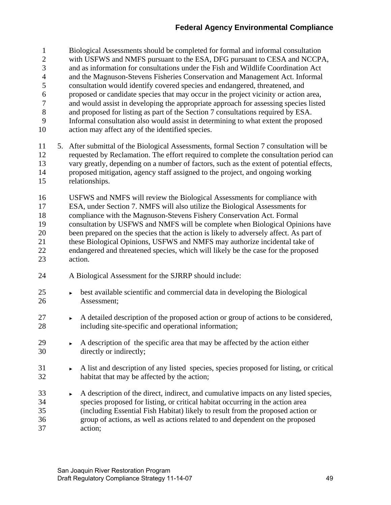1 Biological Assessments should be completed for formal and informal consultation 2 with USFWS and NMFS pursuant to the ESA, DFG pursuant to CESA and NCCPA, 3 and as information for consultations under the Fish and Wildlife Coordination Act 4 and the Magnuson-Stevens Fisheries Conservation and Management Act. Informal 5 consultation would identify covered species and endangered, threatened, and 6 proposed or candidate species that may occur in the project vicinity or action area, 7 and would assist in developing the appropriate approach for assessing species listed 8 and proposed for listing as part of the Section 7 consultations required by ESA. 9 Informal consultation also would assist in determining to what extent the proposed 10 action may affect any of the identified species. 11 5. After submittal of the Biological Assessments, formal Section 7 consultation will be 12 requested by Reclamation. The effort required to complete the consultation period can 13 vary greatly, depending on a number of factors, such as the extent of potential effects, 14 proposed mitigation, agency staff assigned to the project, and ongoing working 15 relationships. 16 USFWS and NMFS will review the Biological Assessments for compliance with 17 ESA, under Section 7. NMFS will also utilize the Biological Assessments for 18 compliance with the Magnuson-Stevens Fishery Conservation Act. Formal 19 consultation by USFWS and NMFS will be complete when Biological Opinions have 20 been prepared on the species that the action is likely to adversely affect. As part of 21 these Biological Opinions, USFWS and NMFS may authorize incidental take of 22 endangered and threatened species, which will likely be the case for the proposed 23 action. 24 A Biological Assessment for the SJRRP should include:  $25 \rightarrow$  best available scientific and commercial data in developing the Biological 26 Assessment; 27 A detailed description of the proposed action or group of actions to be considered, 28 including site-specific and operational information; 29  $\rightarrow$  A description of the specific area that may be affected by the action either 30 directly or indirectly; 31 ► A list and description of any listed species, species proposed for listing, or critical 32 habitat that may be affected by the action;

33 ► A description of the direct, indirect, and cumulative impacts on any listed species, 34 species proposed for listing, or critical habitat occurring in the action area 35 (including Essential Fish Habitat) likely to result from the proposed action or 36 group of actions, as well as actions related to and dependent on the proposed 37 action;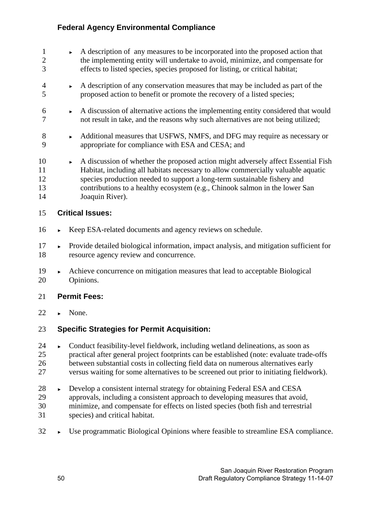| 1<br>2<br>3                | A description of any measures to be incorporated into the proposed action that<br>the implementing entity will undertake to avoid, minimize, and compensate for<br>effects to listed species, species proposed for listing, or critical habitat;                                                                                                    |
|----------------------------|-----------------------------------------------------------------------------------------------------------------------------------------------------------------------------------------------------------------------------------------------------------------------------------------------------------------------------------------------------|
| $\overline{4}$             | A description of any conservation measures that may be included as part of the<br>proposed action to benefit or promote the recovery of a listed species;                                                                                                                                                                                           |
| 6                          | A discussion of alternative actions the implementing entity considered that would<br>not result in take, and the reasons why such alternatives are not being utilized;                                                                                                                                                                              |
| 8<br>9                     | Additional measures that USFWS, NMFS, and DFG may require as necessary or<br>appropriate for compliance with ESA and CESA; and                                                                                                                                                                                                                      |
| 10<br>11<br>12<br>13<br>14 | A discussion of whether the proposed action might adversely affect Essential Fish<br>Habitat, including all habitats necessary to allow commercially valuable aquatic<br>species production needed to support a long-term sustainable fishery and<br>contributions to a healthy ecosystem (e.g., Chinook salmon in the lower San<br>Joaquin River). |

#### 15 **Critical Issues:**

- 16 ► Keep ESA-related documents and agency reviews on schedule.
- 17 ► Provide detailed biological information, impact analysis, and mitigation sufficient for 18 resource agency review and concurrence.
- 19 ► Achieve concurrence on mitigation measures that lead to acceptable Biological 20 Opinions.

#### 21 **Permit Fees:**

 $22 \rightarrow None.$ 

### 23 **Specific Strategies for Permit Acquisition:**

- 24 ► Conduct feasibility-level fieldwork, including wetland delineations, as soon as 25 practical after general project footprints can be established (note: evaluate trade-offs 26 between substantial costs in collecting field data on numerous alternatives early 27 versus waiting for some alternatives to be screened out prior to initiating fieldwork).
- 28 ► Develop a consistent internal strategy for obtaining Federal ESA and CESA
- 29 approvals, including a consistent approach to developing measures that avoid,
- 30 minimize, and compensate for effects on listed species (both fish and terrestrial 31 species) and critical habitat.
- 32 ► Use programmatic Biological Opinions where feasible to streamline ESA compliance.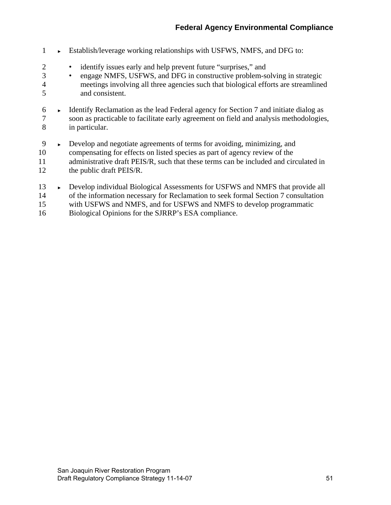- 1 ► Establish/leverage working relationships with USFWS, NMFS, and DFG to:
- 2 identify issues early and help prevent future "surprises," and
- 3 engage NMFS, USFWS, and DFG in constructive problem-solving in strategic 4 meetings involving all three agencies such that biological efforts are streamlined 5 and consistent.
- 6 ► Identify Reclamation as the lead Federal agency for Section 7 and initiate dialog as 7 soon as practicable to facilitate early agreement on field and analysis methodologies, 8 in particular.
- 9 ► Develop and negotiate agreements of terms for avoiding, minimizing, and 10 compensating for effects on listed species as part of agency review of the 11 administrative draft PEIS/R, such that these terms can be included and circulated in 12 the public draft PEIS/R.
- 13 ► Develop individual Biological Assessments for USFWS and NMFS that provide all
- 14 of the information necessary for Reclamation to seek formal Section 7 consultation
- 15 with USFWS and NMFS, and for USFWS and NMFS to develop programmatic
- 16 Biological Opinions for the SJRRP's ESA compliance.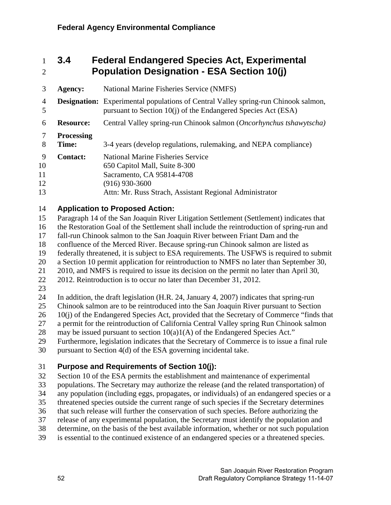# 1 **3.4 Federal Endangered Species Act, Experimental**  2 **Population Designation - ESA Section 10(j)**

- 3 **Agency:** National Marine Fisheries Service (NMFS)
- 4 **Designation:** Experimental populations of Central Valley spring-run Chinook salmon, 5 pursuant to Section 10(j) of the Endangered Species Act (ESA)
- 6 **Resource:** Central Valley spring-run Chinook salmon (*Oncorhynchus tshawytscha)*

# 7 **Processing**

- 8 **Time:** 3-4 years (develop regulations, rulemaking, and NEPA compliance)
- 9 **Contact:** National Marine Fisheries Service
- 10 650 Capitol Mall, Suite 8-300
- 11 Sacramento, CA 95814-4708
- 12 (916) 930-3600
- 13 Attn: Mr. Russ Strach, Assistant Regional Administrator

# 14 **Application to Proposed Action:**

- 15 Paragraph 14 of the San Joaquin River Litigation Settlement (Settlement) indicates that
- 16 the Restoration Goal of the Settlement shall include the reintroduction of spring-run and
- 17 fall-run Chinook salmon to the San Joaquin River between Friant Dam and the
- 18 confluence of the Merced River. Because spring-run Chinook salmon are listed as
- 19 federally threatened, it is subject to ESA requirements. The USFWS is required to submit
- 20 a Section 10 permit application for reintroduction to NMFS no later than September 30,
- 21 2010, and NMFS is required to issue its decision on the permit no later than April 30,
- 22 2012. Reintroduction is to occur no later than December 31, 2012.
- 23
- 24 In addition, the draft legislation (H.R. 24, January 4, 2007) indicates that spring-run
- 25 Chinook salmon are to be reintroduced into the San Joaquin River pursuant to Section
- 26 10(j) of the Endangered Species Act, provided that the Secretary of Commerce "finds that
- 27 a permit for the reintroduction of California Central Valley spring Run Chinook salmon
- 28 may be issued pursuant to section  $10(a)1(A)$  of the Endangered Species Act."
- 29 Furthermore, legislation indicates that the Secretary of Commerce is to issue a final rule
- 30 pursuant to Section 4(d) of the ESA governing incidental take.

# 31 **Purpose and Requirements of Section 10(j):**

- 32 Section 10 of the ESA permits the establishment and maintenance of experimental
- 33 populations. The Secretary may authorize the release (and the related transportation) of
- 34 any population (including eggs, propagates, or individuals) of an endangered species or a
- 35 threatened species outside the current range of such species if the Secretary determines
- 36 that such release will further the conservation of such species. Before authorizing the
- 37 release of any experimental population, the Secretary must identify the population and
- 38 determine, on the basis of the best available information, whether or not such population
- 39 is essential to the continued existence of an endangered species or a threatened species.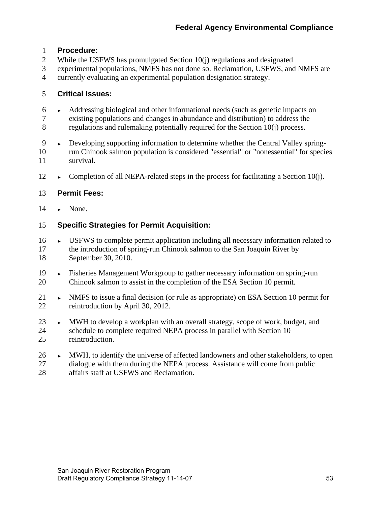## 1 **Procedure:**

- 2 While the USFWS has promulgated Section 10(j) regulations and designated
- 3 experimental populations, NMFS has not done so. Reclamation, USFWS, and NMFS are
- 4 currently evaluating an experimental population designation strategy.

## 5 **Critical Issues:**

- 6 ► Addressing biological and other informational needs (such as genetic impacts on
- 7 existing populations and changes in abundance and distribution) to address the
- 8 regulations and rulemaking potentially required for the Section 10(j) process.
- 9 ► Developing supporting information to determine whether the Central Valley spring-10 run Chinook salmon population is considered "essential" or "nonessential" for species 11 survival.
- 12 ► Completion of all NEPA-related steps in the process for facilitating a Section 10(j).

# 13 **Permit Fees:**

14 ► None.

# 15 **Specific Strategies for Permit Acquisition:**

- 16 ► USFWS to complete permit application including all necessary information related to 17 the introduction of spring-run Chinook salmon to the San Joaquin River by 18 September 30, 2010.
- 19 ► Fisheries Management Workgroup to gather necessary information on spring-run 20 Chinook salmon to assist in the completion of the ESA Section 10 permit.
- 21 ► NMFS to issue a final decision (or rule as appropriate) on ESA Section 10 permit for 22 reintroduction by April 30, 2012.
- 23 ► MWH to develop a workplan with an overall strategy, scope of work, budget, and 24 schedule to complete required NEPA process in parallel with Section 10 25 reintroduction.
- 26 ► MWH, to identify the universe of affected landowners and other stakeholders, to open 27 dialogue with them during the NEPA process. Assistance will come from public
- 28 affairs staff at USFWS and Reclamation.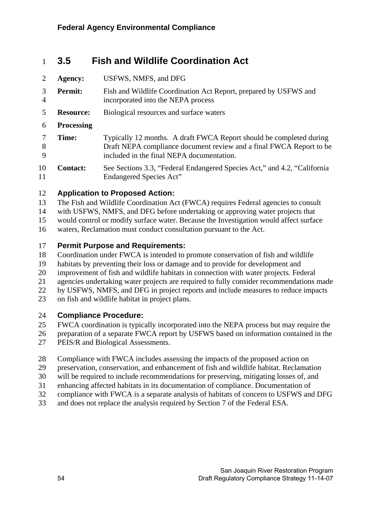# 1 **3.5 Fish and Wildlife Coordination Act**

- 2 **Agency:** USFWS, NMFS, and DFG
- 3 **Permit:** Fish and Wildlife Coordination Act Report, prepared by USFWS and 4 incorporated into the NEPA process
- 5 **Resource:** Biological resources and surface waters
- 6 **Processing**
- 7 **Time:** Typically 12 months. A draft FWCA Report should be completed during 8 Draft NEPA compliance document review and a final FWCA Report to be 9 included in the final NEPA documentation.
- 10 **Contact:** See Sections 3.3, "Federal Endangered Species Act," and 4.2, "California 11 Endangered Species Act"

# 12 **Application to Proposed Action:**

13 The Fish and Wildlife Coordination Act (FWCA) requires Federal agencies to consult

14 with USFWS, NMFS, and DFG before undertaking or approving water projects that

15 would control or modify surface water. Because the Investigation would affect surface

16 waters, Reclamation must conduct consultation pursuant to the Act.

# 17 **Permit Purpose and Requirements:**

- 18 Coordination under FWCA is intended to promote conservation of fish and wildlife
- 19 habitats by preventing their loss or damage and to provide for development and
- 20 improvement of fish and wildlife habitats in connection with water projects. Federal
- 21 agencies undertaking water projects are required to fully consider recommendations made
- 22 by USFWS, NMFS, and DFG in project reports and include measures to reduce impacts
- 23 on fish and wildlife habitat in project plans.

# 24 **Compliance Procedure:**

- 25 FWCA coordination is typically incorporated into the NEPA process but may require the
- 26 preparation of a separate FWCA report by USFWS based on information contained in the
- 27 PEIS/R and Biological Assessments.
- 28 Compliance with FWCA includes assessing the impacts of the proposed action on
- 29 preservation, conservation, and enhancement of fish and wildlife habitat. Reclamation
- 30 will be required to include recommendations for preserving, mitigating losses of, and
- 31 enhancing affected habitats in its documentation of compliance. Documentation of
- 32 compliance with FWCA is a separate analysis of habitats of concern to USFWS and DFG
- 33 and does not replace the analysis required by Section 7 of the Federal ESA.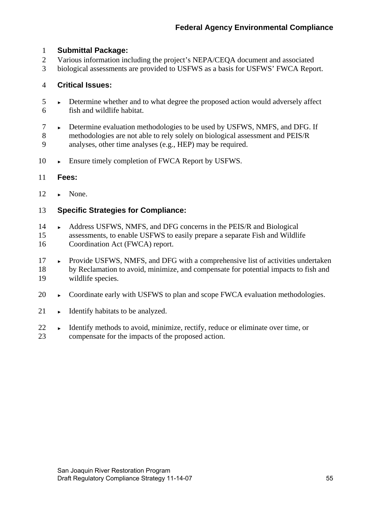## 1 **Submittal Package:**

- 2 Various information including the project's NEPA/CEQA document and associated
- 3 biological assessments are provided to USFWS as a basis for USFWS' FWCA Report.

### 4 **Critical Issues:**

- 5 ► Determine whether and to what degree the proposed action would adversely affect 6 fish and wildlife habitat.
- 7 ► Determine evaluation methodologies to be used by USFWS, NMFS, and DFG. If 8 methodologies are not able to rely solely on biological assessment and PEIS/R 9 analyses, other time analyses (e.g., HEP) may be required.
- 10 ► Ensure timely completion of FWCA Report by USFWS.

### 11 **Fees:**

- 12 ► None.
- 13 **Specific Strategies for Compliance:**
- 14 ► Address USFWS, NMFS, and DFG concerns in the PEIS/R and Biological 15 assessments, to enable USFWS to easily prepare a separate Fish and Wildlife 16 Coordination Act (FWCA) report.
- 17 ► Provide USFWS, NMFS, and DFG with a comprehensive list of activities undertaken 18 by Reclamation to avoid, minimize, and compensate for potential impacts to fish and 19 wildlife species.
- 20 ► Coordinate early with USFWS to plan and scope FWCA evaluation methodologies.
- 21 ► Identify habitats to be analyzed.
- 22 ► Identify methods to avoid, minimize, rectify, reduce or eliminate over time, or 23 compensate for the impacts of the proposed action.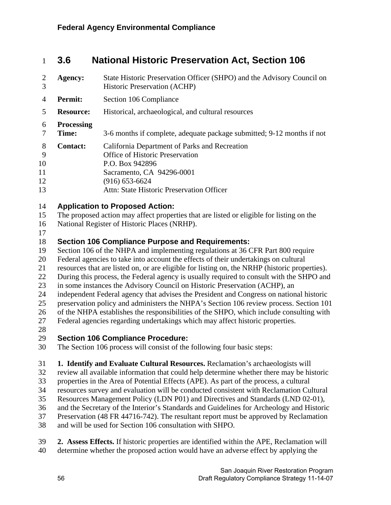# 1 **3.6 National Historic Preservation Act, Section 106**

- 2 **Agency:** State Historic Preservation Officer (SHPO) and the Advisory Council on 3 Historic Preservation (ACHP)
- 4 **Permit:** Section 106 Compliance
- 5 **Resource:** Historical, archaeological, and cultural resources

#### 6 **Processing**

- 7 **Time:** 3-6 months if complete, adequate package submitted; 9-12 months if not
- 8 **Contact:** California Department of Parks and Recreation
- 9 Office of Historic Preservation
- 10 P.O. Box 942896
- 11 Sacramento, CA 94296-0001
- 12 (916) 653-6624
- 13 Attn: State Historic Preservation Officer

# 14 **Application to Proposed Action:**

- 15 The proposed action may affect properties that are listed or eligible for listing on the
- 16 National Register of Historic Places (NRHP).
- 17

# 18 **Section 106 Compliance Purpose and Requirements:**

- 
- 19 Section 106 of the NHPA and implementing regulations at 36 CFR Part 800 require<br>20 Federal agencies to take into account the effects of their undertakings on cultural Federal agencies to take into account the effects of their undertakings on cultural
- 21 resources that are listed on, or are eligible for listing on, the NRHP (historic properties).
- 22 During this process, the Federal agency is usually required to consult with the SHPO and
- 23 in some instances the Advisory Council on Historic Preservation (ACHP), an
- 24 independent Federal agency that advises the President and Congress on national historic
- 25 preservation policy and administers the NHPA's Section 106 review process. Section 101
- 26 of the NHPA establishes the responsibilities of the SHPO, which include consulting with
- 27 Federal agencies regarding undertakings which may affect historic properties.
- 28

# 29 **Section 106 Compliance Procedure:**

- 30 The Section 106 process will consist of the following four basic steps:
- 31 **1. Identify and Evaluate Cultural Resources.** Reclamation's archaeologists will
- 32 review all available information that could help determine whether there may be historic
- 33 properties in the Area of Potential Effects (APE). As part of the process, a cultural
- 34 resources survey and evaluation will be conducted consistent with Reclamation Cultural
- 35 Resources Management Policy (LDN P01) and Directives and Standards (LND 02-01),
- 36 and the Secretary of the Interior's Standards and Guidelines for Archeology and Historic
- 37 Preservation (48 FR 44716-742). The resultant report must be approved by Reclamation
- 38 and will be used for Section 106 consultation with SHPO.
- 39 **2. Assess Effects.** If historic properties are identified within the APE, Reclamation will
- 40 determine whether the proposed action would have an adverse effect by applying the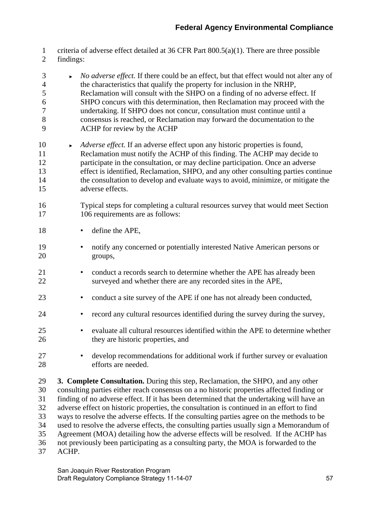- 1 criteria of adverse effect detailed at 36 CFR Part 800.5(a)(1). There are three possible
- 2 findings:

| $\mathfrak{Z}$<br>$\overline{4}$<br>5<br>6<br>$\boldsymbol{7}$<br>8<br>9 | No adverse effect. If there could be an effect, but that effect would not alter any of<br>$\blacktriangleright$<br>the characteristics that qualify the property for inclusion in the NRHP,<br>Reclamation will consult with the SHPO on a finding of no adverse effect. If<br>SHPO concurs with this determination, then Reclamation may proceed with the<br>undertaking. If SHPO does not concur, consultation must continue until a<br>consensus is reached, or Reclamation may forward the documentation to the<br>ACHP for review by the ACHP                                                                                                                                                                                              |
|--------------------------------------------------------------------------|-------------------------------------------------------------------------------------------------------------------------------------------------------------------------------------------------------------------------------------------------------------------------------------------------------------------------------------------------------------------------------------------------------------------------------------------------------------------------------------------------------------------------------------------------------------------------------------------------------------------------------------------------------------------------------------------------------------------------------------------------|
| 10<br>11<br>12<br>13<br>14<br>15                                         | Adverse effect. If an adverse effect upon any historic properties is found,<br>н<br>Reclamation must notify the ACHP of this finding. The ACHP may decide to<br>participate in the consultation, or may decline participation. Once an adverse<br>effect is identified, Reclamation, SHPO, and any other consulting parties continue<br>the consultation to develop and evaluate ways to avoid, minimize, or mitigate the<br>adverse effects.                                                                                                                                                                                                                                                                                                   |
| 16<br>17                                                                 | Typical steps for completing a cultural resources survey that would meet Section<br>106 requirements are as follows:                                                                                                                                                                                                                                                                                                                                                                                                                                                                                                                                                                                                                            |
| 18                                                                       | define the APE,                                                                                                                                                                                                                                                                                                                                                                                                                                                                                                                                                                                                                                                                                                                                 |
| 19<br>20                                                                 | notify any concerned or potentially interested Native American persons or<br>groups,                                                                                                                                                                                                                                                                                                                                                                                                                                                                                                                                                                                                                                                            |
| 21<br>22                                                                 | conduct a records search to determine whether the APE has already been<br>$\bullet$<br>surveyed and whether there are any recorded sites in the APE,                                                                                                                                                                                                                                                                                                                                                                                                                                                                                                                                                                                            |
| 23                                                                       | conduct a site survey of the APE if one has not already been conducted,<br>٠                                                                                                                                                                                                                                                                                                                                                                                                                                                                                                                                                                                                                                                                    |
| 24                                                                       | record any cultural resources identified during the survey during the survey,<br>$\bullet$                                                                                                                                                                                                                                                                                                                                                                                                                                                                                                                                                                                                                                                      |
| 25<br>26                                                                 | evaluate all cultural resources identified within the APE to determine whether<br>they are historic properties, and                                                                                                                                                                                                                                                                                                                                                                                                                                                                                                                                                                                                                             |
| 27<br>28                                                                 | develop recommendations for additional work if further survey or evaluation<br>efforts are needed.                                                                                                                                                                                                                                                                                                                                                                                                                                                                                                                                                                                                                                              |
| 29<br>30<br>31<br>32<br>33<br>34<br>35<br>36                             | 3. Complete Consultation. During this step, Reclamation, the SHPO, and any other<br>consulting parties either reach consensus on a no historic properties affected finding or<br>finding of no adverse effect. If it has been determined that the undertaking will have an<br>adverse effect on historic properties, the consultation is continued in an effort to find<br>ways to resolve the adverse effects. If the consulting parties agree on the methods to be<br>used to resolve the adverse effects, the consulting parties usually sign a Memorandum of<br>Agreement (MOA) detailing how the adverse effects will be resolved. If the ACHP has<br>not previously been participating as a consulting party, the MOA is forwarded to the |

37 ACHP.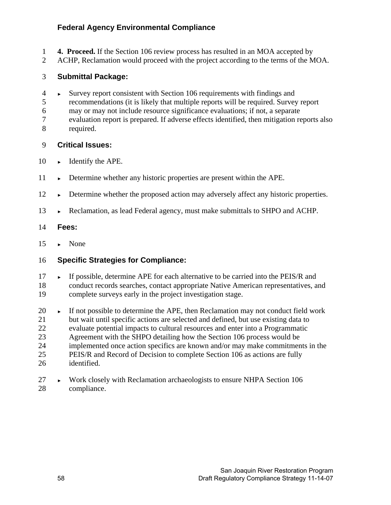- 1 **4. Proceed.** If the Section 106 review process has resulted in an MOA accepted by
- 2 ACHP, Reclamation would proceed with the project according to the terms of the MOA.

## 3 **Submittal Package:**

- 4 ► Survey report consistent with Section 106 requirements with findings and
- 5 recommendations (it is likely that multiple reports will be required. Survey report
- 6 may or may not include resource significance evaluations; if not, a separate
- 7 evaluation report is prepared. If adverse effects identified, then mitigation reports also 8 required.

#### 9 **Critical Issues:**

- 10 ► Identify the APE.
- 11 ► Determine whether any historic properties are present within the APE.
- 12 ► Determine whether the proposed action may adversely affect any historic properties.
- 13 ► Reclamation, as lead Federal agency, must make submittals to SHPO and ACHP.

### 14 **Fees:**

15 ► None

# 16 **Specific Strategies for Compliance:**

- 17 ► If possible, determine APE for each alternative to be carried into the PEIS/R and 18 conduct records searches, contact appropriate Native American representatives, and 19 complete surveys early in the project investigation stage.
- 20 ► If not possible to determine the APE, then Reclamation may not conduct field work 21 but wait until specific actions are selected and defined, but use existing data to 22 evaluate potential impacts to cultural resources and enter into a Programmatic 23 Agreement with the SHPO detailing how the Section 106 process would be 24 implemented once action specifics are known and/or may make commitments in the 25 PEIS/R and Record of Decision to complete Section 106 as actions are fully 26 identified.
- 27 ► Work closely with Reclamation archaeologists to ensure NHPA Section 106 28 compliance.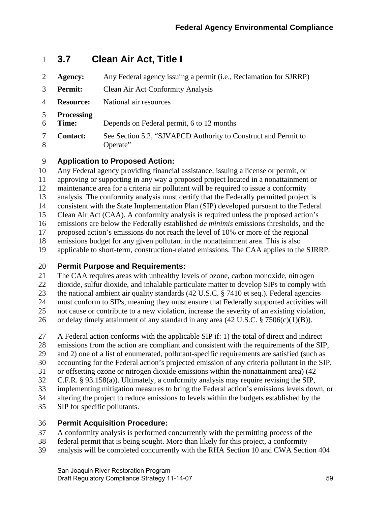# 1 **3.7 Clean Air Act, Title I**

| <b>Agency:</b>             | Any Federal agency issuing a permit (i.e., Reclamation for SJRRP)          |
|----------------------------|----------------------------------------------------------------------------|
| <b>Permit:</b>             | <b>Clean Air Act Conformity Analysis</b>                                   |
| <b>Resource:</b>           | National air resources                                                     |
| <b>Processing</b><br>Time: | Depends on Federal permit, 6 to 12 months                                  |
| <b>Contact:</b>            | See Section 5.2, "SJVAPCD Authority to Construct and Permit to<br>Operate" |
|                            |                                                                            |

# 9 **Application to Proposed Action:**

10 Any Federal agency providing financial assistance, issuing a license or permit, or

11 approving or supporting in any way a proposed project located in a nonattainment or

- 12 maintenance area for a criteria air pollutant will be required to issue a conformity
- 13 analysis. The conformity analysis must certify that the Federally permitted project is
- 14 consistent with the State Implementation Plan (SIP) developed pursuant to the Federal

15 Clean Air Act (CAA). A conformity analysis is required unless the proposed action's

16 emissions are below the Federally established *de minimis* emissions thresholds, and the 17 proposed action's emissions do not reach the level of 10% or more of the regional

18 emissions budget for any given pollutant in the nonattainment area. This is also

19 applicable to short-term, construction-related emissions. The CAA applies to the SJRRP.

# 20 **Permit Purpose and Requirements:**

21 The CAA requires areas with unhealthy levels of ozone, carbon monoxide, nitrogen

22 dioxide, sulfur dioxide, and inhalable particulate matter to develop SIPs to comply with

23 the national ambient air quality standards (42 U.S.C. § 7410 et seq.). Federal agencies

24 must conform to SIPs, meaning they must ensure that Federally supported activities will

25 not cause or contribute to a new violation, increase the severity of an existing violation,

26 or delay timely attainment of any standard in any area (42 U.S.C. § 7506(c)(1)(B)).

27 A Federal action conforms with the applicable SIP if: 1) the total of direct and indirect

28 emissions from the action are compliant and consistent with the requirements of the SIP,

29 and 2) one of a list of enumerated, pollutant-specific requirements are satisfied (such as

30 accounting for the Federal action's projected emission of any criteria pollutant in the SIP,

31 or offsetting ozone or nitrogen dioxide emissions within the nonattainment area) (42

32 C.F.R. § 93.158(a)). Ultimately, a conformity analysis may require revising the SIP,

- 33 implementing mitigation measures to bring the Federal action's emissions levels down, or
- 34 altering the project to reduce emissions to levels within the budgets established by the
- 35 SIP for specific pollutants.

# 36 **Permit Acquisition Procedure:**

- 37 A conformity analysis is performed concurrently with the permitting process of the
- 38 federal permit that is being sought. More than likely for this project, a conformity
- 39 analysis will be completed concurrently with the RHA Section 10 and CWA Section 404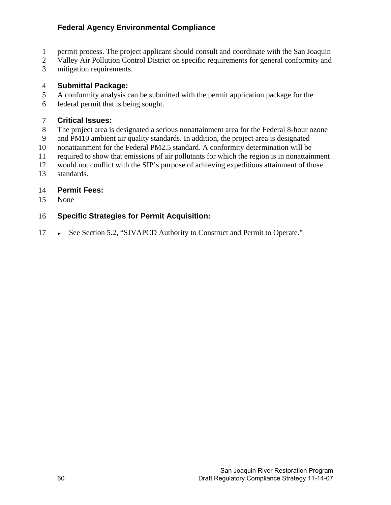- 1 permit process. The project applicant should consult and coordinate with the San Joaquin
- 2 Valley Air Pollution Control District on specific requirements for general conformity and
- 3 mitigation requirements.

#### 4 **Submittal Package:**

- 5 A conformity analysis can be submitted with the permit application package for the
- 6 federal permit that is being sought.

### 7 **Critical Issues:**

- 8 The project area is designated a serious nonattainment area for the Federal 8-hour ozone
- 9 and PM10 ambient air quality standards. In addition, the project area is designated
- 10 nonattainment for the Federal PM2.5 standard. A conformity determination will be
- 11 required to show that emissions of air pollutants for which the region is in nonattainment
- 12 would not conflict with the SIP's purpose of achieving expeditious attainment of those
- 13 standards.

### 14 **Permit Fees:**

15 None

# 16 **Specific Strategies for Permit Acquisition:**

17 ► See Section 5.2, "SJVAPCD Authority to Construct and Permit to Operate."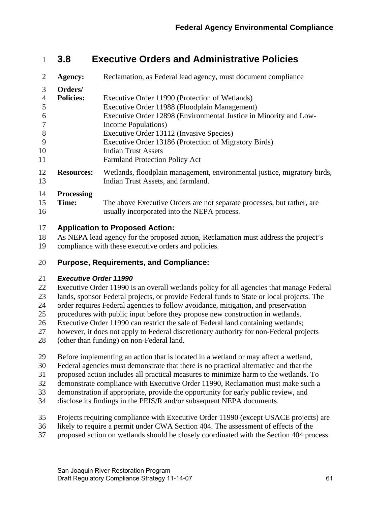# 1 **3.8 Executive Orders and Administrative Policies**

| 2              | Agency:           | Reclamation, as Federal lead agency, must document compliance            |
|----------------|-------------------|--------------------------------------------------------------------------|
| 3              | Orders/           |                                                                          |
| $\overline{4}$ | <b>Policies:</b>  | Executive Order 11990 (Protection of Wetlands)                           |
| 5              |                   | Executive Order 11988 (Floodplain Management)                            |
| 6              |                   | Executive Order 12898 (Environmental Justice in Minority and Low-        |
|                |                   | Income Populations)                                                      |
| 8              |                   | Executive Order 13112 (Invasive Species)                                 |
| 9              |                   | Executive Order 13186 (Protection of Migratory Birds)                    |
| 10             |                   | Indian Trust Assets                                                      |
| 11             |                   | <b>Farmland Protection Policy Act</b>                                    |
| 12             | <b>Resources:</b> | Wetlands, floodplain management, environmental justice, migratory birds, |
| 13             |                   | Indian Trust Assets, and farmland.                                       |
| 14             | <b>Processing</b> |                                                                          |
| 15             | Time:             | The above Executive Orders are not separate processes, but rather, are   |
| 16             |                   | usually incorporated into the NEPA process.                              |

# 17 **Application to Proposed Action:**

- 18 As NEPA lead agency for the proposed action, Reclamation must address the project's
- 19 compliance with these executive orders and policies.

# 20 **Purpose, Requirements, and Compliance:**

### 21 *Executive Order 11990*

22 Executive Order 11990 is an overall wetlands policy for all agencies that manage Federal

- 23 lands, sponsor Federal projects, or provide Federal funds to State or local projects. The
- 24 order requires Federal agencies to follow avoidance, mitigation, and preservation
- 25 procedures with public input before they propose new construction in wetlands.
- 26 Executive Order 11990 can restrict the sale of Federal land containing wetlands;
- 27 however, it does not apply to Federal discretionary authority for non-Federal projects
- 28 (other than funding) on non-Federal land.
- 29 Before implementing an action that is located in a wetland or may affect a wetland,
- 30 Federal agencies must demonstrate that there is no practical alternative and that the
- 31 proposed action includes all practical measures to minimize harm to the wetlands. To
- 32 demonstrate compliance with Executive Order 11990, Reclamation must make such a
- 33 demonstration if appropriate, provide the opportunity for early public review, and
- 34 disclose its findings in the PEIS/R and/or subsequent NEPA documents.
- 35 Projects requiring compliance with Executive Order 11990 (except USACE projects) are
- 36 likely to require a permit under CWA Section 404. The assessment of effects of the
- 37 proposed action on wetlands should be closely coordinated with the Section 404 process.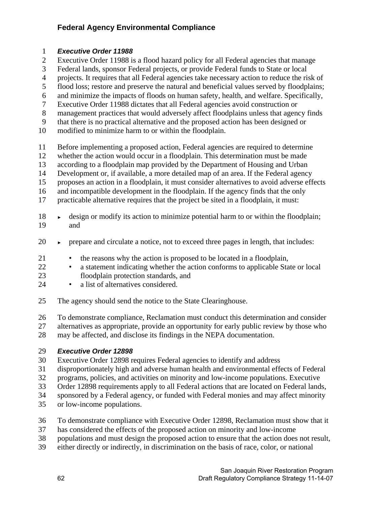#### 1 *Executive Order 11988*

- 2 Executive Order 11988 is a flood hazard policy for all Federal agencies that manage
- 3 Federal lands, sponsor Federal projects, or provide Federal funds to State or local
- 4 projects. It requires that all Federal agencies take necessary action to reduce the risk of
- 5 flood loss; restore and preserve the natural and beneficial values served by floodplains;
- 6 and minimize the impacts of floods on human safety, health, and welfare. Specifically,
- 7 Executive Order 11988 dictates that all Federal agencies avoid construction or
- 8 management practices that would adversely affect floodplains unless that agency finds
- 9 that there is no practical alternative and the proposed action has been designed or
- 10 modified to minimize harm to or within the floodplain.
- 11 Before implementing a proposed action, Federal agencies are required to determine
- 12 whether the action would occur in a floodplain. This determination must be made
- 13 according to a floodplain map provided by the Department of Housing and Urban
- 14 Development or, if available, a more detailed map of an area. If the Federal agency
- 15 proposes an action in a floodplain, it must consider alternatives to avoid adverse effects
- 16 and incompatible development in the floodplain. If the agency finds that the only
- 17 practicable alternative requires that the project be sited in a floodplain, it must:
- 18 ► design or modify its action to minimize potential harm to or within the floodplain; 19 and
- 20 ► prepare and circulate a notice, not to exceed three pages in length, that includes:
- <sup>21</sup> the reasons why the action is proposed to be located in a floodplain,
- 22 a statement indicating whether the action conforms to applicable State or local 23 floodplain protection standards, and
- 24 a list of alternatives considered.
- 25 The agency should send the notice to the State Clearinghouse.
- 26 To demonstrate compliance, Reclamation must conduct this determination and consider
- 27 alternatives as appropriate, provide an opportunity for early public review by those who
- 28 may be affected, and disclose its findings in the NEPA documentation.

### 29 *Executive Order 12898*

- 30 Executive Order 12898 requires Federal agencies to identify and address
- 31 disproportionately high and adverse human health and environmental effects of Federal
- 32 programs, policies, and activities on minority and low-income populations. Executive
- 33 Order 12898 requirements apply to all Federal actions that are located on Federal lands,
- 34 sponsored by a Federal agency, or funded with Federal monies and may affect minority
- 35 or low-income populations.
- 36 To demonstrate compliance with Executive Order 12898, Reclamation must show that it
- 37 has considered the effects of the proposed action on minority and low-income
- 38 populations and must design the proposed action to ensure that the action does not result,
- 39 either directly or indirectly, in discrimination on the basis of race, color, or national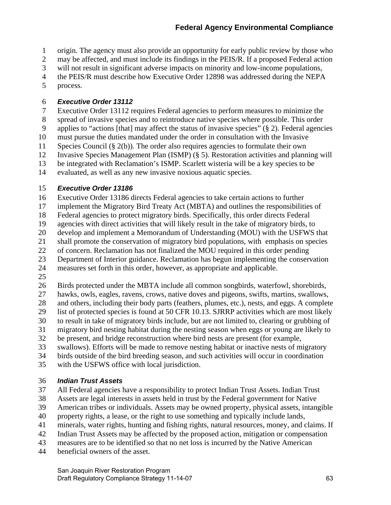- 1 origin. The agency must also provide an opportunity for early public review by those who
- 2 may be affected, and must include its findings in the PEIS/R. If a proposed Federal action
- 3 will not result in significant adverse impacts on minority and low-income populations,
- 4 the PEIS/R must describe how Executive Order 12898 was addressed during the NEPA
- 5 process.

## 6 *Executive Order 13112*

- 7 Executive Order 13112 requires Federal agencies to perform measures to minimize the
- 8 spread of invasive species and to reintroduce native species where possible. This order
- 9 applies to "actions [that] may affect the status of invasive species" (§ 2). Federal agencies
- 10 must pursue the duties mandated under the order in consultation with the Invasive
- 11 Species Council (§ 2(b)). The order also requires agencies to formulate their own
- 12 Invasive Species Management Plan (ISMP) (§ 5). Restoration activities and planning will
- 13 be integrated with Reclamation's ISMP. Scarlett wisteria will be a key species to be
- 14 evaluated, as well as any new invasive noxious aquatic species.

# 15 *Executive Order 13186*

- 16 Executive Order 13186 directs Federal agencies to take certain actions to further
- 17 implement the Migratory Bird Treaty Act (MBTA) and outlines the responsibilities of
- 18 Federal agencies to protect migratory birds. Specifically, this order directs Federal
- 19 agencies with direct activities that will likely result in the take of migratory birds, to
- 20 develop and implement a Memorandum of Understanding (MOU) with the USFWS that
- 21 shall promote the conservation of migratory bird populations, with emphasis on species
- 22 of concern. Reclamation has not finalized the MOU required in this order pending
- 23 Department of Interior guidance. Reclamation has begun implementing the conservation
- 24 measures set forth in this order, however, as appropriate and applicable.
- 25

26 Birds protected under the MBTA include all common songbirds, waterfowl, shorebirds,

- 27 hawks, owls, eagles, ravens, crows, native doves and pigeons, swifts, martins, swallows,
- 28 and others, including their body parts (feathers, plumes, etc.), nests, and eggs. A complete
- 29 list of protected species is found at 50 CFR 10.13. SJRRP activities which are most likely
- 30 to result in take of migratory birds include, but are not limited to, clearing or grubbing of
- 31 migratory bird nesting habitat during the nesting season when eggs or young are likely to
- 32 be present, and bridge reconstruction where bird nests are present (for example,
- 33 swallows). Efforts will be made to remove nesting habitat or inactive nests of migratory
- 34 birds outside of the bird breeding season, and such activities will occur in coordination
- 35 with the USFWS office with local jurisdiction.

# 36 *Indian Trust Assets*

- 37 All Federal agencies have a responsibility to protect Indian Trust Assets. Indian Trust
- 
- 38 Assets are legal interests in assets held in trust by the Federal government for Native<br>39 American tribes or individuals. Assets may be owned property, physical assets, intang American tribes or individuals. Assets may be owned property, physical assets, intangible
- 40 property rights, a lease, or the right to use something and typically include lands,
- 41 minerals, water rights, hunting and fishing rights, natural resources, money, and claims. If
- 42 Indian Trust Assets may be affected by the proposed action, mitigation or compensation
- 43 measures are to be identified so that no net loss is incurred by the Native American
- 44 beneficial owners of the asset.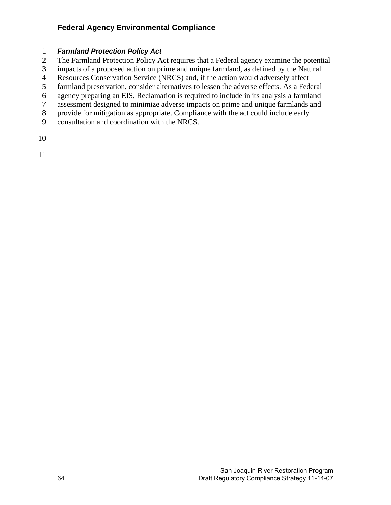#### 1 *Farmland Protection Policy Act*

- 2 The Farmland Protection Policy Act requires that a Federal agency examine the potential
- 3 impacts of a proposed action on prime and unique farmland, as defined by the Natural
- 4 Resources Conservation Service (NRCS) and, if the action would adversely affect
- 5 farmland preservation, consider alternatives to lessen the adverse effects. As a Federal
- 6 agency preparing an EIS, Reclamation is required to include in its analysis a farmland
- 7 assessment designed to minimize adverse impacts on prime and unique farmlands and
- 8 provide for mitigation as appropriate. Compliance with the act could include early
- 9 consultation and coordination with the NRCS.
- 10
- 11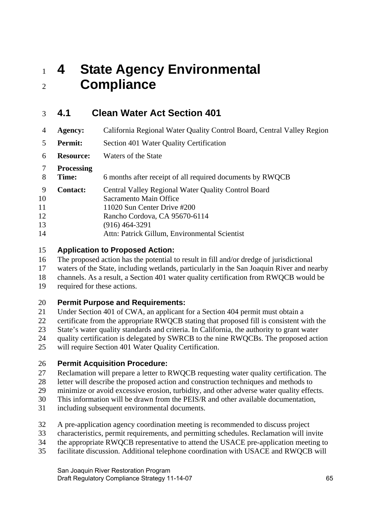# <sup>1</sup>**4 State Agency Environmental**  <sup>2</sup>**Compliance**

# 3 **4.1 Clean Water Act Section 401**

- 4 **Agency:** California Regional Water Quality Control Board, Central Valley Region
- 5 **Permit:** Section 401 Water Quality Certification
- 6 **Resource:** Waters of the State
- 7 **Processing**
- 8 **Time:** 6 months after receipt of all required documents by RWQCB
- 9 **Contact:** Central Valley Regional Water Quality Control Board
- 10 Sacramento Main Office
- 11 11020 Sun Center Drive #200
- 12 Rancho Cordova, CA 95670-6114
- 13 (916) 464-3291 14 Attn: Patrick Gillum, Environmental Scientist
- 15 **Application to Proposed Action:**
- 16 The proposed action has the potential to result in fill and/or dredge of jurisdictional
- 17 waters of the State, including wetlands, particularly in the San Joaquin River and nearby
- 18 channels. As a result, a Section 401 water quality certification from RWQCB would be
- 19 required for these actions.

# 20 **Permit Purpose and Requirements:**

- 21 Under Section 401 of CWA, an applicant for a Section 404 permit must obtain a
- 22 certificate from the appropriate RWQCB stating that proposed fill is consistent with the
- 23 State's water quality standards and criteria. In California, the authority to grant water
- 24 quality certification is delegated by SWRCB to the nine RWQCBs. The proposed action
- 25 will require Section 401 Water Quality Certification.

# 26 **Permit Acquisition Procedure:**

- 27 Reclamation will prepare a letter to RWQCB requesting water quality certification. The
- 28 letter will describe the proposed action and construction techniques and methods to
- 29 minimize or avoid excessive erosion, turbidity, and other adverse water quality effects.
- 30 This information will be drawn from the PEIS/R and other available documentation,
- 31 including subsequent environmental documents.
- 32 A pre-application agency coordination meeting is recommended to discuss project
- 33 characteristics, permit requirements, and permitting schedules. Reclamation will invite
- 34 the appropriate RWQCB representative to attend the USACE pre-application meeting to
- 35 facilitate discussion. Additional telephone coordination with USACE and RWQCB will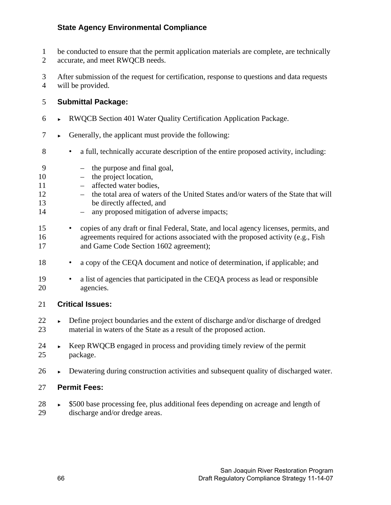# **State Agency Environmental Compliance**

- 1 be conducted to ensure that the permit application materials are complete, are technically
- 2 accurate, and meet RWQCB needs.
- 3 After submission of the request for certification, response to questions and data requests 4 will be provided.

#### 5 **Submittal Package:**

- 6 ► RWQCB Section 401 Water Quality Certification Application Package.
- 7 ► Generally, the applicant must provide the following:
- 8 a full, technically accurate description of the entire proposed activity, including:
- 9 the purpose and final goal,
- 10 the project location,
- 11 affected water bodies,
- 12 the total area of waters of the United States and/or waters of the State that will 13 be directly affected, and
- 14 any proposed mitigation of adverse impacts;
- 15 copies of any draft or final Federal, State, and local agency licenses, permits, and 16 agreements required for actions associated with the proposed activity (e.g., Fish 17 and Game Code Section 1602 agreement);
- 18 a copy of the CEQA document and notice of determination, if applicable; and
- 19 a list of agencies that participated in the CEQA process as lead or responsible 20 agencies.

### 21 **Critical Issues:**

- 22 ► Define project boundaries and the extent of discharge and/or discharge of dredged 23 material in waters of the State as a result of the proposed action.
- 24 ► Keep RWQCB engaged in process and providing timely review of the permit 25 package.
- 26 ► Dewatering during construction activities and subsequent quality of discharged water.

#### 27 **Permit Fees:**

28 ► \$500 base processing fee, plus additional fees depending on acreage and length of 29 discharge and/or dredge areas.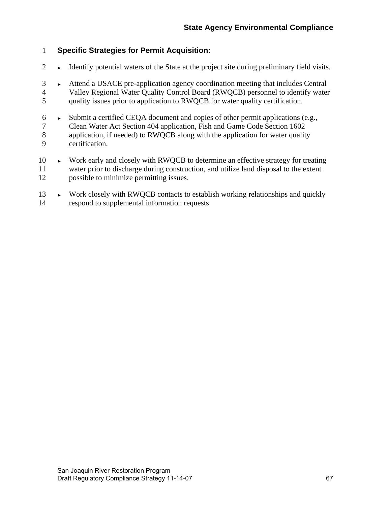## 1 **Specific Strategies for Permit Acquisition:**

- 2 ► Identify potential waters of the State at the project site during preliminary field visits.
- 3 ► Attend a USACE pre-application agency coordination meeting that includes Central 4 Valley Regional Water Quality Control Board (RWQCB) personnel to identify water 5 quality issues prior to application to RWQCB for water quality certification.
- 6 ► Submit a certified CEQA document and copies of other permit applications (e.g., 7 Clean Water Act Section 404 application, Fish and Game Code Section 1602 8 application, if needed) to RWQCB along with the application for water quality 9 certification.
- 10 ► Work early and closely with RWQCB to determine an effective strategy for treating 11 water prior to discharge during construction, and utilize land disposal to the extent 12 possible to minimize permitting issues.
- 13 ► Work closely with RWQCB contacts to establish working relationships and quickly 14 respond to supplemental information requests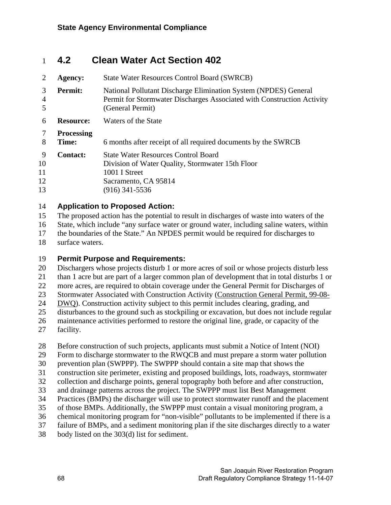# 1 **4.2 Clean Water Act Section 402**

|                           | Agency:                    | <b>State Water Resources Control Board (SWRCB)</b>                                                                                                            |  |
|---------------------------|----------------------------|---------------------------------------------------------------------------------------------------------------------------------------------------------------|--|
| 3<br>4<br>5               | <b>Permit:</b>             | National Pollutant Discharge Elimination System (NPDES) General<br>Permit for Stormwater Discharges Associated with Construction Activity<br>(General Permit) |  |
| 6                         | <b>Resource:</b>           | Waters of the State                                                                                                                                           |  |
| 8                         | <b>Processing</b><br>Time: | 6 months after receipt of all required documents by the SWRCB                                                                                                 |  |
| 9<br>10<br>11<br>12<br>13 | <b>Contact:</b>            | <b>State Water Resources Control Board</b><br>Division of Water Quality, Stormwater 15th Floor<br>1001 I Street<br>Sacramento, CA 95814<br>(916) 341-5536     |  |

## 14 **Application to Proposed Action:**

15 The proposed action has the potential to result in discharges of waste into waters of the 16 State, which include "any surface water or ground water, including saline waters, within 17 the boundaries of the State." An NPDES permit would be required for discharges to 18 surface waters.

### 19 **Permit Purpose and Requirements:**

20 Dischargers whose projects disturb 1 or more acres of soil or whose projects disturb less 21 than 1 acre but are part of a larger common plan of development that in total disturbs 1 or 22 more acres, are required to obtain coverage under the General Permit for Discharges of 23 Stormwater Associated with Construction Activity (Construction General Permit, 99-08- 24 DWQ). Construction activity subject to this permit includes clearing, grading, and 25 disturbances to the ground such as stockpiling or excavation, but does not include regular 26 maintenance activities performed to restore the original line, grade, or capacity of the 27 facility.

- 28 Before construction of such projects, applicants must submit a Notice of Intent (NOI)
- 29 Form to discharge stormwater to the RWQCB and must prepare a storm water pollution
- 30 prevention plan (SWPPP). The SWPPP should contain a site map that shows the
- 31 construction site perimeter, existing and proposed buildings, lots, roadways, stormwater
- 32 collection and discharge points, general topography both before and after construction,
- 33 and drainage patterns across the project. The SWPPP must list Best Management
- 34 Practices (BMPs) the discharger will use to protect stormwater runoff and the placement
- 35 of those BMPs. Additionally, the SWPPP must contain a visual monitoring program, a
- 36 chemical monitoring program for "non-visible" pollutants to be implemented if there is a
- 37 failure of BMPs, and a sediment monitoring plan if the site discharges directly to a water
- 38 body listed on the 303(d) list for sediment.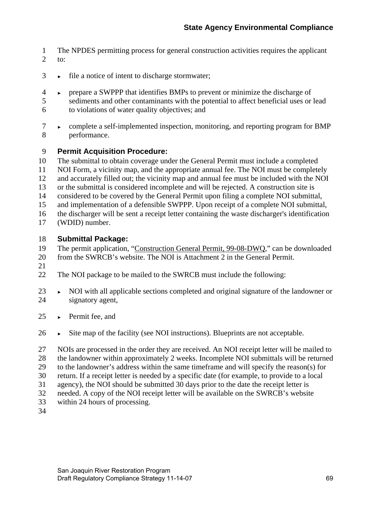- 1 The NPDES permitting process for general construction activities requires the applicant  $2$  to:
- 3 ► file a notice of intent to discharge stormwater;
- 4 ► prepare a SWPPP that identifies BMPs to prevent or minimize the discharge of 5 sediments and other contaminants with the potential to affect beneficial uses or lead 6 to violations of water quality objectives; and
- 7 ► complete a self-implemented inspection, monitoring, and reporting program for BMP 8 performance.

### 9 **Permit Acquisition Procedure:**

- 10 The submittal to obtain coverage under the General Permit must include a completed
- 11 NOI Form, a vicinity map, and the appropriate annual fee. The NOI must be completely
- 12 and accurately filled out; the vicinity map and annual fee must be included with the NOI
- 13 or the submittal is considered incomplete and will be rejected. A construction site is
- 14 considered to be covered by the General Permit upon filing a complete NOI submittal,
- 15 and implementation of a defensible SWPPP. Upon receipt of a complete NOI submittal,
- 16 the discharger will be sent a receipt letter containing the waste discharger's identification
- 17 (WDID) number.

### 18 **Submittal Package:**

- 19 The permit application, "Construction General Permit, 99-08-DWQ," can be downloaded 20 from the SWRCB's website. The NOI is Attachment 2 in the General Permit.
- 21
- 22 The NOI package to be mailed to the SWRCB must include the following:
- 23 ► NOI with all applicable sections completed and original signature of the landowner or 24 signatory agent,
- 25 ► Permit fee, and
- 26 ► Site map of the facility (see NOI instructions). Blueprints are not acceptable.
- 27 NOIs are processed in the order they are received. An NOI receipt letter will be mailed to
- 28 the landowner within approximately 2 weeks. Incomplete NOI submittals will be returned
- 29 to the landowner's address within the same timeframe and will specify the reason(s) for
- 30 return. If a receipt letter is needed by a specific date (for example, to provide to a local
- 31 agency), the NOI should be submitted 30 days prior to the date the receipt letter is
- 32 needed. A copy of the NOI receipt letter will be available on the SWRCB's website
- 33 within 24 hours of processing.
- 34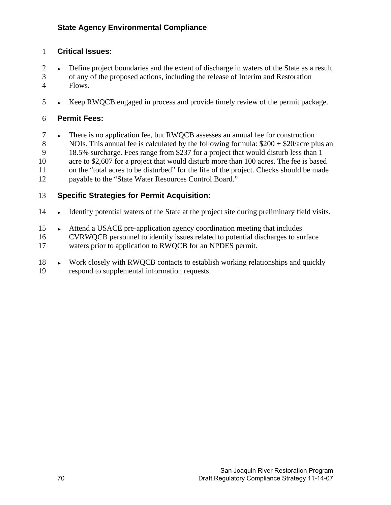# **State Agency Environmental Compliance**

### 1 **Critical Issues:**

- 2 ► Define project boundaries and the extent of discharge in waters of the State as a result 3 of any of the proposed actions, including the release of Interim and Restoration 4 Flows.
- 5 ► Keep RWQCB engaged in process and provide timely review of the permit package.

### 6 **Permit Fees:**

7 ► There is no application fee, but RWQCB assesses an annual fee for construction 8 NOIs. This annual fee is calculated by the following formula:  $$200 + $20/$  acre plus an 9 18.5% surcharge. Fees range from \$237 for a project that would disturb less than 1 10 acre to \$2,607 for a project that would disturb more than 100 acres. The fee is based 11 on the "total acres to be disturbed" for the life of the project. Checks should be made 12 payable to the "State Water Resources Control Board."

### 13 **Specific Strategies for Permit Acquisition:**

- 14 ► Identify potential waters of the State at the project site during preliminary field visits.
- 15 ► Attend a USACE pre-application agency coordination meeting that includes
- 16 CVRWQCB personnel to identify issues related to potential discharges to surface
- 17 waters prior to application to RWQCB for an NPDES permit.
- 18 ► Work closely with RWQCB contacts to establish working relationships and quickly 19 respond to supplemental information requests.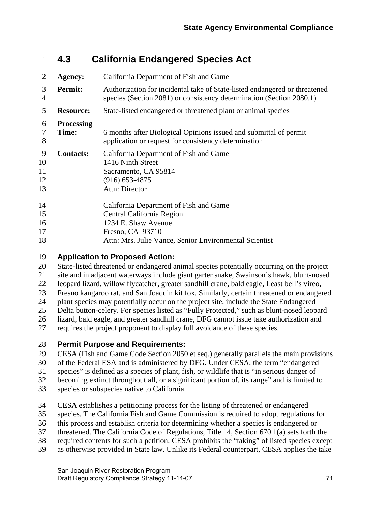# 1 **4.3 California Endangered Species Act**

| 2                          | Agency:                    | California Department of Fish and Game                                                                                                                                   |  |
|----------------------------|----------------------------|--------------------------------------------------------------------------------------------------------------------------------------------------------------------------|--|
| 3<br>4                     | <b>Permit:</b>             | Authorization for incidental take of State-listed endangered or threatened<br>species (Section 2081) or consistency determination (Section 2080.1)                       |  |
| 5                          | <b>Resource:</b>           | State-listed endangered or threatened plant or animal species                                                                                                            |  |
| 6<br>7<br>8                | <b>Processing</b><br>Time: | 6 months after Biological Opinions issued and submittal of permit<br>application or request for consistency determination                                                |  |
| 9<br>10<br>11<br>12<br>13  | <b>Contacts:</b>           | California Department of Fish and Game<br>1416 Ninth Street<br>Sacramento, CA 95814<br>$(916) 653 - 4875$<br><b>Attn: Director</b>                                       |  |
| 14<br>15<br>16<br>17<br>18 |                            | California Department of Fish and Game<br>Central California Region<br>1234 E. Shaw Avenue<br>Fresno, CA 93710<br>Attn: Mrs. Julie Vance, Senior Environmental Scientist |  |

19 **Application to Proposed Action:** 

20 State-listed threatened or endangered animal species potentially occurring on the project 21 site and in adjacent waterways include giant garter snake, Swainson's hawk, blunt-nosed 22 leopard lizard, willow flycatcher, greater sandhill crane, bald eagle, Least bell's vireo, 23 Fresno kangaroo rat, and San Joaquin kit fox. Similarly, certain threatened or endangered 24 plant species may potentially occur on the project site, include the State Endangered 25 Delta button-celery. For species listed as "Fully Protected," such as blunt-nosed leopard 26 lizard, bald eagle, and greater sandhill crane, DFG cannot issue take authorization and 27 requires the project proponent to display full avoidance of these species.

- 28 **Permit Purpose and Requirements:**
- 29 CESA (Fish and Game Code Section 2050 et seq.) generally parallels the main provisions
- 30 of the Federal ESA and is administered by DFG. Under CESA, the term "endangered
- 31 species" is defined as a species of plant, fish, or wildlife that is "in serious danger of
- 32 becoming extinct throughout all, or a significant portion of, its range" and is limited to
- 33 species or subspecies native to California.
- 34 CESA establishes a petitioning process for the listing of threatened or endangered
- 35 species. The California Fish and Game Commission is required to adopt regulations for
- 36 this process and establish criteria for determining whether a species is endangered or
- 37 threatened. The California Code of Regulations, Title 14, Section 670.1(a) sets forth the
- 38 required contents for such a petition. CESA prohibits the "taking" of listed species except
- 39 as otherwise provided in State law. Unlike its Federal counterpart, CESA applies the take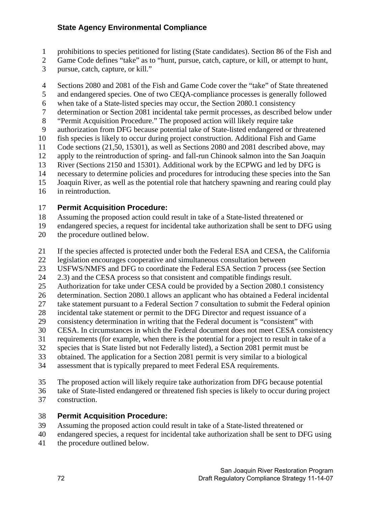## **State Agency Environmental Compliance**

- 1 prohibitions to species petitioned for listing (State candidates). Section 86 of the Fish and
- 2 Game Code defines "take" as to "hunt, pursue, catch, capture, or kill, or attempt to hunt,
- 3 pursue, catch, capture, or kill."
- 4 Sections 2080 and 2081 of the Fish and Game Code cover the "take" of State threatened
- 5 and endangered species. One of two CEQA-compliance processes is generally followed
- 6 when take of a State-listed species may occur, the Section 2080.1 consistency
- 7 determination or Section 2081 incidental take permit processes, as described below under
- 8 "Permit Acquisition Procedure." The proposed action will likely require take
- 9 authorization from DFG because potential take of State-listed endangered or threatened
- 10 fish species is likely to occur during project construction. Additional Fish and Game
- 11 Code sections (21,50, 15301), as well as Sections 2080 and 2081 described above, may
- 12 apply to the reintroduction of spring- and fall-run Chinook salmon into the San Joaquin
- 13 River (Sections 2150 and 15301). Additional work by the ECPWG and led by DFG is
- 14 necessary to determine policies and procedures for introducing these species into the San
- 15 Joaquin River, as well as the potential role that hatchery spawning and rearing could play
- 16 in reintroduction.

## 17 **Permit Acquisition Procedure:**

- 18 Assuming the proposed action could result in take of a State-listed threatened or
- 19 endangered species, a request for incidental take authorization shall be sent to DFG using 20 the procedure outlined below.
- 21 If the species affected is protected under both the Federal ESA and CESA, the California
- 22 legislation encourages cooperative and simultaneous consultation between
- 23 USFWS/NMFS and DFG to coordinate the Federal ESA Section 7 process (see Section
- 24 2.3) and the CESA process so that consistent and compatible findings result.
- 25 Authorization for take under CESA could be provided by a Section 2080.1 consistency
- 26 determination. Section 2080.1 allows an applicant who has obtained a Federal incidental
- 27 take statement pursuant to a Federal Section 7 consultation to submit the Federal opinion
- 28 incidental take statement or permit to the DFG Director and request issuance of a
- 29 consistency determination in writing that the Federal document is "consistent" with
- 30 CESA. In circumstances in which the Federal document does not meet CESA consistency
- 31 requirements (for example, when there is the potential for a project to result in take of a
- 32 species that is State listed but not Federally listed), a Section 2081 permit must be
- 33 obtained. The application for a Section 2081 permit is very similar to a biological
- 34 assessment that is typically prepared to meet Federal ESA requirements.
- 35 The proposed action will likely require take authorization from DFG because potential
- 36 take of State-listed endangered or threatened fish species is likely to occur during project 37 construction.
- 

# 38 **Permit Acquisition Procedure:**

- 39 Assuming the proposed action could result in take of a State-listed threatened or
- 40 endangered species, a request for incidental take authorization shall be sent to DFG using
- 41 the procedure outlined below.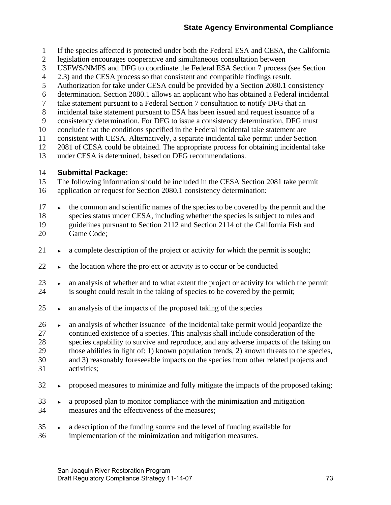- 1 If the species affected is protected under both the Federal ESA and CESA, the California
- 2 legislation encourages cooperative and simultaneous consultation between
- 3 USFWS/NMFS and DFG to coordinate the Federal ESA Section 7 process (see Section
- 4 2.3) and the CESA process so that consistent and compatible findings result.
- 5 Authorization for take under CESA could be provided by a Section 2080.1 consistency
- 6 determination. Section 2080.1 allows an applicant who has obtained a Federal incidental
- 7 take statement pursuant to a Federal Section 7 consultation to notify DFG that an
- 8 incidental take statement pursuant to ESA has been issued and request issuance of a
- 9 consistency determination. For DFG to issue a consistency determination, DFG must
- 10 conclude that the conditions specified in the Federal incidental take statement are
- 11 consistent with CESA. Alternatively, a separate incidental take permit under Section
- 12 2081 of CESA could be obtained. The appropriate process for obtaining incidental take
- 13 under CESA is determined, based on DFG recommendations.

### 14 **Submittal Package:**

15 The following information should be included in the CESA Section 2081 take permit 16 application or request for Section 2080.1 consistency determination:

- 17 ► the common and scientific names of the species to be covered by the permit and the 18 species status under CESA, including whether the species is subject to rules and 19 guidelines pursuant to Section 2112 and Section 2114 of the California Fish and 20 Game Code;
- 21 ► a complete description of the project or activity for which the permit is sought;
- 22 ► the location where the project or activity is to occur or be conducted
- 23 ► an analysis of whether and to what extent the project or activity for which the permit 24 is sought could result in the taking of species to be covered by the permit;
- $25 \rightarrow$  an analysis of the impacts of the proposed taking of the species

26 ► an analysis of whether issuance of the incidental take permit would jeopardize the 27 continued existence of a species. This analysis shall include consideration of the 28 species capability to survive and reproduce, and any adverse impacts of the taking on 29 those abilities in light of: 1) known population trends, 2) known threats to the species, 30 and 3) reasonably foreseeable impacts on the species from other related projects and 31 activities;

- 32 ► proposed measures to minimize and fully mitigate the impacts of the proposed taking;
- 33 ► a proposed plan to monitor compliance with the minimization and mitigation 34 measures and the effectiveness of the measures;
- 35 ► a description of the funding source and the level of funding available for 36 implementation of the minimization and mitigation measures.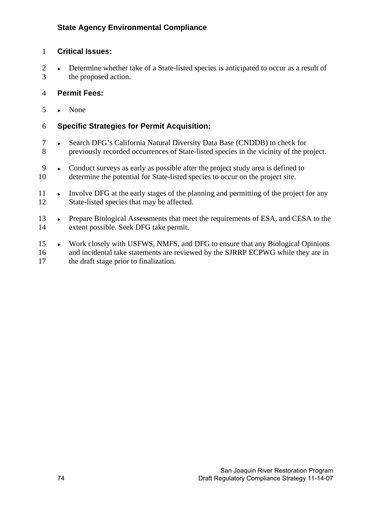## **State Agency Environmental Compliance**

### 1 **Critical Issues:**

2 ► Determine whether take of a State-listed species is anticipated to occur as a result of 3 the proposed action.

### 4 **Permit Fees:**

5 ► None

6 **Specific Strategies for Permit Acquisition:** 

- 7 ► Search DFG's California Natural Diversity Data Base (CNDDB) to check for 8 previously recorded occurrences of State-listed species in the vicinity of the project.
- 9 ► Conduct surveys as early as possible after the project study area is defined to 10 determine the potential for State-listed species to occur on the project site.
- 11 ► Involve DFG at the early stages of the planning and permitting of the project for any 12 State-listed species that may be affected.
- 13 ► Prepare Biological Assessments that meet the requirements of ESA, and CESA to the 14 extent possible. Seek DFG take permit.
- 15 ► Work closely with USFWS, NMFS, and DFG to ensure that any Biological Opinions 16 and incidental take statements are reviewed by the SJRRP ECPWG while they are in 17 the draft stage prior to finalization.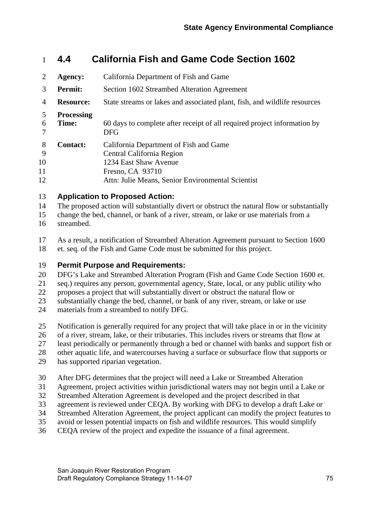# 1 **4.4 California Fish and Game Code Section 1602**

- 2 **Agency:** California Department of Fish and Game 3 **Permit:** Section 1602 Streambed Alteration Agreement 4 **Resource:** State streams or lakes and associated plant, fish, and wildlife resources 5 **Processing**  6 **Time:** 60 days to complete after receipt of all required project information by 7 DFG 8 **Contact:** California Department of Fish and Game 9 Central California Region 10 1234 East Shaw Avenue 11 Fresno, CA 93710 12 Attn: Julie Means, Senior Environmental Scientist
- 13 **Application to Proposed Action:**
- 14 The proposed action will substantially divert or obstruct the natural flow or substantially

15 change the bed, channel, or bank of a river, stream, or lake or use materials from a

- 16 streambed.
- 17 As a result, a notification of Streambed Alteration Agreement pursuant to Section 1600
- 18 et. seq. of the Fish and Game Code must be submitted for this project.

### 19 **Permit Purpose and Requirements:**

- 20 DFG's Lake and Streambed Alteration Program (Fish and Game Code Section 1600 et.
- 21 seq.) requires any person, governmental agency, State, local, or any public utility who
- 22 proposes a project that will substantially divert or obstruct the natural flow or
- 23 substantially change the bed, channel, or bank of any river, stream, or lake or use
- 24 materials from a streambed to notify DFG.
- 25 Notification is generally required for any project that will take place in or in the vicinity
- 26 of a river, stream, lake, or their tributaries. This includes rivers or streams that flow at
- 27 least periodically or permanently through a bed or channel with banks and support fish or
- 28 other aquatic life, and watercourses having a surface or subsurface flow that supports or
- 29 has supported riparian vegetation.
- 30 After DFG determines that the project will need a Lake or Streambed Alteration
- 31 Agreement, project activities within jurisdictional waters may not begin until a Lake or
- 32 Streambed Alteration Agreement is developed and the project described in that
- 33 agreement is reviewed under CEQA. By working with DFG to develop a draft Lake or
- 34 Streambed Alteration Agreement, the project applicant can modify the project features to
- 35 avoid or lessen potential impacts on fish and wildlife resources. This would simplify
- 36 CEQA review of the project and expedite the issuance of a final agreement.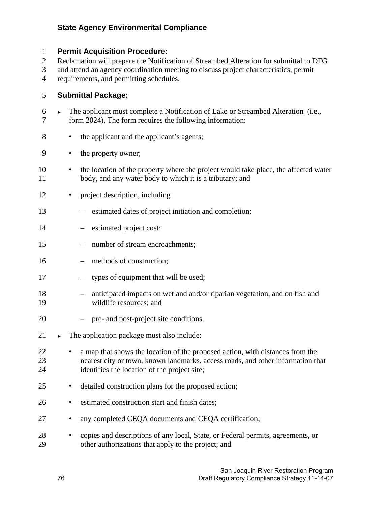## **State Agency Environmental Compliance**

### 1 **Permit Acquisition Procedure:**

2 Reclamation will prepare the Notification of Streambed Alteration for submittal to DFG

3 and attend an agency coordination meeting to discuss project characteristics, permit

4 requirements, and permitting schedules.

### 5 **Submittal Package:**

- 6 ► The applicant must complete a Notification of Lake or Streambed Alteration (i.e., 7 form 2024). The form requires the following information:
- 8 the applicant and the applicant's agents;
- 9 the property owner;
- 10 the location of the property where the project would take place, the affected water 11 body, and any water body to which it is a tributary; and
- 12 project description, including
- 13 estimated dates of project initiation and completion;
- 14 estimated project cost;
- 15 number of stream encroachments;
- 16 methods of construction;
- 17 types of equipment that will be used;
- 18 anticipated impacts on wetland and/or riparian vegetation, and on fish and 19 wildlife resources; and
- 20 pre- and post-project site conditions.
- 21  $\rightarrow$  The application package must also include:
- 22 a map that shows the location of the proposed action, with distances from the 23 nearest city or town, known landmarks, access roads, and other information that 24 identifies the location of the project site;
- 25 detailed construction plans for the proposed action;
- 26 estimated construction start and finish dates;
- 27 any completed CEQA documents and CEQA certification;
- 28 copies and descriptions of any local, State, or Federal permits, agreements, or 29 other authorizations that apply to the project; and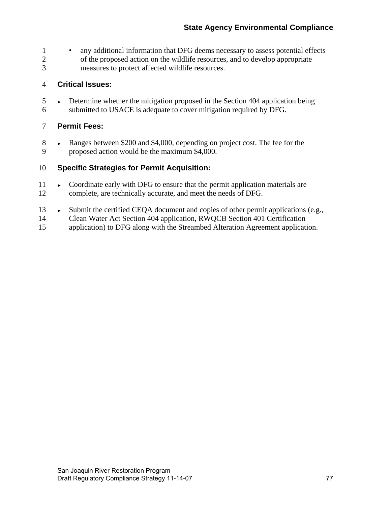1 • any additional information that DFG deems necessary to assess potential effects 2 of the proposed action on the wildlife resources, and to develop appropriate 3 measures to protect affected wildlife resources.

## 4 **Critical Issues:**

5 ► Determine whether the mitigation proposed in the Section 404 application being 6 submitted to USACE is adequate to cover mitigation required by DFG.

### 7 **Permit Fees:**

8 ► Ranges between \$200 and \$4,000, depending on project cost. The fee for the 9 proposed action would be the maximum \$4,000.

# 10 **Specific Strategies for Permit Acquisition:**

- 11 ► Coordinate early with DFG to ensure that the permit application materials are 12 complete, are technically accurate, and meet the needs of DFG.
- 13 ► Submit the certified CEQA document and copies of other permit applications (e.g.,
- 14 Clean Water Act Section 404 application, RWQCB Section 401 Certification
- 15 application) to DFG along with the Streambed Alteration Agreement application.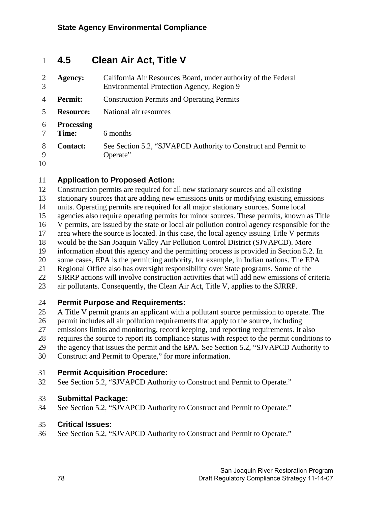# 1 **4.5 Clean Air Act, Title V**

| 3            | Agency:                    | California Air Resources Board, under authority of the Federal<br>Environmental Protection Agency, Region 9 |
|--------------|----------------------------|-------------------------------------------------------------------------------------------------------------|
| 4            | <b>Permit:</b>             | <b>Construction Permits and Operating Permits</b>                                                           |
|              | <b>Resource:</b>           | National air resources                                                                                      |
| 6            | <b>Processing</b><br>Time: | 6 months                                                                                                    |
| 8<br>9<br>10 | <b>Contact:</b>            | See Section 5.2, "SJVAPCD Authority to Construct and Permit to<br>Operate"                                  |

### 11 **Application to Proposed Action:**

12 Construction permits are required for all new stationary sources and all existing 13 stationary sources that are adding new emissions units or modifying existing emissions 14 units. Operating permits are required for all major stationary sources. Some local 15 agencies also require operating permits for minor sources. These permits, known as Title

- 16 V permits, are issued by the state or local air pollution control agency responsible for the
- 17 area where the source is located. In this case, the local agency issuing Title V permits
- 18 would be the San Joaquin Valley Air Pollution Control District (SJVAPCD). More
- 19 information about this agency and the permitting process is provided in Section 5.2. In
- 20 some cases, EPA is the permitting authority, for example, in Indian nations. The EPA
- 21 Regional Office also has oversight responsibility over State programs. Some of the 22 SJRRP actions will involve construction activities that will add new emissions of criteria
- 
- 23 air pollutants. Consequently, the Clean Air Act, Title V, applies to the SJRRP.

### 24 **Permit Purpose and Requirements:**

- 25 A Title V permit grants an applicant with a pollutant source permission to operate. The
- 26 permit includes all air pollution requirements that apply to the source, including
- 27 emissions limits and monitoring, record keeping, and reporting requirements. It also
- 28 requires the source to report its compliance status with respect to the permit conditions to
- 29 the agency that issues the permit and the EPA. See Section 5.2, "SJVAPCD Authority to
- 30 Construct and Permit to Operate," for more information.

# 31 **Permit Acquisition Procedure:**

32 See Section 5.2, "SJVAPCD Authority to Construct and Permit to Operate."

# 33 **Submittal Package:**

34 See Section 5.2, "SJVAPCD Authority to Construct and Permit to Operate."

### 35 **Critical Issues:**

36 See Section 5.2, "SJVAPCD Authority to Construct and Permit to Operate."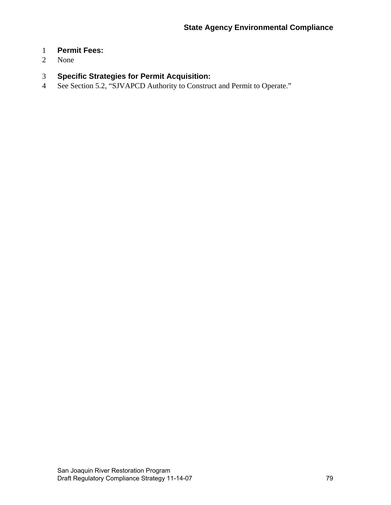# 1 **Permit Fees:**

2 None

## 3 **Specific Strategies for Permit Acquisition:**

4 See Section 5.2, "SJVAPCD Authority to Construct and Permit to Operate."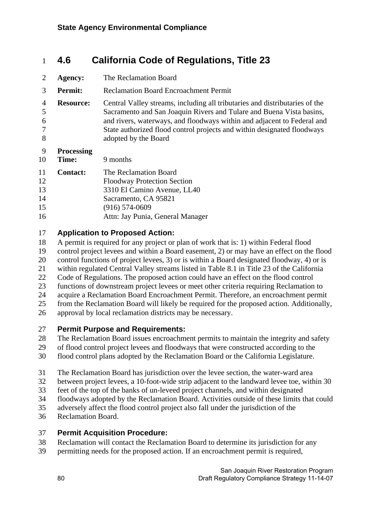# 1 **4.6 California Code of Regulations, Title 23**

| 2                          | Agency:                    | The Reclamation Board                                                                                                                                                                                                                                                                                                             |
|----------------------------|----------------------------|-----------------------------------------------------------------------------------------------------------------------------------------------------------------------------------------------------------------------------------------------------------------------------------------------------------------------------------|
| 3                          | <b>Permit:</b>             | <b>Reclamation Board Encroachment Permit</b>                                                                                                                                                                                                                                                                                      |
| 4<br>5<br>6<br>8           | <b>Resource:</b>           | Central Valley streams, including all tributaries and distributaries of the<br>Sacramento and San Joaquin Rivers and Tulare and Buena Vista basins,<br>and rivers, waterways, and floodways within and adjacent to Federal and<br>State authorized flood control projects and within designated floodways<br>adopted by the Board |
| 9<br>10                    | <b>Processing</b><br>Time: | 9 months                                                                                                                                                                                                                                                                                                                          |
| 11<br>12<br>13<br>14<br>15 | <b>Contact:</b>            | The Reclamation Board<br><b>Floodway Protection Section</b><br>3310 El Camino Avenue, LL40<br>Sacramento, CA 95821<br>$(916) 574 - 0609$                                                                                                                                                                                          |

## 17 **Application to Proposed Action:**

18 A permit is required for any project or plan of work that is: 1) within Federal flood

19 control project levees and within a Board easement, 2) or may have an effect on the flood

20 control functions of project levees, 3) or is within a Board designated floodway, 4) or is

21 within regulated Central Valley streams listed in Table 8.1 in Title 23 of the California

22 Code of Regulations. The proposed action could have an effect on the flood control

23 functions of downstream project levees or meet other criteria requiring Reclamation to

24 acquire a Reclamation Board Encroachment Permit. Therefore, an encroachment permit

25 from the Reclamation Board will likely be required for the proposed action. Additionally,

26 approval by local reclamation districts may be necessary.

# 27 **Permit Purpose and Requirements:**

28 The Reclamation Board issues encroachment permits to maintain the integrity and safety

- 29 of flood control project levees and floodways that were constructed according to the
- 30 flood control plans adopted by the Reclamation Board or the California Legislature.
- 31 The Reclamation Board has jurisdiction over the levee section, the water-ward area
- 32 between project levees, a 10-foot-wide strip adjacent to the landward levee toe, within 30
- 33 feet of the top of the banks of un-leveed project channels, and within designated
- 34 floodways adopted by the Reclamation Board. Activities outside of these limits that could
- 35 adversely affect the flood control project also fall under the jurisdiction of the
- 36 Reclamation Board.

# 37 **Permit Acquisition Procedure:**

- 38 Reclamation will contact the Reclamation Board to determine its jurisdiction for any
- 39 permitting needs for the proposed action. If an encroachment permit is required,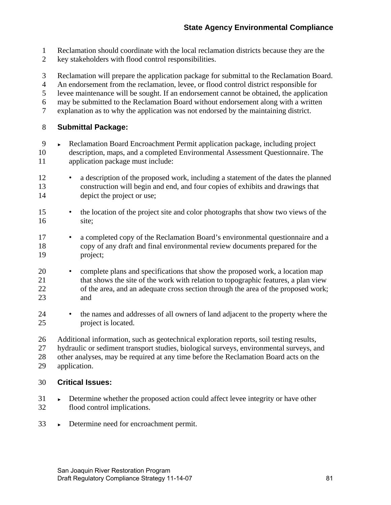1 Reclamation should coordinate with the local reclamation districts because they are the

2 key stakeholders with flood control responsibilities.

3 Reclamation will prepare the application package for submittal to the Reclamation Board. 4 An endorsement from the reclamation, levee, or flood control district responsible for 5 levee maintenance will be sought. If an endorsement cannot be obtained, the application 6 may be submitted to the Reclamation Board without endorsement along with a written 7 explanation as to why the application was not endorsed by the maintaining district.

### 8 **Submittal Package:**

- 9 ► Reclamation Board Encroachment Permit application package, including project 10 description, maps, and a completed Environmental Assessment Questionnaire. The 11 application package must include:
- <sup>12</sup> a description of the proposed work, including a statement of the dates the planned 13 construction will begin and end, and four copies of exhibits and drawings that 14 depict the project or use;
- <sup>15</sup> the location of the project site and color photographs that show two views of the 16 site:
- 17 a completed copy of the Reclamation Board's environmental questionnaire and a 18 copy of any draft and final environmental review documents prepared for the 19 project;
- 20 complete plans and specifications that show the proposed work, a location map 21 that shows the site of the work with relation to topographic features, a plan view 22 of the area, and an adequate cross section through the area of the proposed work; 23 and
- 24 the names and addresses of all owners of land adjacent to the property where the 25 project is located.
- 26 Additional information, such as geotechnical exploration reports, soil testing results,
- 27 hydraulic or sediment transport studies, biological surveys, environmental surveys, and
- 28 other analyses, may be required at any time before the Reclamation Board acts on the
- 29 application.

### 30 **Critical Issues:**

- 31 ► Determine whether the proposed action could affect levee integrity or have other 32 flood control implications.
- 33 ► Determine need for encroachment permit.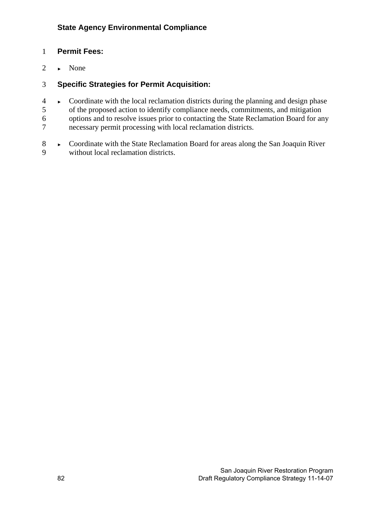- 1 **Permit Fees:**
- 2 ► None

### 3 **Specific Strategies for Permit Acquisition:**

- 4 ► Coordinate with the local reclamation districts during the planning and design phase 5 of the proposed action to identify compliance needs, commitments, and mitigation 6 options and to resolve issues prior to contacting the State Reclamation Board for any 7 necessary permit processing with local reclamation districts.
- 8 ► Coordinate with the State Reclamation Board for areas along the San Joaquin River without local reclamation districts.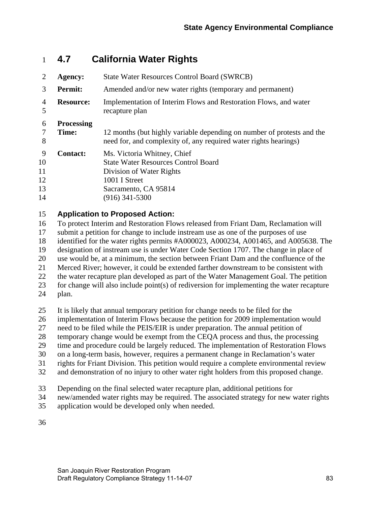# 1 **4.7 California Water Rights**

|                                 | Agency:                    | <b>State Water Resources Control Board (SWRCB)</b>                                                                                                                 |
|---------------------------------|----------------------------|--------------------------------------------------------------------------------------------------------------------------------------------------------------------|
| 3                               | <b>Permit:</b>             | Amended and/or new water rights (temporary and permanent)                                                                                                          |
| 4<br>5                          | <b>Resource:</b>           | Implementation of Interim Flows and Restoration Flows, and water<br>recapture plan                                                                                 |
| 6<br>8                          | <b>Processing</b><br>Time: | 12 months (but highly variable depending on number of protests and the<br>need for, and complexity of, any required water rights hearings)                         |
| 9<br>10<br>11<br>12<br>13<br>14 | <b>Contact:</b>            | Ms. Victoria Whitney, Chief<br><b>State Water Resources Control Board</b><br>Division of Water Rights<br>1001 I Street<br>Sacramento, CA 95814<br>$(916)$ 341-5300 |

# 15 **Application to Proposed Action:**

16 To protect Interim and Restoration Flows released from Friant Dam, Reclamation will 17 submit a petition for change to include instream use as one of the purposes of use 18 identified for the water rights permits #A000023, A000234, A001465, and A005638. The 19 designation of instream use is under Water Code Section 1707. The change in place of 20 use would be, at a minimum, the section between Friant Dam and the confluence of the 21 Merced River; however, it could be extended farther downstream to be consistent with 22 the water recapture plan developed as part of the Water Management Goal. The petition 23 for change will also include point(s) of rediversion for implementing the water recapture 24 plan. 25 It is likely that annual temporary petition for change needs to be filed for the 26 implementation of Interim Flows because the petition for 2009 implementation would 27 need to be filed while the PEIS/EIR is under preparation. The annual petition of 28 temporary change would be exempt from the CEQA process and thus, the processing 29 time and procedure could be largely reduced. The implementation of Restoration Flows 30 on a long-term basis, however, requires a permanent change in Reclamation's water

- 31 rights for Friant Division. This petition would require a complete environmental review
- 32 and demonstration of no injury to other water right holders from this proposed change.
- 33 Depending on the final selected water recapture plan, additional petitions for
- 34 new/amended water rights may be required. The associated strategy for new water rights
- 35 application would be developed only when needed.

36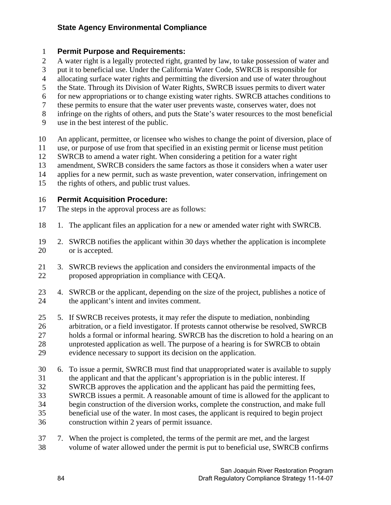## **State Agency Environmental Compliance**

### 1 **Permit Purpose and Requirements:**

- 2 A water right is a legally protected right, granted by law, to take possession of water and
- 3 put it to beneficial use. Under the California Water Code, SWRCB is responsible for
- 4 allocating surface water rights and permitting the diversion and use of water throughout
- 5 the State. Through its Division of Water Rights, SWRCB issues permits to divert water
- 6 for new appropriations or to change existing water rights. SWRCB attaches conditions to
- 7 these permits to ensure that the water user prevents waste, conserves water, does not
- 8 infringe on the rights of others, and puts the State's water resources to the most beneficial
- 9 use in the best interest of the public.
- 10 An applicant, permittee, or licensee who wishes to change the point of diversion, place of
- 11 use, or purpose of use from that specified in an existing permit or license must petition
- 12 SWRCB to amend a water right. When considering a petition for a water right
- 13 amendment, SWRCB considers the same factors as those it considers when a water user
- 14 applies for a new permit, such as waste prevention, water conservation, infringement on
- 15 the rights of others, and public trust values.

## 16 **Permit Acquisition Procedure:**

- 17 The steps in the approval process are as follows:
- 18 1. The applicant files an application for a new or amended water right with SWRCB.
- 19 2. SWRCB notifies the applicant within 30 days whether the application is incomplete 20 or is accepted.
- 21 3. SWRCB reviews the application and considers the environmental impacts of the 22 proposed appropriation in compliance with CEQA.
- 23 4. SWRCB or the applicant, depending on the size of the project, publishes a notice of 24 the applicant's intent and invites comment.
- 25 5. If SWRCB receives protests, it may refer the dispute to mediation, nonbinding 26 arbitration, or a field investigator. If protests cannot otherwise be resolved, SWRCB 27 holds a formal or informal hearing. SWRCB has the discretion to hold a hearing on an 28 unprotested application as well. The purpose of a hearing is for SWRCB to obtain 29 evidence necessary to support its decision on the application.
- 30 6. To issue a permit, SWRCB must find that unappropriated water is available to supply 31 the applicant and that the applicant's appropriation is in the public interest. If 32 SWRCB approves the application and the applicant has paid the permitting fees, 33 SWRCB issues a permit. A reasonable amount of time is allowed for the applicant to 34 begin construction of the diversion works, complete the construction, and make full 35 beneficial use of the water. In most cases, the applicant is required to begin project 36 construction within 2 years of permit issuance.
- 37 7. When the project is completed, the terms of the permit are met, and the largest 38 volume of water allowed under the permit is put to beneficial use, SWRCB confirms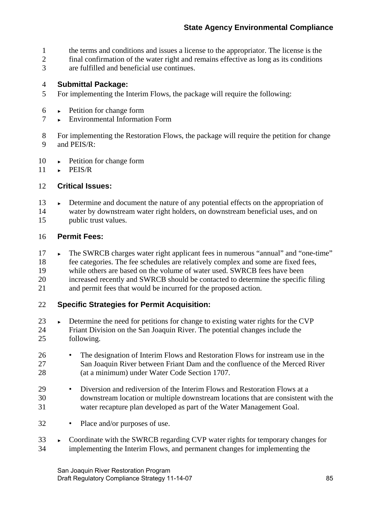- 1 the terms and conditions and issues a license to the appropriator. The license is the
- 2 final confirmation of the water right and remains effective as long as its conditions
- 3 are fulfilled and beneficial use continues.

### 4 **Submittal Package:**

- 5 For implementing the Interim Flows, the package will require the following:
- 6 ► Petition for change form
- 7 ► Environmental Information Form
- 8 For implementing the Restoration Flows, the package will require the petition for change 9 and PEIS/R:
- 10 ► Petition for change form
- 11 ► PEIS/R

### 12 **Critical Issues:**

- 13 ► Determine and document the nature of any potential effects on the appropriation of
- 14 water by downstream water right holders, on downstream beneficial uses, and on
- 15 public trust values.

### 16 **Permit Fees:**

- 17 ► The SWRCB charges water right applicant fees in numerous "annual" and "one-time"
- 18 fee categories. The fee schedules are relatively complex and some are fixed fees,
- 19 while others are based on the volume of water used. SWRCB fees have been
- 20 increased recently and SWRCB should be contacted to determine the specific filing
- 21 and permit fees that would be incurred for the proposed action.

### 22 **Specific Strategies for Permit Acquisition:**

- 23 ► Determine the need for petitions for change to existing water rights for the CVP 24 Friant Division on the San Joaquin River. The potential changes include the 25 following.
- 26 The designation of Interim Flows and Restoration Flows for instream use in the 27 San Joaquin River between Friant Dam and the confluence of the Merced River 28 (at a minimum) under Water Code Section 1707.
- 29 Diversion and rediversion of the Interim Flows and Restoration Flows at a 30 downstream location or multiple downstream locations that are consistent with the 31 water recapture plan developed as part of the Water Management Goal.
- 32 Place and/or purposes of use.
- 33 ► Coordinate with the SWRCB regarding CVP water rights for temporary changes for 34 implementing the Interim Flows, and permanent changes for implementing the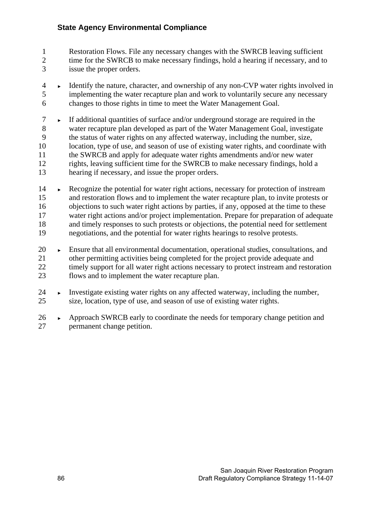## **State Agency Environmental Compliance**

- 1 Restoration Flows. File any necessary changes with the SWRCB leaving sufficient
- 2 time for the SWRCB to make necessary findings, hold a hearing if necessary, and to
- 3 issue the proper orders.
- 4 ► Identify the nature, character, and ownership of any non-CVP water rights involved in 5 implementing the water recapture plan and work to voluntarily secure any necessary 6 changes to those rights in time to meet the Water Management Goal.
- 7 ► If additional quantities of surface and/or underground storage are required in the 8 water recapture plan developed as part of the Water Management Goal, investigate<br>9 the status of water rights on any affected waterway, including the number, size, the status of water rights on any affected waterway, including the number, size, 10 location, type of use, and season of use of existing water rights, and coordinate with 11 the SWRCB and apply for adequate water rights amendments and/or new water 12 rights, leaving sufficient time for the SWRCB to make necessary findings, hold a 13 hearing if necessary, and issue the proper orders.
- 14 ► Recognize the potential for water right actions, necessary for protection of instream 15 and restoration flows and to implement the water recapture plan, to invite protests or 16 objections to such water right actions by parties, if any, opposed at the time to these 17 water right actions and/or project implementation. Prepare for preparation of adequate 18 and timely responses to such protests or objections, the potential need for settlement 19 negotiations, and the potential for water rights hearings to resolve protests.
- 20 ► Ensure that all environmental documentation, operational studies, consultations, and 21 other permitting activities being completed for the project provide adequate and 22 timely support for all water right actions necessary to protect instream and restoration 23 flows and to implement the water recapture plan.
- 24 ► Investigate existing water rights on any affected waterway, including the number, 25 size, location, type of use, and season of use of existing water rights.
- 26 ► Approach SWRCB early to coordinate the needs for temporary change petition and 27 permanent change petition.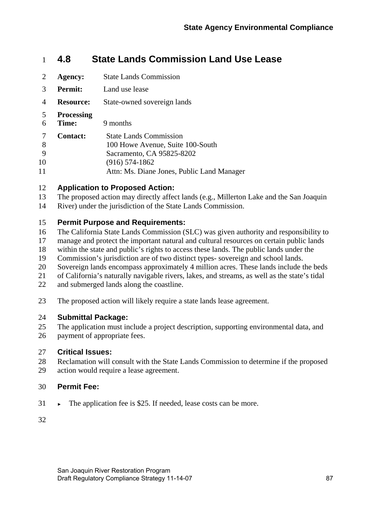# 1 **4.8 State Lands Commission Land Use Lease**

|        | Agency:                    | <b>State Lands Commission</b>                                     |
|--------|----------------------------|-------------------------------------------------------------------|
| 3      | <b>Permit:</b>             | Land use lease                                                    |
| 4      | <b>Resource:</b>           | State-owned sovereign lands                                       |
| 5<br>6 | <b>Processing</b><br>Time: | 9 months                                                          |
| 7<br>8 | <b>Contact:</b>            | <b>State Lands Commission</b><br>100 Howe Avenue, Suite 100-South |
| 9      |                            | Sacramento, CA 95825-8202                                         |
| 10     |                            | $(916)$ 574-1862                                                  |
| 11     |                            | Attn: Ms. Diane Jones, Public Land Manager                        |

### 12 **Application to Proposed Action:**

13 The proposed action may directly affect lands (e.g., Millerton Lake and the San Joaquin

14 River) under the jurisdiction of the State Lands Commission.

### 15 **Permit Purpose and Requirements:**

16 The California State Lands Commission (SLC) was given authority and responsibility to

- 17 manage and protect the important natural and cultural resources on certain public lands
- 18 within the state and public's rights to access these lands. The public lands under the
- 19 Commission's jurisdiction are of two distinct types- sovereign and school lands.
- 20 Sovereign lands encompass approximately 4 million acres. These lands include the beds
- 21 of California's naturally navigable rivers, lakes, and streams, as well as the state's tidal
- 22 and submerged lands along the coastline.
- 23 The proposed action will likely require a state lands lease agreement.

### 24 **Submittal Package:**

25 The application must include a project description, supporting environmental data, and

26 payment of appropriate fees.

# 27 **Critical Issues:**

- 28 Reclamation will consult with the State Lands Commission to determine if the proposed
- 29 action would require a lease agreement.

### 30 **Permit Fee:**

31 ► The application fee is \$25. If needed, lease costs can be more.

32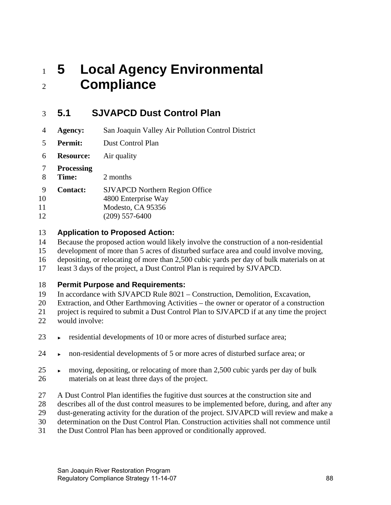# <sup>1</sup>**5 Local Agency Environmental**  <sup>2</sup>**Compliance**

# 3 **5.1 SJVAPCD Dust Control Plan**

- 4 **Agency:** San Joaquin Valley Air Pollution Control District
- 5 **Permit:** Dust Control Plan
- 6 **Resource:** Air quality
- 7 **Processing**
- 8 **Time:** 2 months
- 9 **Contact:** SJVAPCD Northern Region Office
- 10 4800 Enterprise Way
- 11 Modesto, CA 95356
- 12 (209) 557-6400

### 13 **Application to Proposed Action:**

- 14 Because the proposed action would likely involve the construction of a non-residential
- 15 development of more than 5 acres of disturbed surface area and could involve moving,
- 16 depositing, or relocating of more than 2,500 cubic yards per day of bulk materials on at
- 17 least 3 days of the project, a Dust Control Plan is required by SJVAPCD.

### 18 **Permit Purpose and Requirements:**

- 19 In accordance with SJVAPCD Rule 8021 Construction, Demolition, Excavation,
- 20 Extraction, and Other Earthmoving Activities the owner or operator of a construction
- 21 project is required to submit a Dust Control Plan to SJVAPCD if at any time the project 22 would involve:
- 23 ► residential developments of 10 or more acres of disturbed surface area;
- 24 ► non-residential developments of 5 or more acres of disturbed surface area; or
- 25 ► moving, depositing, or relocating of more than 2,500 cubic yards per day of bulk 26 materials on at least three days of the project.
- 27 A Dust Control Plan identifies the fugitive dust sources at the construction site and
- 28 describes all of the dust control measures to be implemented before, during, and after any
- 29 dust-generating activity for the duration of the project. SJVAPCD will review and make a
- 30 determination on the Dust Control Plan. Construction activities shall not commence until
- 31 the Dust Control Plan has been approved or conditionally approved.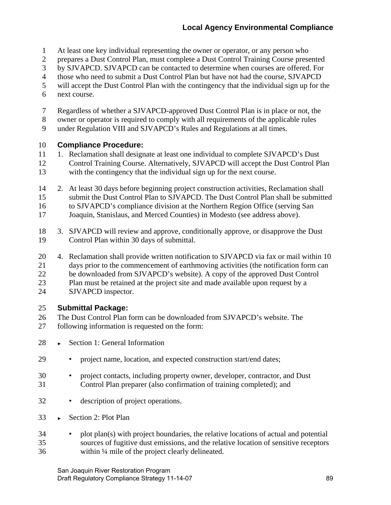# **Local Agency Environmental Compliance**

- 1 At least one key individual representing the owner or operator, or any person who
- 2 prepares a Dust Control Plan, must complete a Dust Control Training Course presented
- 3 by SJVAPCD. SJVAPCD can be contacted to determine when courses are offered. For
- 4 those who need to submit a Dust Control Plan but have not had the course, SJVAPCD
- 5 will accept the Dust Control Plan with the contingency that the individual sign up for the
- 6 next course.
- 7 Regardless of whether a SJVAPCD-approved Dust Control Plan is in place or not, the
- 8 owner or operator is required to comply with all requirements of the applicable rules
- 9 under Regulation VIII and SJVAPCD's Rules and Regulations at all times.

### 10 **Compliance Procedure:**

- 11 1. Reclamation shall designate at least one individual to complete SJVAPCD's Dust 12 Control Training Course. Alternatively, SJVAPCD will accept the Dust Control Plan 13 with the contingency that the individual sign up for the next course.
- 14 2. At least 30 days before beginning project construction activities, Reclamation shall 15 submit the Dust Control Plan to SJVAPCD. The Dust Control Plan shall be submitted 16 to SJVAPCD's compliance division at the Northern Region Office (serving San
- 17 Joaquin, Stanislaus, and Merced Counties) in Modesto (see address above).
- 18 3. SJVAPCD will review and approve, conditionally approve, or disapprove the Dust 19 Control Plan within 30 days of submittal.
- 20 4. Reclamation shall provide written notification to SJVAPCD via fax or mail within 10
- 21 days prior to the commencement of earthmoving activities (the notification form can
- 22 be downloaded from SJVAPCD's website). A copy of the approved Dust Control
- 23 Plan must be retained at the project site and made available upon request by a
- 24 SJVAPCD inspector.

### 25 **Submittal Package:**

- 26 The Dust Control Plan form can be downloaded from SJVAPCD's website. The
- 27 following information is requested on the form:
- 28 ► Section 1: General Information
- 29 project name, location, and expected construction start/end dates;
- 30 project contacts, including property owner, developer, contractor, and Dust 31 Control Plan preparer (also confirmation of training completed); and
- 32 description of project operations.
- 33 ► Section 2: Plot Plan
- 34 plot plan(s) with project boundaries, the relative locations of actual and potential 35 sources of fugitive dust emissions, and the relative location of sensitive receptors 36 within ¼ mile of the project clearly delineated.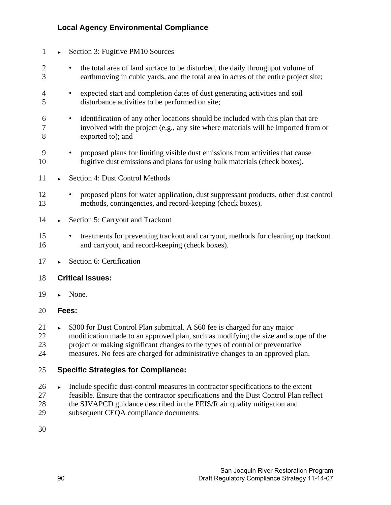## **Local Agency Environmental Compliance**

- 1 ► Section 3: Fugitive PM10 Sources 2 • the total area of land surface to be disturbed, the daily throughput volume of 3 earthmoving in cubic yards, and the total area in acres of the entire project site; 4 • expected start and completion dates of dust generating activities and soil 5 disturbance activities to be performed on site; 6 • identification of any other locations should be included with this plan that are 7 involved with the project (e.g., any site where materials will be imported from or 8 exported to); and 9 • proposed plans for limiting visible dust emissions from activities that cause 10 fugitive dust emissions and plans for using bulk materials (check boxes). 11 ► Section 4: Dust Control Methods 12 • proposed plans for water application, dust suppressant products, other dust control 13 methods, contingencies, and record-keeping (check boxes). 14 ► Section 5: Carryout and Trackout <sup>15</sup> • treatments for preventing trackout and carryout, methods for cleaning up trackout 16 and carryout, and record-keeping (check boxes). 17 ► Section 6: Certification 18 **Critical Issues:**  19 ► None. 20 **Fees:**  21 ► \$300 for Dust Control Plan submittal. A \$60 fee is charged for any major 22 modification made to an approved plan, such as modifying the size and scope of the 23 project or making significant changes to the types of control or preventative
- 24 measures. No fees are charged for administrative changes to an approved plan.

### 25 **Specific Strategies for Compliance:**

- 26 ► Include specific dust-control measures in contractor specifications to the extent
- 27 feasible. Ensure that the contractor specifications and the Dust Control Plan reflect
- 28 the SJVAPCD guidance described in the PEIS/R air quality mitigation and 29 subsequent CEQA compliance documents.
- 30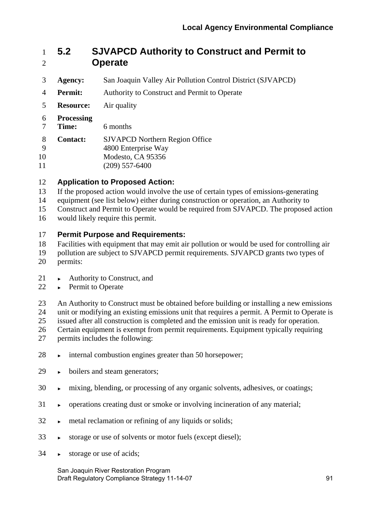# 1 **5.2 SJVAPCD Authority to Construct and Permit to**  2 **Operate**

- 3 **Agency:** San Joaquin Valley Air Pollution Control District (SJVAPCD)
- 4 **Permit:** Authority to Construct and Permit to Operate
- 5 **Resource:** Air quality
- 6 **Processing**
- 7 **Time:** 6 months

| -8  | <b>Contact:</b> | <b>SJVAPCD Northern Region Office</b> |
|-----|-----------------|---------------------------------------|
| - 9 |                 | 4800 Enterprise Way                   |
| 10  |                 | Modesto, CA 95356                     |
| 11  |                 | $(209)$ 557-6400                      |

- 12 **Application to Proposed Action:**
- 13 If the proposed action would involve the use of certain types of emissions-generating
- 14 equipment (see list below) either during construction or operation, an Authority to
- 15 Construct and Permit to Operate would be required from SJVAPCD. The proposed action
- 16 would likely require this permit.

### 17 **Permit Purpose and Requirements:**

- 18 Facilities with equipment that may emit air pollution or would be used for controlling air
- 19 pollution are subject to SJVAPCD permit requirements. SJVAPCD grants two types of
- 20 permits:
- 21 ► Authority to Construct, and
- 22 ► Permit to Operate
- 23 An Authority to Construct must be obtained before building or installing a new emissions 24 unit or modifying an existing emissions unit that requires a permit. A Permit to Operate is
- 25 issued after all construction is completed and the emission unit is ready for operation.
- 26 Certain equipment is exempt from permit requirements. Equipment typically requiring
- 27 permits includes the following:
- 28 ► internal combustion engines greater than 50 horsepower;
- 29 ► boilers and steam generators;
- 30 ► mixing, blending, or processing of any organic solvents, adhesives, or coatings;
- 31 ► operations creating dust or smoke or involving incineration of any material;
- 32 ► metal reclamation or refining of any liquids or solids;
- 33 ► storage or use of solvents or motor fuels (except diesel);
- 34 ► storage or use of acids;

San Joaquin River Restoration Program Draft Regulatory Compliance Strategy 11-14-07 91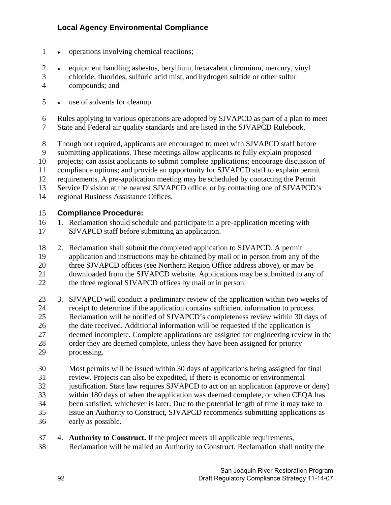# **Local Agency Environmental Compliance**

- 1 ► operations involving chemical reactions;
- 2 ► equipment handling asbestos, beryllium, hexavalent chromium, mercury, vinyl 3 chloride, fluorides, sulfuric acid mist, and hydrogen sulfide or other sulfur 4 compounds; and
- 5 ► use of solvents for cleanup.
- 6 Rules applying to various operations are adopted by SJVAPCD as part of a plan to meet 7 State and Federal air quality standards and are listed in the SJVAPCD Rulebook.
- 8 Though not required, applicants are encouraged to meet with SJVAPCD staff before
- 9 submitting applications. These meetings allow applicants to fully explain proposed
- 10 projects; can assist applicants to submit complete applications; encourage discussion of
- 11 compliance options; and provide an opportunity for SJVAPCD staff to explain permit
- 12 requirements. A pre-application meeting may be scheduled by contacting the Permit
- 13 Service Division at the nearest SJVAPCD office, or by contacting one of SJVAPCD's
- 14 regional Business Assistance Offices.

### 15 **Compliance Procedure:**

- 16 1. Reclamation should schedule and participate in a pre-application meeting with 17 SJVAPCD staff before submitting an application.
- 18 2. Reclamation shall submit the completed application to SJVAPCD. A permit
- 19 application and instructions may be obtained by mail or in person from any of the
- 20 three SJVAPCD offices (see Northern Region Office address above), or may be
- 21 downloaded from the SJVAPCD website. Applications may be submitted to any of
- 22 the three regional SJVAPCD offices by mail or in person.
- 23 3. SJVAPCD will conduct a preliminary review of the application within two weeks of 24 receipt to determine if the application contains sufficient information to process. 25 Reclamation will be notified of SJVAPCD's completeness review within 30 days of 26 the date received. Additional information will be requested if the application is 27 deemed incomplete. Complete applications are assigned for engineering review in the 28 order they are deemed complete, unless they have been assigned for priority 29 processing.
- 30 Most permits will be issued within 30 days of applications being assigned for final
- 31 review. Projects can also be expedited, if there is economic or environmental 32 justification. State law requires SJVAPCD to act on an application (approve or deny) 33 within 180 days of when the application was deemed complete, or when CEQA has 34 been satisfied, whichever is later. Due to the potential length of time it may take to 35 issue an Authority to Construct, SJVAPCD recommends submitting applications as 36 early as possible.
- 37 4. **Authority to Construct.** If the project meets all applicable requirements, 38 Reclamation will be mailed an Authority to Construct. Reclamation shall notify the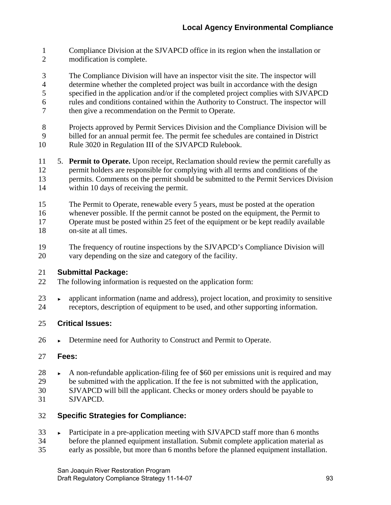1 Compliance Division at the SJVAPCD office in its region when the installation or 2 modification is complete.

3 The Compliance Division will have an inspector visit the site. The inspector will 4 determine whether the completed project was built in accordance with the design 5 specified in the application and/or if the completed project complies with SJVAPCD 6 rules and conditions contained within the Authority to Construct. The inspector will

- 7 then give a recommendation on the Permit to Operate.
- 8 Projects approved by Permit Services Division and the Compliance Division will be
- 9 billed for an annual permit fee. The permit fee schedules are contained in District 10 Rule 3020 in Regulation III of the SJVAPCD Rulebook.
- 11 5. **Permit to Operate.** Upon receipt, Reclamation should review the permit carefully as 12 permit holders are responsible for complying with all terms and conditions of the 13 permits. Comments on the permit should be submitted to the Permit Services Division 14 within 10 days of receiving the permit.
- 15 The Permit to Operate, renewable every 5 years, must be posted at the operation
- 16 whenever possible. If the permit cannot be posted on the equipment, the Permit to
- 17 Operate must be posted within 25 feet of the equipment or be kept readily available
- 18 on-site at all times.
- 19 The frequency of routine inspections by the SJVAPCD's Compliance Division will 20 vary depending on the size and category of the facility.

### 21 **Submittal Package:**

- 22 The following information is requested on the application form:
- 23 ► applicant information (name and address), project location, and proximity to sensitive 24 receptors, description of equipment to be used, and other supporting information.

### 25 **Critical Issues:**

26 ► Determine need for Authority to Construct and Permit to Operate.

#### 27 **Fees:**

- 28 ► A non-refundable application-filing fee of \$60 per emissions unit is required and may
- 29 be submitted with the application. If the fee is not submitted with the application,
- 30 SJVAPCD will bill the applicant. Checks or money orders should be payable to
- 31 SJVAPCD.

### 32 **Specific Strategies for Compliance:**

- 33 ► Participate in a pre-application meeting with SJVAPCD staff more than 6 months 34 before the planned equipment installation. Submit complete application material as
- 35 early as possible, but more than 6 months before the planned equipment installation.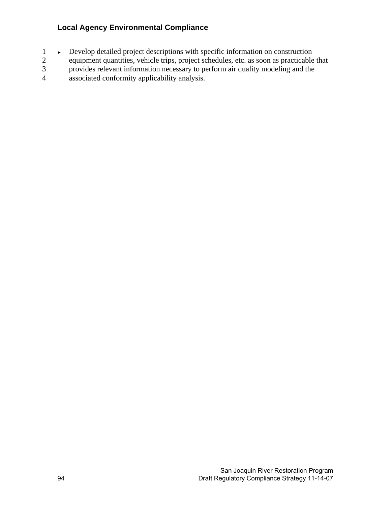## **Local Agency Environmental Compliance**

- 1 ► Develop detailed project descriptions with specific information on construction
- 2 equipment quantities, vehicle trips, project schedules, etc. as soon as practicable that<br>3 provides relevant information necessary to perform air quality modeling and the
- 3 provides relevant information necessary to perform air quality modeling and the associated conformity applicability analysis.
- associated conformity applicability analysis.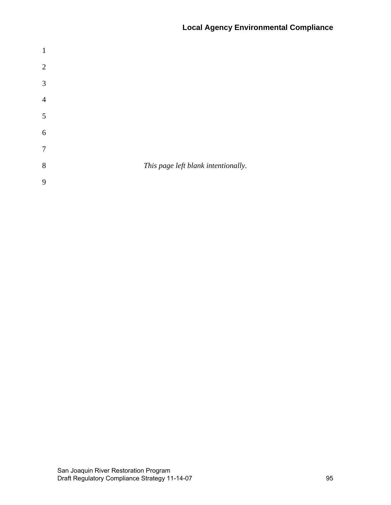| $\mathbf{1}$   |                                     |
|----------------|-------------------------------------|
| $\overline{2}$ |                                     |
| 3              |                                     |
| $\overline{4}$ |                                     |
| 5              |                                     |
| 6              |                                     |
| 7              |                                     |
| 8              | This page left blank intentionally. |
| 9              |                                     |
|                |                                     |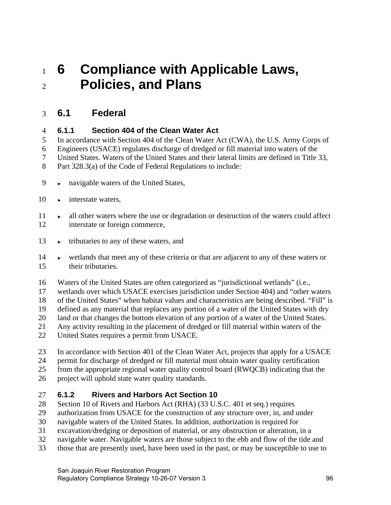# <sup>1</sup>**6 Compliance with Applicable Laws,**  <sup>2</sup>**Policies, and Plans**

# 3 **6.1 Federal**

## 4 **6.1.1 Section 404 of the Clean Water Act**

5 In accordance with Section 404 of the Clean Water Act (CWA), the U.S. Army Corps of 6 Engineers (USACE) regulates discharge of dredged or fill material into waters of the 7 United States. Waters of the United States and their lateral limits are defined in Title 33, 8 Part 328.3(a) of the Code of Federal Regulations to include:

- 9 ► navigable waters of the United States,
- 10 ► interstate waters,
- 11 ► all other waters where the use or degradation or destruction of the waters could affect 12 interstate or foreign commerce,
- 13 ► tributaries to any of these waters, and
- 14 ► wetlands that meet any of these criteria or that are adjacent to any of these waters or 15 their tributaries.
- 16 Waters of the United States are often categorized as "jurisdictional wetlands" (i.e.,
- 17 wetlands over which USACE exercises jurisdiction under Section 404) and "other waters
- 18 of the United States" when habitat values and characteristics are being described. "Fill" is
- 19 defined as any material that replaces any portion of a water of the United States with dry
- 20 land or that changes the bottom elevation of any portion of a water of the United States. 21 Any activity resulting in the placement of dredged or fill material within waters of the
- 
- 22 United States requires a permit from USACE.
- 23 In accordance with Section 401 of the Clean Water Act, projects that apply for a USACE
- 24 permit for discharge of dredged or fill material must obtain water quality certification
- 25 from the appropriate regional water quality control board (RWQCB) indicating that the
- 26 project will uphold state water quality standards.

# 27 **6.1.2 Rivers and Harbors Act Section 10**

- 28 Section 10 of Rivers and Harbors Act (RHA) (33 U.S.C. 401 et seq.) requires
- 29 authorization from USACE for the construction of any structure over, in, and under
- 30 navigable waters of the United States. In addition, authorization is required for
- 31 excavation/dredging or deposition of material, or any obstruction or alteration, in a
- 32 navigable water. Navigable waters are those subject to the ebb and flow of the tide and
- 33 those that are presently used, have been used in the past, or may be susceptible to use to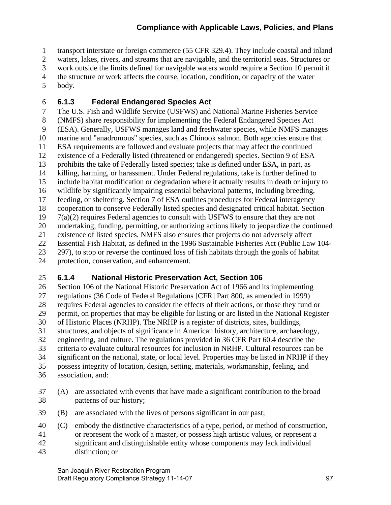1 transport interstate or foreign commerce (55 CFR 329.4). They include coastal and inland

2 waters, lakes, rivers, and streams that are navigable, and the territorial seas. Structures or

3 work outside the limits defined for navigable waters would require a Section 10 permit if 4 the structure or work affects the course, location, condition, or capacity of the water

5 body.

# 6 **6.1.3 Federal Endangered Species Act**

7 The U.S. Fish and Wildlife Service (USFWS) and National Marine Fisheries Service 8 (NMFS) share responsibility for implementing the Federal Endangered Species Act 9 (ESA). Generally, USFWS manages land and freshwater species, while NMFS manages 10 marine and "anadromous" species, such as Chinook salmon. Both agencies ensure that 11 ESA requirements are followed and evaluate projects that may affect the continued 12 existence of a Federally listed (threatened or endangered) species. Section 9 of ESA 13 prohibits the take of Federally listed species; take is defined under ESA, in part, as 14 killing, harming, or harassment. Under Federal regulations, take is further defined to 15 include habitat modification or degradation where it actually results in death or injury to 16 wildlife by significantly impairing essential behavioral patterns, including breeding, 17 feeding, or sheltering. Section 7 of ESA outlines procedures for Federal interagency 18 cooperation to conserve Federally listed species and designated critical habitat. Section 19 7(a)(2) requires Federal agencies to consult with USFWS to ensure that they are not 20 undertaking, funding, permitting, or authorizing actions likely to jeopardize the continued 21 existence of listed species. NMFS also ensures that projects do not adversely affect 22 Essential Fish Habitat, as defined in the 1996 Sustainable Fisheries Act (Public Law 104- 23 297), to stop or reverse the continued loss of fish habitats through the goals of habitat

24 protection, conservation, and enhancement.

# 25 **6.1.4 National Historic Preservation Act, Section 106**

26 Section 106 of the National Historic Preservation Act of 1966 and its implementing 27 regulations (36 Code of Federal Regulations [CFR] Part 800, as amended in 1999) 28 requires Federal agencies to consider the effects of their actions, or those they fund or 29 permit, on properties that may be eligible for listing or are listed in the National Register 30 of Historic Places (NRHP). The NRHP is a register of districts, sites, buildings, 31 structures, and objects of significance in American history, architecture, archaeology, 32 engineering, and culture. The regulations provided in 36 CFR Part 60.4 describe the 33 criteria to evaluate cultural resources for inclusion in NRHP. Cultural resources can be 34 significant on the national, state, or local level. Properties may be listed in NRHP if they 35 possess integrity of location, design, setting, materials, workmanship, feeling, and 36 association, and:

- 37 (A) are associated with events that have made a significant contribution to the broad 38 patterns of our history;
- 39 (B) are associated with the lives of persons significant in our past;
- 40 (C) embody the distinctive characteristics of a type, period, or method of construction, 41 or represent the work of a master, or possess high artistic values, or represent a 42 significant and distinguishable entity whose components may lack individual 43 distinction; or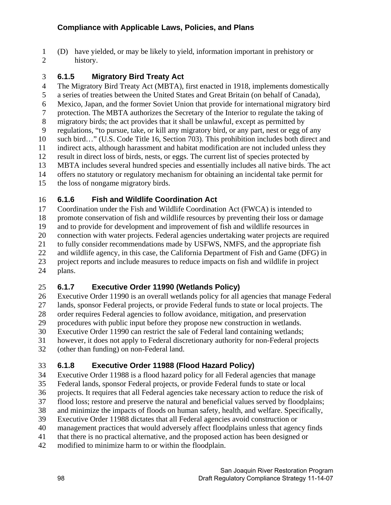### **Compliance with Applicable Laws, Policies, and Plans**

1 (D) have yielded, or may be likely to yield, information important in prehistory or 2 history.

## 3 **6.1.5 Migratory Bird Treaty Act**

4 The Migratory Bird Treaty Act (MBTA), first enacted in 1918, implements domestically 5 a series of treaties between the United States and Great Britain (on behalf of Canada), 6 Mexico, Japan, and the former Soviet Union that provide for international migratory bird 7 protection. The MBTA authorizes the Secretary of the Interior to regulate the taking of 8 migratory birds; the act provides that it shall be unlawful, except as permitted by 9 regulations, "to pursue, take, or kill any migratory bird, or any part, nest or egg of any 10 such bird…" (U.S. Code Title 16, Section 703). This prohibition includes both direct and 11 indirect acts, although harassment and habitat modification are not included unless they 12 result in direct loss of birds, nests, or eggs. The current list of species protected by 13 MBTA includes several hundred species and essentially includes all native birds. The act 14 offers no statutory or regulatory mechanism for obtaining an incidental take permit for 15 the loss of nongame migratory birds.

# 16 **6.1.6 Fish and Wildlife Coordination Act**

17 Coordination under the Fish and Wildlife Coordination Act (FWCA) is intended to 18 promote conservation of fish and wildlife resources by preventing their loss or damage 19 and to provide for development and improvement of fish and wildlife resources in 20 connection with water projects. Federal agencies undertaking water projects are required 21 to fully consider recommendations made by USFWS, NMFS, and the appropriate fish 22 and wildlife agency, in this case, the California Department of Fish and Game (DFG) in 23 project reports and include measures to reduce impacts on fish and wildlife in project 24 plans.

# 25 **6.1.7 Executive Order 11990 (Wetlands Policy)**

26 Executive Order 11990 is an overall wetlands policy for all agencies that manage Federal 27 lands, sponsor Federal projects, or provide Federal funds to state or local projects. The 28 order requires Federal agencies to follow avoidance, mitigation, and preservation 29 procedures with public input before they propose new construction in wetlands. 30 Executive Order 11990 can restrict the sale of Federal land containing wetlands; 31 however, it does not apply to Federal discretionary authority for non-Federal projects 32 (other than funding) on non-Federal land.

# 33 **6.1.8 Executive Order 11988 (Flood Hazard Policy)**

34 Executive Order 11988 is a flood hazard policy for all Federal agencies that manage

35 Federal lands, sponsor Federal projects, or provide Federal funds to state or local

36 projects. It requires that all Federal agencies take necessary action to reduce the risk of

- 37 flood loss; restore and preserve the natural and beneficial values served by floodplains;
- 38 and minimize the impacts of floods on human safety, health, and welfare. Specifically,
- 39 Executive Order 11988 dictates that all Federal agencies avoid construction or
- 40 management practices that would adversely affect floodplains unless that agency finds
- 41 that there is no practical alternative, and the proposed action has been designed or
- 42 modified to minimize harm to or within the floodplain.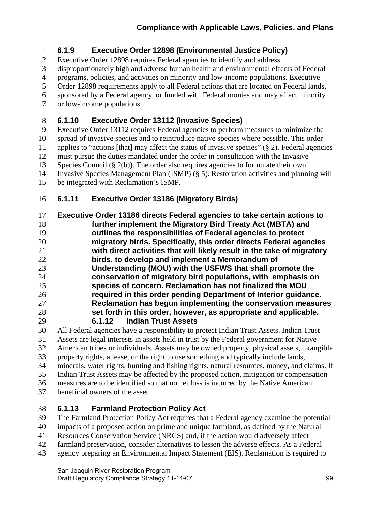## 1 **6.1.9 Executive Order 12898 (Environmental Justice Policy)**

2 Executive Order 12898 requires Federal agencies to identify and address

3 disproportionately high and adverse human health and environmental effects of Federal

4 programs, policies, and activities on minority and low-income populations. Executive

5 Order 12898 requirements apply to all Federal actions that are located on Federal lands,

6 sponsored by a Federal agency, or funded with Federal monies and may affect minority

7 or low-income populations.

# 8 **6.1.10 Executive Order 13112 (Invasive Species)**

9 Executive Order 13112 requires Federal agencies to perform measures to minimize the 10 spread of invasive species and to reintroduce native species where possible. This order

11 applies to "actions [that] may affect the status of invasive species" (§ 2). Federal agencies

12 must pursue the duties mandated under the order in consultation with the Invasive

13 Species Council (§ 2(b)). The order also requires agencies to formulate their own

14 Invasive Species Management Plan (ISMP) (§ 5). Restoration activities and planning will

15 be integrated with Reclamation's ISMP.

# 16 **6.1.11 Executive Order 13186 (Migratory Birds)**

**Executive Order 13186 directs Federal agencies to take certain actions to further implement the Migratory Bird Treaty Act (MBTA) and outlines the responsibilities of Federal agencies to protect migratory birds. Specifically, this order directs Federal agencies with direct activities that will likely result in the take of migratory birds, to develop and implement a Memorandum of Understanding (MOU) with the USFWS that shall promote the conservation of migratory bird populations, with emphasis on species of concern. Reclamation has not finalized the MOU required in this order pending Department of Interior guidance. Reclamation has begun implementing the conservation measures set forth in this order, however, as appropriate and applicable. 6.1.12 Indian Trust Assets** 

30 All Federal agencies have a responsibility to protect Indian Trust Assets. Indian Trust 31 Assets are legal interests in assets held in trust by the Federal government for Native 32 American tribes or individuals. Assets may be owned property, physical assets, intangible 33 property rights, a lease, or the right to use something and typically include lands, 34 minerals, water rights, hunting and fishing rights, natural resources, money, and claims. If

35 Indian Trust Assets may be affected by the proposed action, mitigation or compensation

36 measures are to be identified so that no net loss is incurred by the Native American 37 beneficial owners of the asset.

# 38 **6.1.13 Farmland Protection Policy Act**

39 The Farmland Protection Policy Act requires that a Federal agency examine the potential

40 impacts of a proposed action on prime and unique farmland, as defined by the Natural

41 Resources Conservation Service (NRCS) and, if the action would adversely affect

- 42 farmland preservation, consider alternatives to lessen the adverse effects. As a Federal
- 43 agency preparing an Environmental Impact Statement (EIS), Reclamation is required to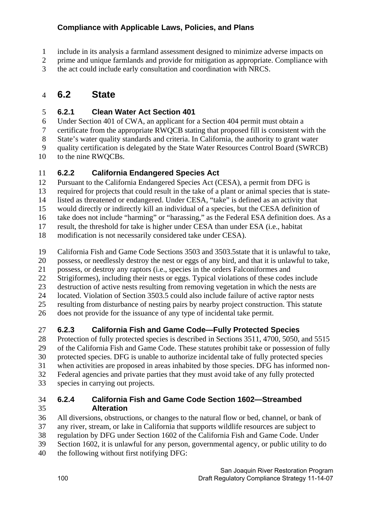### **Compliance with Applicable Laws, Policies, and Plans**

- 1 include in its analysis a farmland assessment designed to minimize adverse impacts on
- 2 prime and unique farmlands and provide for mitigation as appropriate. Compliance with
- 3 the act could include early consultation and coordination with NRCS.

# 4 **6.2 State**

- 5 **6.2.1 Clean Water Act Section 401**
- 6 Under Section 401 of CWA, an applicant for a Section 404 permit must obtain a
- 7 certificate from the appropriate RWQCB stating that proposed fill is consistent with the
- 8 State's water quality standards and criteria. In California, the authority to grant water
- 9 quality certification is delegated by the State Water Resources Control Board (SWRCB)
- 10 to the nine RWQCBs.

# 11 **6.2.2 California Endangered Species Act**

- 12 Pursuant to the California Endangered Species Act (CESA), a permit from DFG is
- 13 required for projects that could result in the take of a plant or animal species that is state-
- 14 listed as threatened or endangered. Under CESA, "take" is defined as an activity that
- 15 would directly or indirectly kill an individual of a species, but the CESA definition of
- 16 take does not include "harming" or "harassing," as the Federal ESA definition does. As a
- 17 result, the threshold for take is higher under CESA than under ESA (i.e., habitat
- 18 modification is not necessarily considered take under CESA).
- 19 California Fish and Game Code Sections 3503 and 3503.5state that it is unlawful to take,
- 20 possess, or needlessly destroy the nest or eggs of any bird, and that it is unlawful to take,
- 21 possess, or destroy any raptors (i.e., species in the orders Falconiformes and
- 22 Strigiformes), including their nests or eggs. Typical violations of these codes include
- 23 destruction of active nests resulting from removing vegetation in which the nests are
- 24 located. Violation of Section 3503.5 could also include failure of active raptor nests
- 25 resulting from disturbance of nesting pairs by nearby project construction. This statute
- 26 does not provide for the issuance of any type of incidental take permit.

# 27 **6.2.3 California Fish and Game Code—Fully Protected Species**

28 Protection of fully protected species is described in Sections 3511, 4700, 5050, and 5515 29 of the California Fish and Game Code. These statutes prohibit take or possession of fully 30 protected species. DFG is unable to authorize incidental take of fully protected species 31 when activities are proposed in areas inhabited by those species. DFG has informed non-32 Federal agencies and private parties that they must avoid take of any fully protected

33 species in carrying out projects.

## 34 **6.2.4 California Fish and Game Code Section 1602—Streambed**  35 **Alteration**

- 36 All diversions, obstructions, or changes to the natural flow or bed, channel, or bank of
- 37 any river, stream, or lake in California that supports wildlife resources are subject to
- 38 regulation by DFG under Section 1602 of the California Fish and Game Code. Under
- 39 Section 1602, it is unlawful for any person, governmental agency, or public utility to do
- 40 the following without first notifying DFG: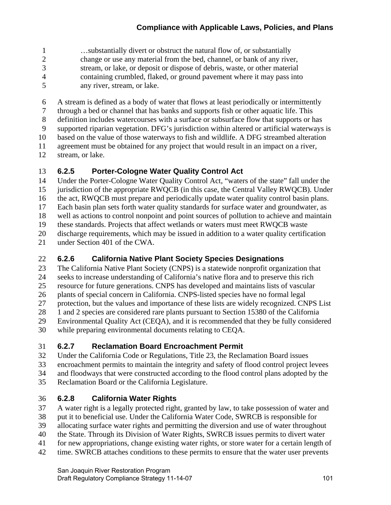- 1 …substantially divert or obstruct the natural flow of, or substantially
- 2 change or use any material from the bed, channel, or bank of any river,
- 3 stream, or lake, or deposit or dispose of debris, waste, or other material
- 4 containing crumbled, flaked, or ground pavement where it may pass into 5 any river, stream, or lake.
- 6 A stream is defined as a body of water that flows at least periodically or intermittently
- 7 through a bed or channel that has banks and supports fish or other aquatic life. This
- 8 definition includes watercourses with a surface or subsurface flow that supports or has

9 supported riparian vegetation. DFG's jurisdiction within altered or artificial waterways is

10 based on the value of those waterways to fish and wildlife. A DFG streambed alteration

- 11 agreement must be obtained for any project that would result in an impact on a river,
- 12 stream, or lake.

# 13 **6.2.5 Porter-Cologne Water Quality Control Act**

14 Under the Porter-Cologne Water Quality Control Act, "waters of the state" fall under the 15 jurisdiction of the appropriate RWQCB (in this case, the Central Valley RWQCB). Under 16 the act, RWQCB must prepare and periodically update water quality control basin plans. 17 Each basin plan sets forth water quality standards for surface water and groundwater, as 18 well as actions to control nonpoint and point sources of pollution to achieve and maintain 19 these standards. Projects that affect wetlands or waters must meet RWQCB waste 20 discharge requirements, which may be issued in addition to a water quality certification 21 under Section 401 of the CWA.

# 22 **6.2.6 California Native Plant Society Species Designations**

23 The California Native Plant Society (CNPS) is a statewide nonprofit organization that 24 seeks to increase understanding of California's native flora and to preserve this rich

- 25 resource for future generations. CNPS has developed and maintains lists of vascular
- 26 plants of special concern in California. CNPS-listed species have no formal legal
- 27 protection, but the values and importance of these lists are widely recognized. CNPS List
- 28 1 and 2 species are considered rare plants pursuant to Section 15380 of the California
- 29 Environmental Quality Act (CEQA), and it is recommended that they be fully considered
- 30 while preparing environmental documents relating to CEQA.

# 31 **6.2.7 Reclamation Board Encroachment Permit**

- 32 Under the California Code or Regulations, Title 23, the Reclamation Board issues 33 encroachment permits to maintain the integrity and safety of flood control project levees
- 34 and floodways that were constructed according to the flood control plans adopted by the
- 35 Reclamation Board or the California Legislature.

# 36 **6.2.8 California Water Rights**

- 37 A water right is a legally protected right, granted by law, to take possession of water and
- 38 put it to beneficial use. Under the California Water Code, SWRCB is responsible for
- 39 allocating surface water rights and permitting the diversion and use of water throughout
- 40 the State. Through its Division of Water Rights, SWRCB issues permits to divert water
- 41 for new appropriations, change existing water rights, or store water for a certain length of
- 42 time. SWRCB attaches conditions to these permits to ensure that the water user prevents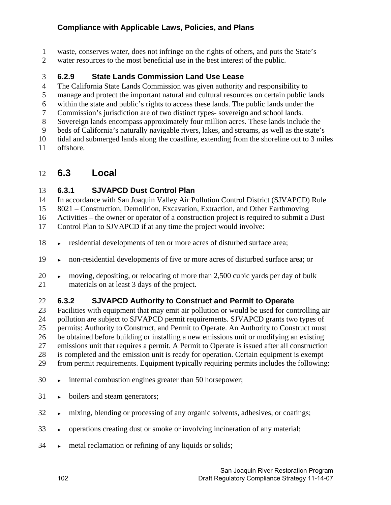### **Compliance with Applicable Laws, Policies, and Plans**

- 1 waste, conserves water, does not infringe on the rights of others, and puts the State's
- 2 water resources to the most beneficial use in the best interest of the public.

### 3 **6.2.9 State Lands Commission Land Use Lease**

- 4 The California State Lands Commission was given authority and responsibility to
- 5 manage and protect the important natural and cultural resources on certain public lands
- 6 within the state and public's rights to access these lands. The public lands under the
- 7 Commission's jurisdiction are of two distinct types- sovereign and school lands.
- 8 Sovereign lands encompass approximately four million acres. These lands include the
- 9 beds of California's naturally navigable rivers, lakes, and streams, as well as the state's
- 10 tidal and submerged lands along the coastline, extending from the shoreline out to 3 miles
- 11 offshore.

# 12 **6.3 Local**

# 13 **6.3.1 SJVAPCD Dust Control Plan**

- 14 In accordance with San Joaquin Valley Air Pollution Control District (SJVAPCD) Rule
- 15 8021 Construction, Demolition, Excavation, Extraction, and Other Earthmoving
- 16 Activities the owner or operator of a construction project is required to submit a Dust
- 17 Control Plan to SJVAPCD if at any time the project would involve:
- 18 ► residential developments of ten or more acres of disturbed surface area;
- 19 ► non-residential developments of five or more acres of disturbed surface area; or
- 20 ► moving, depositing, or relocating of more than 2,500 cubic yards per day of bulk 21 materials on at least 3 days of the project.

# 22 **6.3.2 SJVAPCD Authority to Construct and Permit to Operate**

23 Facilities with equipment that may emit air pollution or would be used for controlling air 24 pollution are subject to SJVAPCD permit requirements. SJVAPCD grants two types of 25 permits: Authority to Construct, and Permit to Operate. An Authority to Construct must 26 be obtained before building or installing a new emissions unit or modifying an existing 27 emissions unit that requires a permit. A Permit to Operate is issued after all construction 28 is completed and the emission unit is ready for operation. Certain equipment is exempt 29 from permit requirements. Equipment typically requiring permits includes the following:

- 30 ► internal combustion engines greater than 50 horsepower;
- 31 ► boilers and steam generators;
- 32 ► mixing, blending or processing of any organic solvents, adhesives, or coatings;
- 33 ► operations creating dust or smoke or involving incineration of any material;
- 34 ► metal reclamation or refining of any liquids or solids;